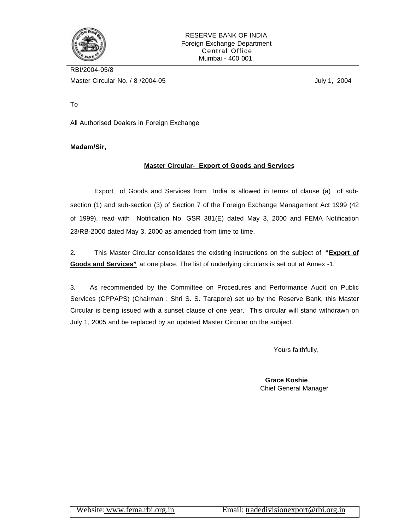

RBI/2004-05/8 Master Circular No. / 8 / 2004-05 **July 1, 2004** 

To

All Authorised Dealers in Foreign Exchange

**Madam/Sir,**

# **Master Circular- Export of Goods and Services**

Export of Goods and Services from India is allowed in terms of clause (a) of subsection (1) and sub-section (3) of Section 7 of the Foreign Exchange Management Act 1999 (42 of 1999), read with Notification No. GSR 381(E) dated May 3, 2000 and FEMA Notification 23/RB-2000 dated May 3, 2000 as amended from time to time.

2. This Master Circular consolidates the existing instructions on the subject of **"Export of Goods and Services"** at one place. The list of underlying circulars is set out at Annex -1.

3. As recommended by the Committee on Procedures and Performance Audit on Public Services (CPPAPS) (Chairman : Shri S. S. Tarapore) set up by the Reserve Bank, this Master Circular is being issued with a sunset clause of one year. This circular will stand withdrawn on July 1, 2005 and be replaced by an updated Master Circular on the subject.

Yours faithfully,

 **Grace Koshie** Chief General Manager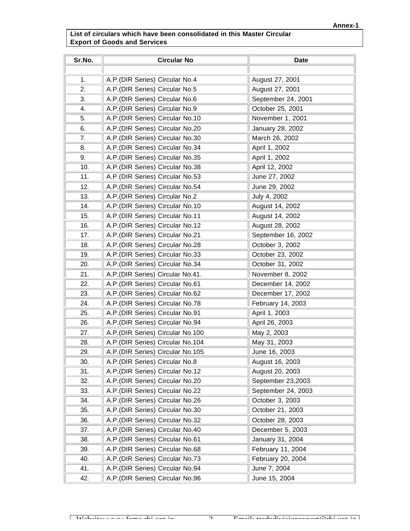# **List of circulars which have been consolidated in this Master Circular Export of Goods and Services**

| Sr.No. | <b>Circular No</b>                | <b>Date</b>        |
|--------|-----------------------------------|--------------------|
|        |                                   |                    |
| 1.     | A.P.(DIR Series) Circular No.4    | August 27, 2001    |
| 2.     | A.P.(DIR Series) Circular No.5    | August 27, 2001    |
| 3.     | A.P.(DIR Series) Circular No.6    | September 24, 2001 |
| 4.     | A.P.(DIR Series) Circular No.9    | October 25, 2001   |
| 5.     | A.P. (DIR Series) Circular No.10  | November 1, 2001   |
| 6.     | A.P.(DIR Series) Circular No.20   | January 28, 2002   |
| 7.     | A.P.(DIR Series) Circular No.30   | March 26, 2002     |
| 8.     | A.P.(DIR Series) Circular No.34   | April 1, 2002      |
| 9.     | A.P.(DIR Series) Circular No.35   | April 1, 2002      |
| 10.    | A.P.(DIR Series) Circular No.38   | April 12, 2002     |
| 11.    | A.P.(DIR Series) Circular No.53   | June 27, 2002      |
| 12.    | A.P.(DIR Series) Circular No.54   | June 29, 2002      |
| 13.    | A.P.(DIR Series) Circular No.2    | July 4, 2002       |
| 14.    | A.P. (DIR Series) Circular No.10  | August 14, 2002    |
| 15.    | A.P.(DIR Series) Circular No.11   | August 14, 2002    |
| 16.    | A.P.(DIR Series) Circular No.12   | August 28, 2002    |
| 17.    | A.P.(DIR Series) Circular No.21   | September 16, 2002 |
| 18.    | A.P. (DIR Series) Circular No.28  | October 3, 2002    |
| 19.    | A.P. (DIR Series) Circular No.33  | October 23, 2002   |
| 20.    | A.P. (DIR Series) Circular No.34  | October 31, 2002   |
| 21.    | A.P.(DIR Series) Circular No.41.  | November 8, 2002   |
| 22.    | A.P.(DIR Series) Circular No.61   | December 14, 2002  |
| 23.    | A.P.(DIR Series) Circular No.62   | December 17, 2002  |
| 24.    | A.P. (DIR Series) Circular No.78  | February 14, 2003  |
| 25.    | A.P.(DIR Series) Circular No.91   | April 1, 2003      |
| 26.    | A.P.(DIR Series) Circular No.94   | April 26, 2003     |
| 27.    | A.P. (DIR Series) Circular No.100 | May 2, 2003        |
| 28.    | A.P.(DIR Series) Circular No.104  | May 31, 2003       |
| 29.    | A.P.(DIR Series) Circular No.105  | June 16, 2003      |
| 30.    | A.P.(DIR Series) Circular No.8    | August 16, 2003    |
| 31.    | A.P.(DIR Series) Circular No.12   | August 20, 2003    |
| 32.    | A.P.(DIR Series) Circular No.20   | September 23,2003  |
| 33.    | A.P.(DIR Series) Circular No.22   | September 24, 2003 |
| 34.    | A.P.(DIR Series) Circular No.26   | October 3, 2003    |
| 35.    | A.P.(DIR Series) Circular No.30   | October 21, 2003   |
| 36.    | A.P.(DIR Series) Circular No.32   | October 28, 2003   |
| 37.    | A.P.(DIR Series) Circular No.40   | December 5, 2003   |
| 38.    | A.P. (DIR Series) Circular No.61  | January 31, 2004   |
| 39.    | A.P. (DIR Series) Circular No.68  | February 11, 2004  |
| 40.    | A.P.(DIR Series) Circular No.73   | February 20, 2004  |
| 41.    | A.P.(DIR Series) Circular No.94   | June 7, 2004       |
| 42.    | A.P.(DIR Series) Circular No.96   | June 15, 2004      |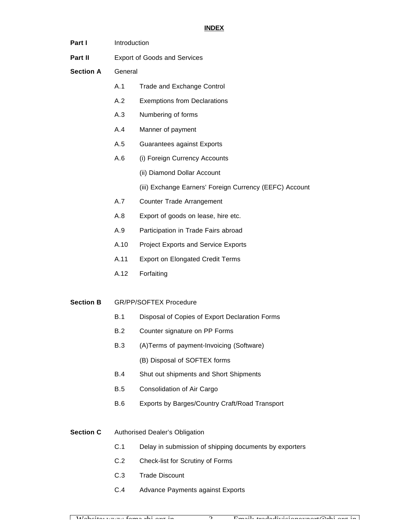# **INDEX**

| Part I           | Introduction |                                                         |
|------------------|--------------|---------------------------------------------------------|
| Part II          |              | <b>Export of Goods and Services</b>                     |
| <b>Section A</b> | General      |                                                         |
|                  | A.1          | <b>Trade and Exchange Control</b>                       |
|                  | A.2          | <b>Exemptions from Declarations</b>                     |
|                  | A.3          | Numbering of forms                                      |
|                  | A.4          | Manner of payment                                       |
|                  | A.5          | Guarantees against Exports                              |
|                  | A.6          | (i) Foreign Currency Accounts                           |
|                  |              | (ii) Diamond Dollar Account                             |
|                  |              | (iii) Exchange Earners' Foreign Currency (EEFC) Account |
|                  | A.7          | Counter Trade Arrangement                               |
|                  | A.8          | Export of goods on lease, hire etc.                     |
|                  | A.9          | Participation in Trade Fairs abroad                     |
|                  | A.10         | Project Exports and Service Exports                     |
|                  | A.11         | <b>Export on Elongated Credit Terms</b>                 |
|                  | A.12         | Forfaiting                                              |
|                  |              |                                                         |
| <b>Section B</b> |              | <b>GR/PP/SOFTEX Procedure</b>                           |
|                  | B.1          | Disposal of Copies of Export Declaration Forms          |
|                  | B.2          | Counter signature on PP Forms                           |
|                  | <b>B.3</b>   | (A)Terms of payment-Invoicing (Software)                |
|                  |              | (B) Disposal of SOFTEX forms                            |
|                  | <b>B.4</b>   | Shut out shipments and Short Shipments                  |
|                  | B.5          | Consolidation of Air Cargo                              |
|                  | B.6          | Exports by Barges/Country Craft/Road Transport          |
| <b>Section C</b> |              | Authorised Dealer's Obligation                          |
|                  | C.1          | Delay in submission of shipping documents by exporters  |
|                  | C.2          | Check-list for Scrutiny of Forms                        |
|                  |              |                                                         |

- C.3 Trade Discount
- C.4 Advance Payments against Exports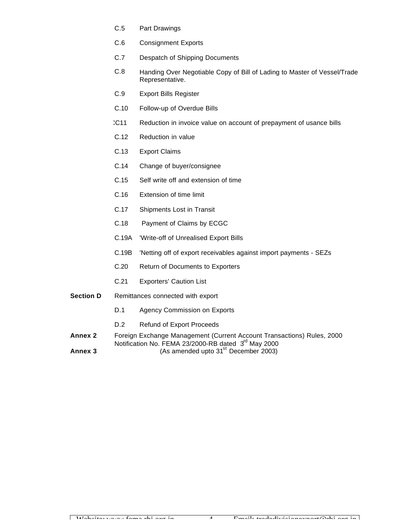- C.5 Part Drawings
- C.6 Consignment Exports
- C.7 Despatch of Shipping Documents
- C.8 Handing Over Negotiable Copy of Bill of Lading to Master of Vessel/Trade Representative.
- C.9 Export Bills Register
- C.10 Follow-up of Overdue Bills
- CC11 Reduction in invoice value on account of prepayment of usance bills
- C.12 Reduction in value
- C.13 Export Claims
- C.14 Change of buyer/consignee
- C.15 Self write off and extension of time
- C.16 Extension of time limit
- C.17 Shipments Lost in Transit
- C.18 Payment of Claims by ECGC
- C.19A 'Write-off of Unrealised Export Bills
- C.19B 'Netting off of export receivables against import payments SEZs
- C.20 Return of Documents to Exporters
- C.21 Exporters' Caution List
- **Section D** Remittances connected with export
	- D.1 Agency Commission on Exports
	- D.2 Refund of Export Proceeds
- **Annex 2** Foreign Exchange Management (Current Account Transactions) Rules, 2000 Notification No. FEMA 23/2000-RB dated 3<sup>rd</sup> May 2000
- **Annex 3** (As amended upto  $31<sup>st</sup>$  December 2003)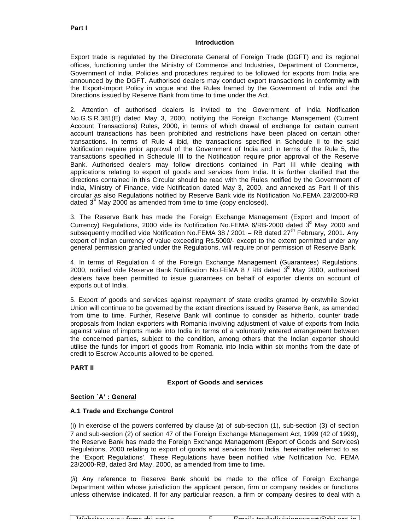# **Introduction**

Export trade is regulated by the Directorate General of Foreign Trade (DGFT) and its regional offices, functioning under the Ministry of Commerce and Industries, Department of Commerce, Government of India. Policies and procedures required to be followed for exports from India are announced by the DGFT. Authorised dealers may conduct export transactions in conformity with the Export-Import Policy in vogue and the Rules framed by the Government of India and the Directions issued by Reserve Bank from time to time under the Act.

2. Attention of authorised dealers is invited to the Government of India Notification No.G.S.R.381(E) dated May 3, 2000, notifying the Foreign Exchange Management (Current Account Transactions) Rules, 2000, in terms of which drawal of exchange for certain current account transactions has been prohibited and restrictions have been placed on certain other transactions. In terms of Rule 4 ibid, the transactions specified in Schedule II to the said Notification require prior approval of the Government of India and in terms of the Rule 5, the transactions specified in Schedule III to the Notification require prior approval of the Reserve Bank. Authorised dealers may follow directions contained in Part III while dealing with applications relating to export of goods and services from India. It is further clarified that the directions contained in this Circular should be read with the Rules notified by the Government of India, Ministry of Finance, vide Notification dated May 3, 2000, and annexed as Part II of this circular as also Regulations notified by Reserve Bank vide its Notification No.FEMA 23/2000-RB dated  $3<sup>rd</sup>$  May 2000 as amended from time to time (copy enclosed).

3. The Reserve Bank has made the Foreign Exchange Management (Export and Import of Currency) Regulations, 2000 vide its Notification No.FEMA  $6/RB-2000$  dated  $3<sup>d</sup>$  May 2000 and subsequently modified vide Notification No.FEMA 38 / 2001 – RB dated  $27<sup>th</sup>$  February, 2001. Any export of Indian currency of value exceeding Rs.5000/- except to the extent permitted under any general permission granted under the Regulations, will require prior permission of Reserve Bank.

4. In terms of Regulation 4 of the Foreign Exchange Management (Guarantees) Regulations, 2000, notified vide Reserve Bank Notification No.FEMA 8 / RB dated  $3<sup>d</sup>$  May 2000, authorised dealers have been permitted to issue guarantees on behalf of exporter clients on account of exports out of India.

5. Export of goods and services against repayment of state credits granted by erstwhile Soviet Union will continue to be governed by the extant directions issued by Reserve Bank, as amended from time to time. Further, Reserve Bank will continue to consider as hitherto, counter trade proposals from Indian exporters with Romania involving adjustment of value of exports from India against value of imports made into India in terms of a voluntarily entered arrangement between the concerned parties, subject to the condition, among others that the Indian exporter should utilise the funds for import of goods from Romania into India within six months from the date of credit to Escrow Accounts allowed to be opened.

**PART II**

# **Export of Goods and services**

#### **Section `A' : General**

# **A.1 Trade and Exchange Control**

(i) In exercise of the powers conferred by clause (*a*) of sub-section (1), sub-section (3) of section 7 and sub-section (2) of section 47 of the Foreign Exchange Management Act, 1999 (42 of 1999), the Reserve Bank has made the Foreign Exchange Management (Export of Goods and Services) Regulations, 2000 relating to export of goods and services from India, hereinafter referred to as the 'Export Regulations'. These Regulations have been notified *vide* Notification No. FEMA 23/2000-RB, dated 3rd May, 2000, as amended from time to time**.**

(*ii*) Any reference to Reserve Bank should be made to the office of Foreign Exchange Department within whose jurisdiction the applicant person, firm or company resides or functions unless otherwise indicated. If for any particular reason, a firm or company desires to deal with a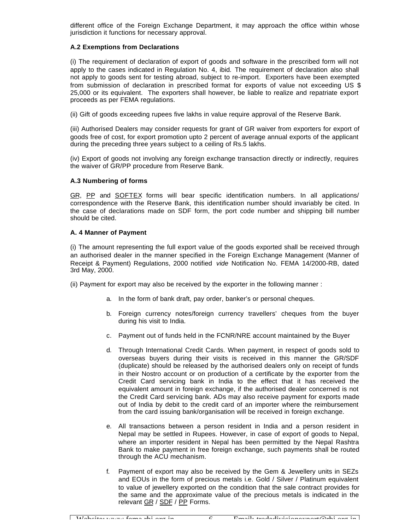different office of the Foreign Exchange Department, it may approach the office within whose jurisdiction it functions for necessary approval.

#### **A.2 Exemptions from Declarations**

(i) The requirement of declaration of export of goods and software in the prescribed form will not apply to the cases indicated in Regulation No. 4, ibid*.* The requirement of declaration also shall not apply to goods sent for testing abroad, subject to re-import. Exporters have been exempted from submission of declaration in prescribed format for exports of value not exceeding US \$ 25,000 or its equivalent. The exporters shall however, be liable to realize and repatriate export proceeds as per FEMA regulations.

(ii) Gift of goods exceeding rupees five lakhs in value require approval of the Reserve Bank.

(iii) Authorised Dealers may consider requests for grant of GR waiver from exporters for export of goods free of cost, for export promotion upto 2 percent of average annual exports of the applicant during the preceding three years subject to a ceiling of Rs.5 lakhs.

(iv) Export of goods not involving any foreign exchange transaction directly or indirectly, requires the waiver of GR/PP procedure from Reserve Bank.

#### **A.3 Numbering of forms**

GR, PP and SOFTEX forms will bear specific identification numbers. In all applications/ correspondence with the Reserve Bank, this identification number should invariably be cited. In the case of declarations made on SDF form, the port code number and shipping bill number should be cited.

#### **A. 4 Manner of Payment**

(i) The amount representing the full export value of the goods exported shall be received through an authorised dealer in the manner specified in the Foreign Exchange Management (Manner of Receipt & Payment) Regulations, 2000 notified *vide* Notification No. FEMA 14/2000-RB, dated 3rd May, 2000.

(ii) Payment for export may also be received by the exporter in the following manner :

- a. In the form of bank draft, pay order, banker's or personal cheques.
- b. Foreign currency notes/foreign currency travellers' cheques from the buyer during his visit to India.
- c. Payment out of funds held in the FCNR/NRE account maintained by the Buyer
- d. Through International Credit Cards. When payment, in respect of goods sold to overseas buyers during their visits is received in this manner the GR/SDF (duplicate) should be released by the authorised dealers only on receipt of funds in their Nostro account or on production of a certificate by the exporter from the Credit Card servicing bank in India to the effect that it has received the equivalent amount in foreign exchange, if the authorised dealer concerned is not the Credit Card servicing bank. ADs may also receive payment for exports made out of India by debit to the credit card of an importer where the reimbursement from the card issuing bank/organisation will be received in foreign exchange.
- e. All transactions between a person resident in India and a person resident in Nepal may be settled in Rupees. However, in case of export of goods to Nepal, where an importer resident in Nepal has been permitted by the Nepal Rashtra Bank to make payment in free foreign exchange, such payments shall be routed through the ACU mechanism.
- f. Payment of export may also be received by the Gem & Jewellery units in SEZs and EOUs in the form of precious metals i.e. Gold / Silver / Platinum equivalent to value of jewellery exported on the condition that the sale contract provides for the same and the approximate value of the precious metals is indicated in the relevant GR / SDF / PP Forms.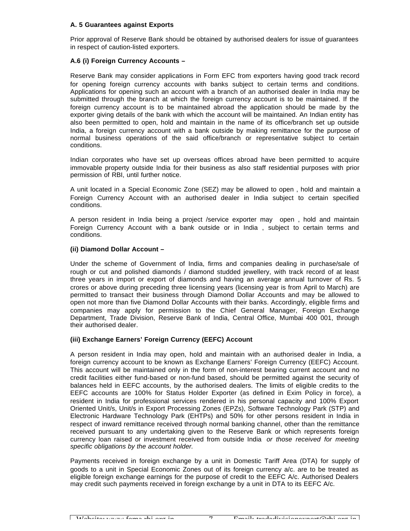#### **A. 5 Guarantees against Exports**

Prior approval of Reserve Bank should be obtained by authorised dealers for issue of guarantees in respect of caution-listed exporters.

# **A.6 (i) Foreign Currency Accounts –**

Reserve Bank may consider applications in Form EFC from exporters having good track record for opening foreign currency accounts with banks subject to certain terms and conditions. Applications for opening such an account with a branch of an authorised dealer in India may be submitted through the branch at which the foreign currency account is to be maintained. If the foreign currency account is to be maintained abroad the application should be made by the exporter giving details of the bank with which the account will be maintained. An Indian entity has also been permitted to open, hold and maintain in the name of its office/branch set up outside India, a foreign currency account with a bank outside by making remittance for the purpose of normal business operations of the said office/branch or representative subject to certain conditions.

Indian corporates who have set up overseas offices abroad have been permitted to acquire immovable property outside India for their business as also staff residential purposes with prior permission of RBI, until further notice.

A unit located in a Special Economic Zone (SEZ) may be allowed to open , hold and maintain a Foreign Currency Account with an authorised dealer in India subject to certain specified conditions.

A person resident in India being a project /service exporter may open , hold and maintain Foreign Currency Account with a bank outside or in India , subject to certain terms and conditions.

#### **(ii) Diamond Dollar Account –**

Under the scheme of Government of India, firms and companies dealing in purchase/sale of rough or cut and polished diamonds / diamond studded jewellery, with track record of at least three years in import or export of diamonds and having an average annual turnover of Rs. 5 crores or above during preceding three licensing years (licensing year is from April to March) are permitted to transact their business through Diamond Dollar Accounts and may be allowed to open not more than five Diamond Dollar Accounts with their banks. Accordingly, eligible firms and companies may apply for permission to the Chief General Manager, Foreign Exchange Department, Trade Division, Reserve Bank of India, Central Office, Mumbai 400 001, through their authorised dealer.

# **(iii) Exchange Earners' Foreign Currency (EEFC) Account**

A person resident in India may open, hold and maintain with an authorised dealer in India, a foreign currency account to be known as Exchange Earners' Foreign Currency (EEFC) Account. This account will be maintained only in the form of non-interest bearing current account and no credit facilities either fund-based or non-fund based, should be permitted against the security of balances held in EEFC accounts, by the authorised dealers. The limits of eligible credits to the EEFC accounts are 100% for Status Holder Exporter (as defined in Exim Policy in force), a resident in India for professional services rendered in his personal capacity and 100% Export Oriented Unit/s, Unit/s in Export Processing Zones (EPZs), Software Technology Park (STP) and Electronic Hardware Technology Park (EHTPs) and 50% for other persons resident in India in respect of inward remittance received through normal banking channel, other than the remittance received pursuant to any undertaking given to the Reserve Bank or which represents foreign currency loan raised or investment received from outside India *or those received for meeting specific obligations by the account holder.*

Payments received in foreign exchange by a unit in Domestic Tariff Area (DTA) for supply of goods to a unit in Special Economic Zones out of its foreign currency a/c. are to be treated as eligible foreign exchange earnings for the purpose of credit to the EEFC A/c. Authorised Dealers may credit such payments received in foreign exchange by a unit in DTA to its EEFC A/c.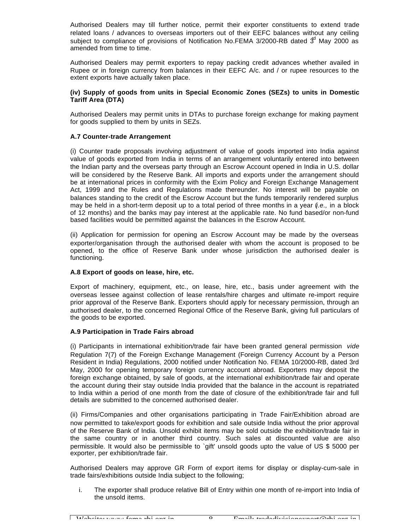Authorised Dealers may till further notice, permit their exporter constituents to extend trade related loans / advances to overseas importers out of their EEFC balances without any ceiling subject to compliance of provisions of Notification No.FEMA 3/2000-RB dated  $3<sup>d</sup>$  May 2000 as amended from time to time.

Authorised Dealers may permit exporters to repay packing credit advances whether availed in Rupee or in foreign currency from balances in their EEFC A/c. and / or rupee resources to the extent exports have actually taken place.

## **(iv) Supply of goods from units in Special Economic Zones (SEZs) to units in Domestic Tariff Area (DTA)**

Authorised Dealers may permit units in DTAs to purchase foreign exchange for making payment for goods supplied to them by units in SEZs.

## **A.7 Counter-trade Arrangement**

(i) Counter trade proposals involving adjustment of value of goods imported into India against value of goods exported from India in terms of an arrangement voluntarily entered into between the Indian party and the overseas party through an Escrow Account opened in India in U.S. dollar will be considered by the Reserve Bank. All imports and exports under the arrangement should be at international prices in conformity with the Exim Policy and Foreign Exchange Management Act, 1999 and the Rules and Regulations made thereunder. No interest will be payable on balances standing to the credit of the Escrow Account but the funds temporarily rendered surplus may be held in a short-term deposit up to a total period of three months in a year (*i.e.,* in a block of 12 months) and the banks may pay interest at the applicable rate. No fund based/or non-fund based facilities would be permitted against the balances in the Escrow Account.

(ii) Application for permission for opening an Escrow Account may be made by the overseas exporter/organisation through the authorised dealer with whom the account is proposed to be opened, to the office of Reserve Bank under whose jurisdiction the authorised dealer is functioning.

#### **A.8 Export of goods on lease, hire, etc.**

Export of machinery, equipment, etc., on lease, hire, etc., basis under agreement with the overseas lessee against collection of lease rentals/hire charges and ultimate re-import require prior approval of the Reserve Bank. Exporters should apply for necessary permission, through an authorised dealer, to the concerned Regional Office of the Reserve Bank, giving full particulars of the goods to be exported.

#### **A.9 Participation in Trade Fairs abroad**

(i) Participants in international exhibition/trade fair have been granted general permission *vide* Regulation 7(7) of the Foreign Exchange Management (Foreign Currency Account by a Person Resident in India) Regulations, 2000 notified under Notification No. FEMA 10/2000-RB, dated 3rd May, 2000 for opening temporary foreign currency account abroad. Exporters may deposit the foreign exchange obtained, by sale of goods, at the international exhibition/trade fair and operate the account during their stay outside India provided that the balance in the account is repatriated to India within a period of one month from the date of closure of the exhibition/trade fair and full details are submitted to the concerned authorised dealer.

(ii) Firms/Companies and other organisations participating in Trade Fair/Exhibition abroad are now permitted to take/export goods for exhibition and sale outside India without the prior approval of the Reserve Bank of India. Unsold exhibit items may be sold outside the exhibition/trade fair in the same country or in another third country. Such sales at discounted value are also permissible. It would also be permissible to `gift' unsold goods upto the value of US \$ 5000 per exporter, per exhibition/trade fair.

Authorised Dealers may approve GR Form of export items for display or display-cum-sale in trade fairs/exhibitions outside India subject to the following;

i. The exporter shall produce relative Bill of Entry within one month of re-import into India of the unsold items.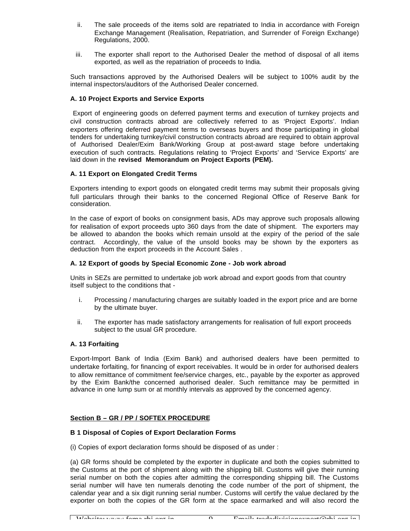- ii. The sale proceeds of the items sold are repatriated to India in accordance with Foreign Exchange Management (Realisation, Repatriation, and Surrender of Foreign Exchange) Regulations, 2000.
- iii. The exporter shall report to the Authorised Dealer the method of disposal of all items exported, as well as the repatriation of proceeds to India.

Such transactions approved by the Authorised Dealers will be subject to 100% audit by the internal inspectors/auditors of the Authorised Dealer concerned.

#### **A. 10 Project Exports and Service Exports**

 Export of engineering goods on deferred payment terms and execution of turnkey projects and civil construction contracts abroad are collectively referred to as 'Project Exports'. Indian exporters offering deferred payment terms to overseas buyers and those participating in global tenders for undertaking turnkey/civil construction contracts abroad are required to obtain approval of Authorised Dealer/Exim Bank/Working Group at post-award stage before undertaking execution of such contracts. Regulations relating to 'Project Exports' and 'Service Exports' are laid down in the **revised Memorandum on Project Exports (PEM).**

#### **A. 11 Export on Elongated Credit Terms**

Exporters intending to export goods on elongated credit terms may submit their proposals giving full particulars through their banks to the concerned Regional Office of Reserve Bank for consideration.

In the case of export of books on consignment basis, ADs may approve such proposals allowing for realisation of export proceeds upto 360 days from the date of shipment. The exporters may be allowed to abandon the books which remain unsold at the expiry of the period of the sale contract. Accordingly, the value of the unsold books may be shown by the exporters as deduction from the export proceeds in the Account Sales .

#### **A. 12 Export of goods by Special Economic Zone - Job work abroad**

Units in SEZs are permitted to undertake job work abroad and export goods from that country itself subject to the conditions that -

- i. Processing / manufacturing charges are suitably loaded in the export price and are borne by the ultimate buyer.
- ii. The exporter has made satisfactory arrangements for realisation of full export proceeds subject to the usual GR procedure.

#### **A. 13 Forfaiting**

Export-Import Bank of India (Exim Bank) and authorised dealers have been permitted to undertake forfaiting, for financing of export receivables. It would be in order for authorised dealers to allow remittance of commitment fee/service charges, etc., payable by the exporter as approved by the Exim Bank/the concerned authorised dealer. Such remittance may be permitted in advance in one lump sum or at monthly intervals as approved by the concerned agency.

#### **Section B – GR / PP / SOFTEX PROCEDURE**

#### **B 1 Disposal of Copies of Export Declaration Forms**

(i) Copies of export declaration forms should be disposed of as under :

(a) GR forms should be completed by the exporter in duplicate and both the copies submitted to the Customs at the port of shipment along with the shipping bill. Customs will give their running serial number on both the copies after admitting the corresponding shipping bill. The Customs serial number will have ten numerals denoting the code number of the port of shipment, the calendar year and a six digit running serial number. Customs will certify the value declared by the exporter on both the copies of the GR form at the space earmarked and will also record the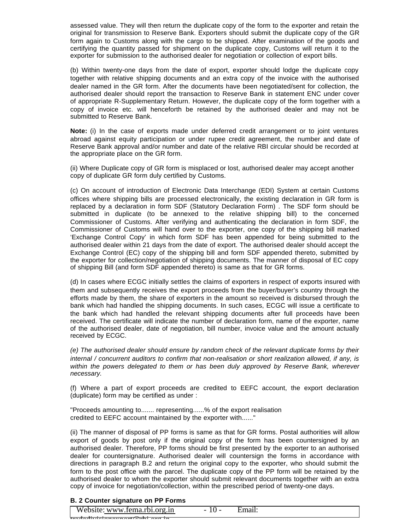assessed value. They will then return the duplicate copy of the form to the exporter and retain the original for transmission to Reserve Bank. Exporters should submit the duplicate copy of the GR form again to Customs along with the cargo to be shipped. After examination of the goods and certifying the quantity passed for shipment on the duplicate copy, Customs will return it to the exporter for submission to the authorised dealer for negotiation or collection of export bills.

(b) Within twenty-one days from the date of export, exporter should lodge the duplicate copy together with relative shipping documents and an extra copy of the invoice with the authorised dealer named in the GR form. After the documents have been negotiated/sent for collection, the authorised dealer should report the transaction to Reserve Bank in statement ENC under cover of appropriate R-Supplementary Return. However, the duplicate copy of the form together with a copy of invoice etc. will henceforth be retained by the authorised dealer and may not be submitted to Reserve Bank.

**Note:** (i) In the case of exports made under deferred credit arrangement or to joint ventures abroad against equity participation or under rupee credit agreement, the number and date of Reserve Bank approval and/or number and date of the relative RBI circular should be recorded at the appropriate place on the GR form.

(ii) Where Duplicate copy of GR form is misplaced or lost, authorised dealer may accept another copy of duplicate GR form duly certified by Customs.

(c) On account of introduction of Electronic Data Interchange (EDI) System at certain Customs offices where shipping bills are processed electronically, the existing declaration in GR form is replaced by a declaration in form SDF (Statutory Declaration Form) . The SDF form should be submitted in duplicate (to be annexed to the relative shipping bill) to the concerned Commissioner of Customs. After verifying and authenticating the declaration in form SDF, the Commissioner of Customs will hand over to the exporter, one copy of the shipping bill marked 'Exchange Control Copy' in which form SDF has been appended for being submitted to the authorised dealer within 21 days from the date of export. The authorised dealer should accept the Exchange Control (EC) copy of the shipping bill and form SDF appended thereto, submitted by the exporter for collection/negotiation of shipping documents. The manner of disposal of EC copy of shipping Bill (and form SDF appended thereto) is same as that for GR forms.

(d) In cases where ECGC initially settles the claims of exporters in respect of exports insured with them and subsequently receives the export proceeds from the buyer/buyer's country through the efforts made by them, the share of exporters in the amount so received is disbursed through the bank which had handled the shipping documents. In such cases, ECGC will issue a certificate to the bank which had handled the relevant shipping documents after full proceeds have been received. The certificate will indicate the number of declaration form, name of the exporter, name of the authorised dealer, date of negotiation, bill number, invoice value and the amount actually received by ECGC.

*(e) The authorised dealer should ensure by random check of the relevant duplicate forms by their internal / concurrent auditors to confirm that non-realisation or short realization allowed, if any, is within the powers delegated to them or has been duly approved by Reserve Bank, wherever necessary.*

(f) Where a part of export proceeds are credited to EEFC account, the export declaration (duplicate) form may be certified as under :

"Proceeds amounting to....... representing......% of the export realisation credited to EEFC account maintained by the exporter with......"

(ii) The manner of disposal of PP forms is same as that for GR forms. Postal authorities will allow export of goods by post only if the original copy of the form has been countersigned by an authorised dealer. Therefore, PP forms should be first presented by the exporter to an authorised dealer for countersignature. Authorised dealer will countersign the forms in accordance with directions in paragraph B.2 and return the original copy to the exporter, who should submit the form to the post office with the parcel. The duplicate copy of the PP form will be retained by the authorised dealer to whom the exporter should submit relevant documents together with an extra copy of invoice for negotiation/collection, within the prescribed period of twenty-one days.

#### **B. 2 Counter signature on PP Forms**

| $-$<br>$-1$<br>w<br>AVAZAV<br>'.Ih<br>,,<br>,, | $\overline{\phantom{0}}$<br>- |  |
|------------------------------------------------|-------------------------------|--|
|                                                |                               |  |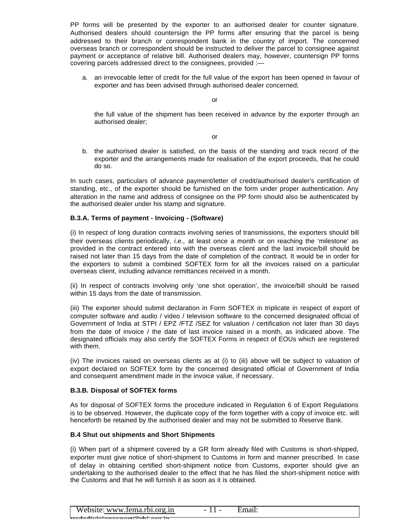PP forms will be presented by the exporter to an authorised dealer for counter signature. Authorised dealers should countersign the PP forms after ensuring that the parcel is being addressed to their branch or correspondent bank in the country of import. The concerned overseas branch or correspondent should be instructed to deliver the parcel to consignee against payment or acceptance of relative bill. Authorised dealers may, however, countersign PP forms covering parcels addressed direct to the consignees, provided :—

a. an irrevocable letter of credit for the full value of the export has been opened in favour of exporter and has been advised through authorised dealer concerned;

or

the full value of the shipment has been received in advance by the exporter through an authorised dealer;

or

b. the authorised dealer is satisfied, on the basis of the standing and track record of the exporter and the arrangements made for realisation of the export proceeds, that he could do so.

In such cases, particulars of advance payment/letter of credit/authorised dealer's certification of standing, etc., of the exporter should be furnished on the form under proper authentication. Any alteration in the name and address of consignee on the PP form should also be authenticated by the authorised dealer under his stamp and signature.

# **B.3.A. Terms of payment - Invoicing - (Software)**

(i) In respect of long duration contracts involving series of transmissions, the exporters should bill their overseas clients periodically, *i.e.,* at least once a month or on reaching the 'milestone' as provided in the contract entered into with the overseas client and the last invoice/bill should be raised not later than 15 days from the date of completion of the contract. It would be in order for the exporters to submit a combined SOFTEX form for all the invoices raised on a particular overseas client, including advance remittances received in a month.

(ii) In respect of contracts involving only 'one shot operation', the invoice/bill should be raised within 15 days from the date of transmission.

(iii) The exporter should submit declaration in Form SOFTEX in triplicate in respect of export of computer software and audio / video / television software to the concerned designated official of Government of India at STPI / EPZ /FTZ /SEZ for valuation / certification not later than 30 days from the date of invoice / the date of last invoice raised in a month, as indicated above. The designated officials may also certify the SOFTEX Forms in respect of EOUs which are registered with them.

(iv) The invoices raised on overseas clients as at (i) to (iii) above will be subject to valuation of export declared on SOFTEX form by the concerned designated official of Government of India and consequent amendment made in the invoice value, if necessary.

#### **B.3.B. Disposal of SOFTEX forms**

As for disposal of SOFTEX forms the procedure indicated in Regulation 6 of Export Regulations is to be observed. However, the duplicate copy of the form together with a copy of invoice etc. will henceforth be retained by the authorised dealer and may not be submitted to Reserve Bank.

#### **B.4 Shut out shipments and Short Shipments**

(i) When part of a shipment covered by a GR form already filed with Customs is short-shipped, exporter must give notice of short-shipment to Customs in form and manner prescribed. In case of delay in obtaining certified short-shipment notice from Customs, exporter should give an undertaking to the authorised dealer to the effect that he has filed the short-shipment notice with the Customs and that he will furnish it as soon as it is obtained.

| org.in<br>w<br>WWW.<br>тени<br>,,, | $\overline{\phantom{0}}$ |  |
|------------------------------------|--------------------------|--|
| $0.490$ $0.42$<br>$+$              |                          |  |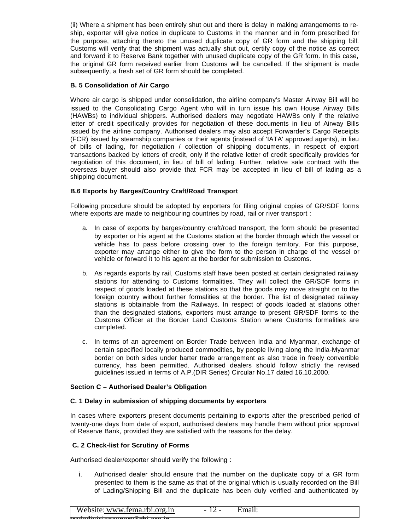(ii) Where a shipment has been entirely shut out and there is delay in making arrangements to reship, exporter will give notice in duplicate to Customs in the manner and in form prescribed for the purpose, attaching thereto the unused duplicate copy of GR form and the shipping bill. Customs will verify that the shipment was actually shut out, certify copy of the notice as correct and forward it to Reserve Bank together with unused duplicate copy of the GR form. In this case, the original GR form received earlier from Customs will be cancelled. If the shipment is made subsequently, a fresh set of GR form should be completed.

# **B. 5 Consolidation of Air Cargo**

Where air cargo is shipped under consolidation, the airline company's Master Airway Bill will be issued to the Consolidating Cargo Agent who will in turn issue his own House Airway Bills (HAWBs) to individual shippers. Authorised dealers may negotiate HAWBs only if the relative letter of credit specifically provides for negotiation of these documents in lieu of Airway Bills issued by the airline company. Authorised dealers may also accept Forwarder's Cargo Receipts (FCR) issued by steamship companies or their agents (instead of 'IATA' approved agents), in lieu of bills of lading, for negotiation / collection of shipping documents, in respect of export transactions backed by letters of credit, only if the relative letter of credit specifically provides for negotiation of this document, in lieu of bill of lading. Further, relative sale contract with the overseas buyer should also provide that FCR may be accepted in lieu of bill of lading as a shipping document.

# **B.6 Exports by Barges/Country Craft/Road Transport**

Following procedure should be adopted by exporters for filing original copies of GR/SDF forms where exports are made to neighbouring countries by road, rail or river transport :

- a. In case of exports by barges/country craft/road transport, the form should be presented by exporter or his agent at the Customs station at the border through which the vessel or vehicle has to pass before crossing over to the foreign territory. For this purpose, exporter may arrange either to give the form to the person in charge of the vessel or vehicle or forward it to his agent at the border for submission to Customs.
- b. As regards exports by rail, Customs staff have been posted at certain designated railway stations for attending to Customs formalities. They will collect the GR/SDF forms in respect of goods loaded at these stations so that the goods may move straight on to the foreign country without further formalities at the border. The list of designated railway stations is obtainable from the Railways. In respect of goods loaded at stations other than the designated stations, exporters must arrange to present GR/SDF forms to the Customs Officer at the Border Land Customs Station where Customs formalities are completed.
- c. In terms of an agreement on Border Trade between India and Myanmar, exchange of certain specified locally produced commodities, by people living along the India-Myanmar border on both sides under barter trade arrangement as also trade in freely convertible currency, has been permitted. Authorised dealers should follow strictly the revised guidelines issued in terms of A.P.(DIR Series) Circular No.17 dated 16.10.2000.

# **Section C – Authorised Dealer's Obligation**

# **C. 1 Delay in submission of shipping documents by exporters**

In cases where exporters present documents pertaining to exports after the prescribed period of twenty-one days from date of export, authorised dealers may handle them without prior approval of Reserve Bank, provided they are satisfied with the reasons for the delay.

# **C. 2 Check-list for Scrutiny of Forms**

Authorised dealer/exporter should verify the following :

i. Authorised dealer should ensure that the number on the duplicate copy of a GR form presented to them is the same as that of the original which is usually recorded on the Bill of Lading/Shipping Bill and the duplicate has been duly verified and authenticated by

| --<br>--<br>M.<br>AVALAVAL<br>. 111                                                         |  |  |
|---------------------------------------------------------------------------------------------|--|--|
| $t_{\text{max}}$ dedividence and $t_{\text{max}}$ and $t_{\text{max}}$ and $t_{\text{max}}$ |  |  |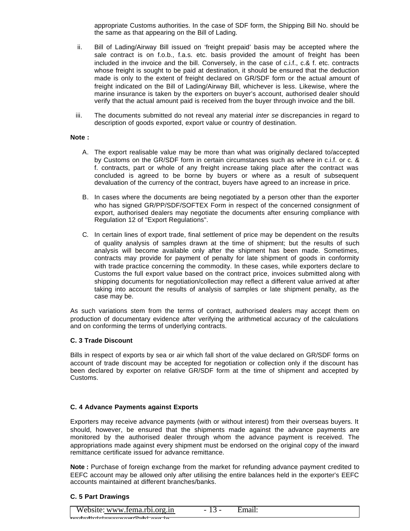appropriate Customs authorities. In the case of SDF form, the Shipping Bill No. should be the same as that appearing on the Bill of Lading.

- ii. Bill of Lading/Airway Bill issued on 'freight prepaid' basis may be accepted where the sale contract is on f.o.b., f.a.s. etc. basis provided the amount of freight has been included in the invoice and the bill. Conversely, in the case of c.i.f., c.& f. etc. contracts whose freight is sought to be paid at destination, it should be ensured that the deduction made is only to the extent of freight declared on GR/SDF form or the actual amount of freight indicated on the Bill of Lading/Airway Bill, whichever is less. Likewise, where the marine insurance is taken by the exporters on buyer's account, authorised dealer should verify that the actual amount paid is received from the buyer through invoice and the bill.
- iii. The documents submitted do not reveal any material *inter se* discrepancies in regard to description of goods exported, export value or country of destination.

#### **Note :**

- A. The export realisable value may be more than what was originally declared to/accepted by Customs on the GR/SDF form in certain circumstances such as where in c.i.f. or c. & f. contracts, part or whole of any freight increase taking place after the contract was concluded is agreed to be borne by buyers or where as a result of subsequent devaluation of the currency of the contract, buyers have agreed to an increase in price.
- B. In cases where the documents are being negotiated by a person other than the exporter who has signed GR/PP/SDF/SOFTEX Form in respect of the concerned consignment of export, authorised dealers may negotiate the documents after ensuring compliance with Regulation 12 of "Export Regulations".
- C. In certain lines of export trade, final settlement of price may be dependent on the results of quality analysis of samples drawn at the time of shipment; but the results of such analysis will become available only after the shipment has been made. Sometimes, contracts may provide for payment of penalty for late shipment of goods in conformity with trade practice concerning the commodity. In these cases, while exporters declare to Customs the full export value based on the contract price, invoices submitted along with shipping documents for negotiation/collection may reflect a different value arrived at after taking into account the results of analysis of samples or late shipment penalty, as the case may be.

As such variations stem from the terms of contract, authorised dealers may accept them on production of documentary evidence after verifying the arithmetical accuracy of the calculations and on conforming the terms of underlying contracts.

#### **C. 3 Trade Discount**

Bills in respect of exports by sea or air which fall short of the value declared on GR/SDF forms on account of trade discount may be accepted for negotiation or collection only if the discount has been declared by exporter on relative GR/SDF form at the time of shipment and accepted by Customs.

#### **C. 4 Advance Payments against Exports**

Exporters may receive advance payments (with or without interest) from their overseas buyers. It should, however, be ensured that the shipments made against the advance payments are monitored by the authorised dealer through whom the advance payment is received. The appropriations made against every shipment must be endorsed on the original copy of the inward remittance certificate issued for advance remittance.

**Note**: Purchase of foreign exchange from the market for refunding advance payment credited to EEFC account may be allowed only after utilising the entire balances held in the exporter's EEFC accounts maintained at different branches/banks.

#### **C. 5 Part Drawings**

| $-$<br>---<br>AVAZAY AV<br>. |  |  |
|------------------------------|--|--|
|                              |  |  |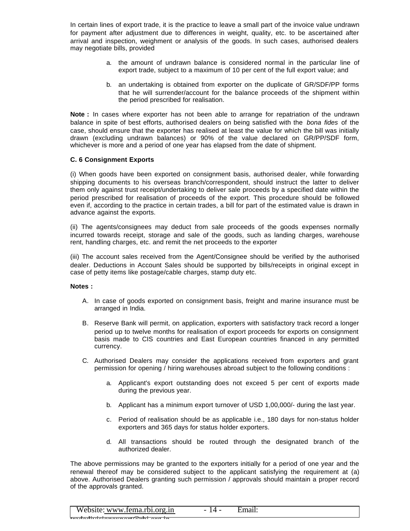In certain lines of export trade, it is the practice to leave a small part of the invoice value undrawn for payment after adjustment due to differences in weight, quality, etc. to be ascertained after arrival and inspection, weighment or analysis of the goods. In such cases, authorised dealers may negotiate bills, provided

- a. the amount of undrawn balance is considered normal in the particular line of export trade, subject to a maximum of 10 per cent of the full export value; and
- b. an undertaking is obtained from exporter on the duplicate of GR/SDF/PP forms that he will surrender/account for the balance proceeds of the shipment within the period prescribed for realisation.

**Note :** In cases where exporter has not been able to arrange for repatriation of the undrawn balance in spite of best efforts, authorised dealers on being satisfied with the *bona fides* of the case, should ensure that the exporter has realised at least the value for which the bill was initially drawn (excluding undrawn balances) or 90% of the value declared on GR/PP/SDF form, whichever is more and a period of one year has elapsed from the date of shipment.

#### **C. 6 Consignment Exports**

(i) When goods have been exported on consignment basis, authorised dealer, while forwarding shipping documents to his overseas branch/correspondent, should instruct the latter to deliver them only against trust receipt/undertaking to deliver sale proceeds by a specified date within the period prescribed for realisation of proceeds of the export. This procedure should be followed even if, according to the practice in certain trades, a bill for part of the estimated value is drawn in advance against the exports.

(ii) The agents/consignees may deduct from sale proceeds of the goods expenses normally incurred towards receipt, storage and sale of the goods, such as landing charges, warehouse rent, handling charges, etc. and remit the net proceeds to the exporter

(iii) The account sales received from the Agent/Consignee should be verified by the authorised dealer. Deductions in Account Sales should be supported by bills/receipts in original except in case of petty items like postage/cable charges, stamp duty etc.

#### **Notes :**

- A. In case of goods exported on consignment basis, freight and marine insurance must be arranged in India.
- B. Reserve Bank will permit, on application, exporters with satisfactory track record a longer period up to twelve months for realisation of export proceeds for exports on consignment basis made to CIS countries and East European countries financed in any permitted currency.
- C. Authorised Dealers may consider the applications received from exporters and grant permission for opening / hiring warehouses abroad subject to the following conditions :
	- a. Applicant's export outstanding does not exceed 5 per cent of exports made during the previous year.
	- b. Applicant has a minimum export turnover of USD 1,00,000/- during the last year.
	- c. Period of realisation should be as applicable i.e., 180 days for non-status holder exporters and 365 days for status holder exporters.
	- d. All transactions should be routed through the designated branch of the authorized dealer.

The above permissions may be granted to the exporters initially for a period of one year and the renewal thereof may be considered subject to the applicant satisfying the requirement at (a) above. Authorised Dealers granting such permission / approvals should maintain a proper record of the approvals granted.

| --<br>$\mathbf{M}$<br>$\mathbf{M}$<br>$\mathbf{M}$<br>-111 | - |  |
|------------------------------------------------------------|---|--|
|                                                            |   |  |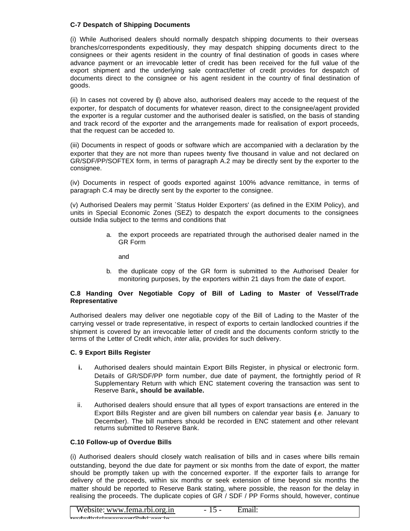## **C-7 Despatch of Shipping Documents**

(i) While Authorised dealers should normally despatch shipping documents to their overseas branches/correspondents expeditiously, they may despatch shipping documents direct to the consignees or their agents resident in the country of final destination of goods in cases where advance payment or an irrevocable letter of credit has been received for the full value of the export shipment and the underlying sale contract/letter of credit provides for despatch of documents direct to the consignee or his agent resident in the country of final destination of goods.

(ii) In cases not covered by (*i*) above also, authorised dealers may accede to the request of the exporter, for despatch of documents for whatever reason, direct to the consignee/agent provided the exporter is a regular customer and the authorised dealer is satisfied, on the basis of standing and track record of the exporter and the arrangements made for realisation of export proceeds, that the request can be acceded to.

(iii) Documents in respect of goods or software which are accompanied with a declaration by the exporter that they are not more than rupees twenty five thousand in value and not declared on GR/SDF/PP/SOFTEX form, in terms of paragraph A.2 may be directly sent by the exporter to the consignee.

(iv) Documents in respect of goods exported against 100% advance remittance, in terms of paragraph C.4 may be directly sent by the exporter to the consignee.

(v) Authorised Dealers may permit `Status Holder Exporters' (as defined in the EXIM Policy), and units in Special Economic Zones (SEZ) to despatch the export documents to the consignees outside India subject to the terms and conditions that

> a. the export proceeds are repatriated through the authorised dealer named in the GR Form

and

b. the duplicate copy of the GR form is submitted to the Authorised Dealer for monitoring purposes, by the exporters within 21 days from the date of export.

#### **C.8 Handing Over Negotiable Copy of Bill of Lading to Master of Vessel/Trade Representative**

Authorised dealers may deliver one negotiable copy of the Bill of Lading to the Master of the carrying vessel or trade representative, in respect of exports to certain landlocked countries if the shipment is covered by an irrevocable letter of credit and the documents conform strictly to the terms of the Letter of Credit which, *inter alia*, provides for such delivery.

#### **C. 9 Export Bills Register**

- **i.** Authorised dealers should maintain Export Bills Register, in physical or electronic form. Details of GR/SDF/PP form number, due date of payment, the fortnightly period of R Supplementary Return with which ENC statement covering the transaction was sent to Reserve Bank**, should be available.**
- ii. Authorised dealers should ensure that all types of export transactions are entered in the Export Bills Register and are given bill numbers on calendar year basis (*i.e.* January to December). The bill numbers should be recorded in ENC statement and other relevant returns submitted to Reserve Bank.

#### **C.10 Follow-up of Overdue Bills**

(i) Authorised dealers should closely watch realisation of bills and in cases where bills remain outstanding, beyond the due date for payment or six months from the date of export, the matter should be promptly taken up with the concerned exporter. If the exporter fails to arrange for delivery of the proceeds, within six months or seek extension of time beyond six months the matter should be reported to Reserve Bank stating, where possible, the reason for the delay in realising the proceeds. The duplicate copies of GR / SDF / PP Forms should, however, continue

| $-$<br>$\sim$ $\sim$ $\sim$<br>! . III<br>www<br>т неппят.<br>. ונ | - |  |
|--------------------------------------------------------------------|---|--|
| $\frac{1}{2}$ and a division on our case out (0) what case in      |   |  |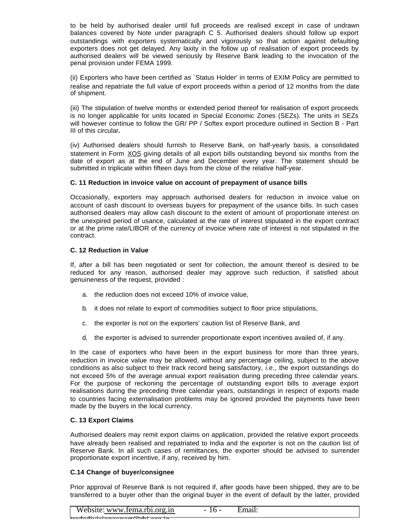to be held by authorised dealer until full proceeds are realised except in case of undrawn balances covered by Note under paragraph C 5. Authorised dealers should follow up export outstandings with exporters systematically and vigorously so that action against defaulting exporters does not get delayed. Any laxity in the follow up of realisation of export proceeds by authorised dealers will be viewed seriously by Reserve Bank leading to the invocation of the penal provision under FEMA 1999.

(ii) Exporters who have been certified as `Status Holder' in terms of EXIM Policy are permitted to realise and repatriate the full value of export proceeds within a period of 12 months from the date of shipment.

(iii) The stipulation of twelve months or extended period thereof for realisation of export proceeds is no longer applicable for units located in Special Economic Zones (SEZs). The units in SEZs will however continue to follow the GR/ PP / Softex export procedure outlined in Section B - Part III of this circular**.**

(iv) Authorised dealers should furnish to Reserve Bank, on half-yearly basis, a consolidated statement in Form XOS giving details of all export bills outstanding beyond six months from the date of export as at the end of June and December every year. The statement should be submitted in triplicate within fifteen days from the close of the relative half-year.

# **C. 11 Reduction in invoice value on account of prepayment of usance bills**

Occasionally, exporters may approach authorised dealers for reduction in invoice value on account of cash discount to overseas buyers for prepayment of the usance bills. In such cases authorised dealers may allow cash discount to the extent of amount of proportionate interest on the unexpired period of usance, calculated at the rate of interest stipulated in the export contract or at the prime rate/LIBOR of the currency of invoice where rate of interest is not stipulated in the contract.

#### **C. 12 Reduction in Value**

If, after a bill has been negotiated or sent for collection, the amount thereof is desired to be reduced for any reason, authorised dealer may approve such reduction, if satisfied about genuineness of the request, provided :

- a. the reduction does not exceed 10% of invoice value,
- b. it does not relate to export of commodities subject to floor price stipulations,
- c. the exporter is not on the exporters' caution list of Reserve Bank, and
- d. the exporter is advised to surrender proportionate export incentives availed of, if any.

In the case of exporters who have been in the export business for more than three years, reduction in invoice value may be allowed, without any percentage ceiling, subject to the above conditions as also subject to their track record being satisfactory, *i.e.,* the export outstandings do not exceed 5% of the average annual export realisation during preceding three calendar years. For the purpose of reckoning the percentage of outstanding export bills to average export realisations during the preceding three calendar years, outstandings in respect of exports made to countries facing externalisation problems may be ignored provided the payments have been made by the buyers in the local currency.

#### **C. 13 Export Claims**

Authorised dealers may remit export claims on application, provided the relative export proceeds have already been realised and repatriated to India and the exporter is not on the caution list of Reserve Bank. In all such cases of remittances, the exporter should be advised to surrender proportionate export incentive, if any, received by him.

#### **C.14 Change of buyer/consignee**

Prior approval of Reserve Bank is not required if, after goods have been shipped, they are to be transferred to a buyer other than the original buyer in the event of default by the latter, provided

| - -<br>AN AN AN<br>-111 |  |  |
|-------------------------|--|--|
| $+$ 40 $\sim$ $\sim$    |  |  |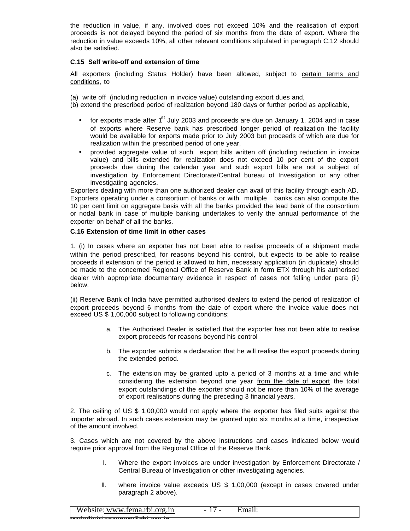the reduction in value, if any, involved does not exceed 10% and the realisation of export proceeds is not delayed beyond the period of six months from the date of export. Where the reduction in value exceeds 10%, all other relevant conditions stipulated in paragraph C.12 should also be satisfied.

# **C.15 Self write-off and extension of time**

All exporters (including Status Holder) have been allowed, subject to certain terms and conditions, to

(a) write off (including reduction in invoice value) outstanding export dues and,

- (b) extend the prescribed period of realization beyond 180 days or further period as applicable,
	- for exports made after  $1<sup>st</sup>$  July 2003 and proceeds are due on January 1, 2004 and in case of exports where Reserve bank has prescribed longer period of realization the facility would be available for exports made prior to July 2003 but proceeds of which are due for realization within the prescribed period of one year,
	- provided aggregate value of such export bills written off (including reduction in invoice value) and bills extended for realization does not exceed 10 per cent of the export proceeds due during the calendar year and such export bills are not a subject of investigation by Enforcement Directorate/Central bureau of Investigation or any other investigating agencies.

Exporters dealing with more than one authorized dealer can avail of this facility through each AD. Exporters operating under a consortium of banks or with multiple banks can also compute the 10 per cent limit on aggregate basis with all the banks provided the lead bank of the consortium or nodal bank in case of multiple banking undertakes to verify the annual performance of the exporter on behalf of all the banks.

# **C.16 Extension of time limit in other cases**

1. (i) In cases where an exporter has not been able to realise proceeds of a shipment made within the period prescribed, for reasons beyond his control, but expects to be able to realise proceeds if extension of the period is allowed to him, necessary application (in duplicate) should be made to the concerned Regional Office of Reserve Bank in form ETX through his authorised dealer with appropriate documentary evidence in respect of cases not falling under para (ii) below.

(ii) Reserve Bank of India have permitted authorised dealers to extend the period of realization of export proceeds beyond 6 months from the date of export where the invoice value does not exceed US \$ 1,00,000 subject to following conditions;

- a. The Authorised Dealer is satisfied that the exporter has not been able to realise export proceeds for reasons beyond his control
- b. The exporter submits a declaration that he will realise the export proceeds during the extended period.
- c. The extension may be granted upto a period of 3 months at a time and while considering the extension beyond one year from the date of export the total export outstandings of the exporter should not be more than 10% of the average of export realisations during the preceding 3 financial years.

2. The ceiling of US \$ 1,00,000 would not apply where the exporter has filed suits against the importer abroad. In such cases extension may be granted upto six months at a time, irrespective of the amount involved.

3. Cases which are not covered by the above instructions and cases indicated below would require prior approval from the Regional Office of the Reserve Bank.

- I. Where the export invoices are under investigation by Enforcement Directorate / Central Bureau of Investigation or other investigating agencies.
- II. where invoice value exceeds US \$ 1,00,000 (except in cases covered under paragraph 2 above).

| $\mathbf{M}$<br>. |  |  |
|-------------------|--|--|
|                   |  |  |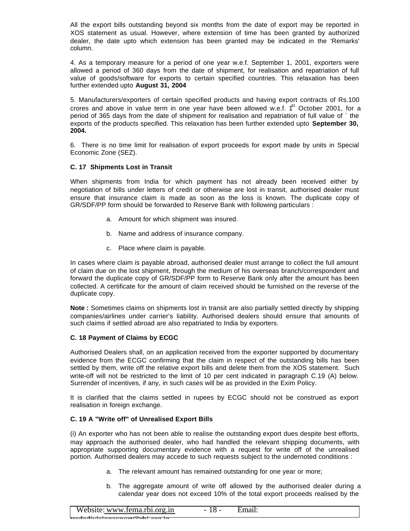All the export bills outstanding beyond six months from the date of export may be reported in XOS statement as usual. However, where extension of time has been granted by authorized dealer, the date upto which extension has been granted may be indicated in the 'Remarks' column.

4. As a temporary measure for a period of one year w.e.f. September 1, 2001, exporters were allowed a period of 360 days from the date of shipment, for realisation and repatriation of full value of goods/software for exports to certain specified countries. This relaxation has been further extended upto **August 31, 2004**

5. Manufacturers/exporters of certain specified products and having export contracts of Rs.100 crores and above in value term in one year have been allowed w.e.f.  $1^{\text{st}}$  October 2001, for a period of 365 days from the date of shipment for realisation and repatriation of full value of ` the exports of the products specified. This relaxation has been further extended upto **September 30, 2004.**

6. There is no time limit for realisation of export proceeds for export made by units in Special Economic Zone (SEZ).

#### **C. 17 Shipments Lost in Transit**

When shipments from India for which payment has not already been received either by negotiation of bills under letters of credit or otherwise are lost in transit, authorised dealer must ensure that insurance claim is made as soon as the loss is known. The duplicate copy of GR/SDF/PP form should be forwarded to Reserve Bank with following particulars :

- a. Amount for which shipment was insured.
- b. Name and address of insurance company.
- c. Place where claim is payable.

In cases where claim is payable abroad, authorised dealer must arrange to collect the full amount of claim due on the lost shipment, through the medium of his overseas branch/correspondent and forward the duplicate copy of GR/SDF/PP form to Reserve Bank only after the amount has been collected. A certificate for the amount of claim received should be furnished on the reverse of the duplicate copy.

**Note :** Sometimes claims on shipments lost in transit are also partially settled directly by shipping companies/airlines under carrier's liability. Authorised dealers should ensure that amounts of such claims if settled abroad are also repatriated to India by exporters.

#### **C. 18 Payment of Claims by ECGC**

Authorised Dealers shall, on an application received from the exporter supported by documentary evidence from the ECGC confirming that the claim in respect of the outstanding bills has been settled by them, write off the relative export bills and delete them from the XOS statement. Such write-off will not be restricted to the limit of 10 per cent indicated in paragraph C.19 (A) below. Surrender of incentives, if any, in such cases will be as provided in the Exim Policy.

It is clarified that the claims settled in rupees by ECGC should not be construed as export realisation in foreign exchange.

#### **C. 19 A "Write off" of Unrealised Export Bills**

(i) An exporter who has not been able to realise the outstanding export dues despite best efforts, may approach the authorised dealer, who had handled the relevant shipping documents, with appropriate supporting documentary evidence with a request for write off of the unrealised portion. Authorised dealers may accede to such requests subject to the undernoted conditions :

- a. The relevant amount has remained outstanding for one year or more;
- b. The aggregate amount of write off allowed by the authorised dealer during a calendar year does not exceed 10% of the total export proceeds realised by the

| org.in<br>AVAZAY ANZ                       |  |  |
|--------------------------------------------|--|--|
|                                            |  |  |
| $+400000111010100010010011001001000100100$ |  |  |
|                                            |  |  |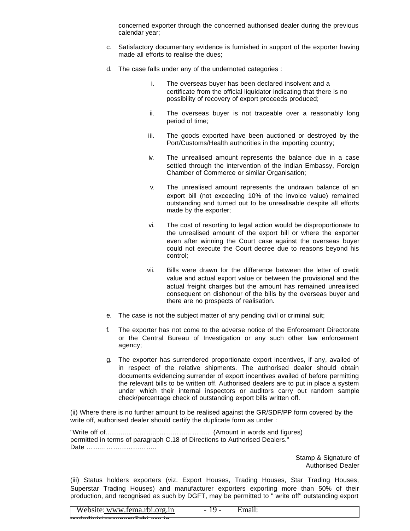concerned exporter through the concerned authorised dealer during the previous calendar year;

- c. Satisfactory documentary evidence is furnished in support of the exporter having made all efforts to realise the dues;
- d. The case falls under any of the undernoted categories :
	- i. The overseas buyer has been declared insolvent and a certificate from the official liquidator indicating that there is no possibility of recovery of export proceeds produced;
	- ii. The overseas buyer is not traceable over a reasonably long period of time;
	- iii. The goods exported have been auctioned or destroyed by the Port/Customs/Health authorities in the importing country;
	- iv. The unrealised amount represents the balance due in a case settled through the intervention of the Indian Embassy, Foreign Chamber of Commerce or similar Organisation;
	- v. The unrealised amount represents the undrawn balance of an export bill (not exceeding 10% of the invoice value) remained outstanding and turned out to be unrealisable despite all efforts made by the exporter;
	- vi. The cost of resorting to legal action would be disproportionate to the unrealised amount of the export bill or where the exporter even after winning the Court case against the overseas buyer could not execute the Court decree due to reasons beyond his control;
	- vii. Bills were drawn for the difference between the letter of credit value and actual export value or between the provisional and the actual freight charges but the amount has remained unrealised consequent on dishonour of the bills by the overseas buyer and there are no prospects of realisation.
- e. The case is not the subject matter of any pending civil or criminal suit;
- f. The exporter has not come to the adverse notice of the Enforcement Directorate or the Central Bureau of Investigation or any such other law enforcement agency;
- g. The exporter has surrendered proportionate export incentives, if any, availed of in respect of the relative shipments. The authorised dealer should obtain documents evidencing surrender of export incentives availed of before permitting the relevant bills to be written off. Authorised dealers are to put in place a system under which their internal inspectors or auditors carry out random sample check/percentage check of outstanding export bills written off.

(ii) Where there is no further amount to be realised against the GR/SDF/PP form covered by the write off, authorised dealer should certify the duplicate form as under :

"Write off of...........……………………………….. (Amount in words and figures) permitted in terms of paragraph C.18 of Directions to Authorised Dealers." Date …………………………..

> Stamp & Signature of Authorised Dealer

(iii) Status holders exporters (viz. Export Houses, Trading Houses, Star Trading Houses, Superstar Trading Houses) and manufacturer exporters exporting more than 50% of their production, and recognised as such by DGFT, may be permitted to " write off" outstanding export

| $- - -$<br>org.in<br>$\mathbf{M}$<br>$\mathbf{M}$ | - |  |
|---------------------------------------------------|---|--|
|                                                   |   |  |
|                                                   |   |  |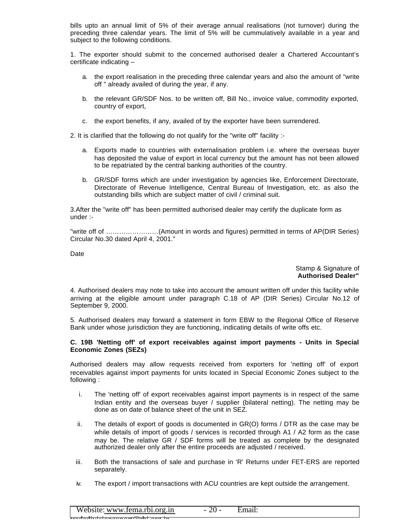bills upto an annual limit of 5% of their average annual realisations (not turnover) during the preceding three calendar years. The limit of 5% will be cummulatively available in a year and subject to the following conditions.

1. The exporter should submit to the concerned authorised dealer a Chartered Accountant's certificate indicating –

- a. the export realisation in the preceding three calendar years and also the amount of "write off " already availed of during the year, if any.
- b. the relevant GR/SDF Nos. to be written off, Bill No., invoice value, commodity exported, country of export,
- c. the export benefits, if any, availed of by the exporter have been surrendered.

2. It is clarified that the following do not qualify for the "write off" facility :-

- a. Exports made to countries with externalisation problem i.e. where the overseas buyer has deposited the value of export in local currency but the amount has not been allowed to be repatriated by the central banking authorities of the country.
- b. GR/SDF forms which are under investigation by agencies like, Enforcement Directorate, Directorate of Revenue Intelligence, Central Bureau of Investigation, etc. as also the outstanding bills which are subject matter of civil / criminal suit.

3.After the "write off" has been permitted authorised dealer may certify the duplicate form as under :-

"write off of ……………………(Amount in words and figures) permitted in terms of AP(DIR Series) Circular No.30 dated April 4, 2001."

Date

Stamp & Signature of **Authorised Dealer"**

4. Authorised dealers may note to take into account the amount written off under this facility while arriving at the eligible amount under paragraph C.18 of AP (DIR Series) Circular No.12 of September 9, 2000.

5. Authorised dealers may forward a statement in form EBW to the Regional Office of Reserve Bank under whose jurisdiction they are functioning, indicating details of write offs etc.

## **C. 19B 'Netting off' of export receivables against import payments - Units in Special Economic Zones (SEZs)**

Authorised dealers may allow requests received from exporters for 'netting off' of export receivables against import payments for units located in Special Economic Zones subject to the following :

- i. The 'netting off' of export receivables against import payments is in respect of the same Indian entity and the overseas buyer / supplier (bilateral netting). The netting may be done as on date of balance sheet of the unit in SEZ.
- ii. The details of export of goods is documented in GR(O) forms / DTR as the case may be while details of import of goods / services is recorded through A1 / A2 form as the case may be. The relative GR / SDF forms will be treated as complete by the designated authorized dealer only after the entire proceeds are adjusted / received.
- iii. Both the transactions of sale and purchase in 'R' Returns under FET-ERS are reported separately.
- iv. The export / import transactions with ACU countries are kept outside the arrangement.

| $- - -$<br>org.in<br><b>SAMP</b><br>$\mathbf{M}$<br>W<br>$\sim$                | ▰ |  |
|--------------------------------------------------------------------------------|---|--|
|                                                                                |   |  |
| $tan \alpha$ d $cos \alpha$ and $cos \alpha$ and $sin \alpha$ and $cos \alpha$ |   |  |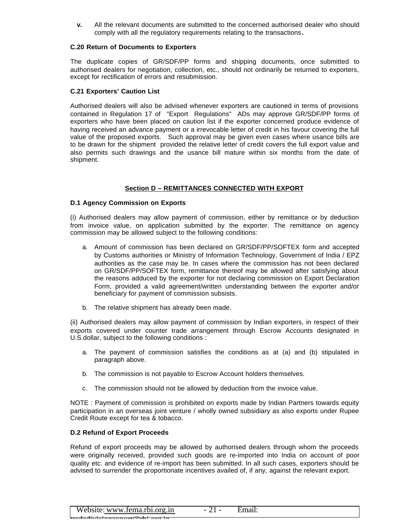**v.** All the relevant documents are submitted to the concerned authorised dealer who should comply with all the regulatory requirements relating to the transactions**.**

#### **C.20 Return of Documents to Exporters**

The duplicate copies of GR/SDF/PP forms and shipping documents, once submitted to authorised dealers for negotiation, collection, etc., should not ordinarily be returned to exporters, except for rectification of errors and resubmission.

#### **C.21 Exporters' Caution List**

Authorised dealers will also be advised whenever exporters are cautioned in terms of provisions contained in Regulation 17 of "Export Regulations" ADs may approve GR/SDF/PP forms of exporters who have been placed on caution list if the exporter concerned produce evidence of having received an advance payment or a irrevocable letter of credit in his favour covering the full value of the proposed exports. Such approval may be given even cases where usance bills are to be drawn for the shipment provided the relative letter of credit covers the full export value and also permits such drawings and the usance bill mature within six months from the date of shipment.

#### **Section D – REMITTANCES CONNECTED WITH EXPORT**

#### **D.1 Agency Commission on Exports**

(i) Authorised dealers may allow payment of commission, either by remittance or by deduction from invoice value, on application submitted by the exporter. The remittance on agency commission may be allowed subject to the following conditions:

- a. Amount of commission has been declared on GR/SDF/PP/SOFTEX form and accepted by Customs authorities or Ministry of Information Technology, Government of India / EPZ authorities as the case may be. In cases where the commission has not been declared on GR/SDF/PP/SOFTEX form, remittance thereof may be allowed after satisfying about the reasons adduced by the exporter for not declaring commission on Export Declaration Form, provided a valid agreement/written understanding between the exporter and/or beneficiary for payment of commission subsists.
- b. The relative shipment has already been made.

(ii) Authorised dealers may allow payment of commission by Indian exporters, in respect of their exports covered under counter trade arrangement through Escrow Accounts designated in U.S.dollar, subject to the following conditions :

- a. The payment of commission satisfies the conditions as at (a) and (b) stipulated in paragraph above.
- b. The commission is not payable to Escrow Account holders themselves.
- c. The commission should not be allowed by deduction from the invoice value.

NOTE : Payment of commission is prohibited on exports made by Indian Partners towards equity participation in an overseas joint venture / wholly owned subsidiary as also exports under Rupee Credit Route except for tea & tobacco.

#### **D.2 Refund of Export Proceeds**

Refund of export proceeds may be allowed by authorised dealers through whom the proceeds were originally received, provided such goods are re-imported into India on account of poor quality etc. and evidence of re-import has been submitted. In all such cases, exporters should be advised to surrender the proportionate incentives availed of, if any, against the relevant export.

| w<br>1.rb1.org.1n<br>www.tema.<br>ebsite:                        |  |  |
|------------------------------------------------------------------|--|--|
|                                                                  |  |  |
| $\frac{1}{2}$ and a division as a created which when a second in |  |  |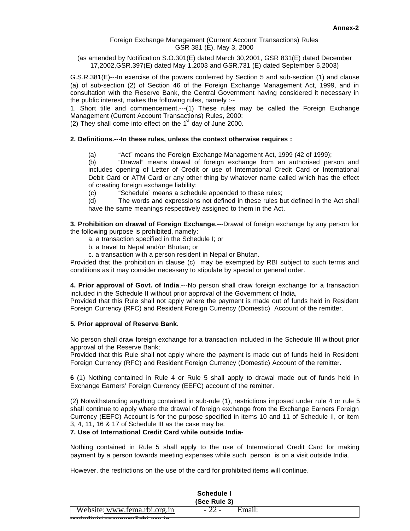#### Foreign Exchange Management (Current Account Transactions) Rules GSR 381 (E), May 3, 2000

(as amended by Notification S.O.301(E) dated March 30,2001, GSR 831(E) dated December 17,2002,GSR.397(E) dated May 1,2003 and GSR.731 (E) dated September 5,2003)

G.S.R.381(E)---In exercise of the powers conferred by Section 5 and sub-section (1) and clause (a) of sub-section (2) of Section 46 of the Foreign Exchange Management Act, 1999, and in consultation with the Reserve Bank, the Central Government having considered it necessary in the public interest, makes the following rules, namely :--

1. Short title and commencement.---(1) These rules may be called the Foreign Exchange Management (Current Account Transactions) Rules, 2000;

(2) They shall come into effect on the  $1<sup>st</sup>$  day of June 2000.

#### **2. Definitions.---In these rules, unless the context otherwise requires :**

(a) "Act" means the Foreign Exchange Management Act, 1999 (42 of 1999);

(b) "Drawal" means drawal of foreign exchange from an authorised person and includes opening of Letter of Credit or use of International Credit Card or International Debit Card or ATM Card or any other thing by whatever name called which has the effect of creating foreign exchange liability;

(c) "Schedule" means a schedule appended to these rules;

(d) The words and expressions not defined in these rules but defined in the Act shall have the same meanings respectively assigned to them in the Act.

**3. Prohibition on drawal of Foreign Exchange.**---Drawal of foreign exchange by any person for the following purpose is prohibited, namely:

- a. a transaction specified in the Schedule I; or
- b. a travel to Nepal and/or Bhutan; or

c. a transaction with a person resident in Nepal or Bhutan.

Provided that the prohibition in clause (c) may be exempted by RBI subject to such terms and conditions as it may consider necessary to stipulate by special or general order.

**4. Prior approval of Govt. of India**.---No person shall draw foreign exchange for a transaction included in the Schedule II without prior approval of the Government of India,

Provided that this Rule shall not apply where the payment is made out of funds held in Resident Foreign Currency (RFC) and Resident Foreign Currency (Domestic) Account of the remitter.

#### **5. Prior approval of Reserve Bank.**

No person shall draw foreign exchange for a transaction included in the Schedule III without prior approval of the Reserve Bank;

Provided that this Rule shall not apply where the payment is made out of funds held in Resident Foreign Currency (RFC) and Resident Foreign Currency (Domestic) Account of the remitter.

**6** (1) Nothing contained in Rule 4 or Rule 5 shall apply to drawal made out of funds held in Exchange Earners' Foreign Currency (EEFC) account of the remitter.

(2) Notwithstanding anything contained in sub-rule (1), restrictions imposed under rule 4 or rule 5 shall continue to apply where the drawal of foreign exchange from the Exchange Earners Foreign Currency (EEFC) Account is for the purpose specified in items 10 and 11 of Schedule II, or item 3, 4, 11, 16 & 17 of Schedule III as the case may be.

#### **7. Use of International Credit Card while outside India-**

Nothing contained in Rule 5 shall apply to the use of International Credit Card for making payment by a person towards meeting expenses while such person is on a visit outside India.

However, the restrictions on the use of the card for prohibited items will continue.

|                              | Schedule I<br>(See Rule 3) |       |  |
|------------------------------|----------------------------|-------|--|
| Website: www.fema.rbi.org.in | $-22-$                     | mail: |  |
| $\frac{1}{2}$                |                            |       |  |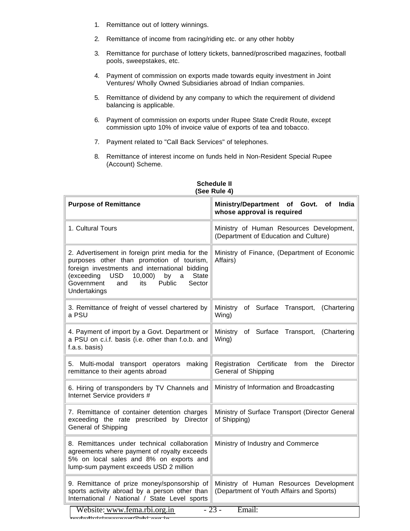- 1. Remittance out of lottery winnings.
- 2. Remittance of income from racing/riding etc. or any other hobby
- 3. Remittance for purchase of lottery tickets, banned/proscribed magazines, football pools, sweepstakes, etc.
- 4. Payment of commission on exports made towards equity investment in Joint Ventures/ Wholly Owned Subsidiaries abroad of Indian companies.
- 5. Remittance of dividend by any company to which the requirement of dividend balancing is applicable.
- 6. Payment of commission on exports under Rupee State Credit Route, except commission upto 10% of invoice value of exports of tea and tobacco.
- 7. Payment related to "Call Back Services" of telephones.
- 8. Remittance of interest income on funds held in Non-Resident Special Rupee (Account) Scheme.

| $\sigma$ $\sigma$ $\sigma$ $\sigma$                                                                                                                                                                                                                                     |                                                                                     |  |  |
|-------------------------------------------------------------------------------------------------------------------------------------------------------------------------------------------------------------------------------------------------------------------------|-------------------------------------------------------------------------------------|--|--|
| <b>Purpose of Remittance</b>                                                                                                                                                                                                                                            | Ministry/Department of Govt. of<br>India<br>whose approval is required              |  |  |
| 1. Cultural Tours                                                                                                                                                                                                                                                       | Ministry of Human Resources Development,<br>(Department of Education and Culture)   |  |  |
| 2. Advertisement in foreign print media for the<br>purposes other than promotion of tourism,<br>foreign investments and international bidding<br>(exceeding<br>USD<br>10,000<br><b>State</b><br>by<br>a<br>Government<br>Public<br>Sector<br>and<br>its<br>Undertakings | Ministry of Finance, (Department of Economic<br>Affairs)                            |  |  |
| 3. Remittance of freight of vessel chartered by<br>a PSU                                                                                                                                                                                                                | Ministry of Surface Transport, (Chartering<br>Wing)                                 |  |  |
| 4. Payment of import by a Govt. Department or<br>a PSU on c.i.f. basis (i.e. other than f.o.b. and<br>f.a.s. basis)                                                                                                                                                     | Ministry of Surface<br>Transport, (Chartering<br>Wing)                              |  |  |
| 5. Multi-modal transport operators making<br>remittance to their agents abroad                                                                                                                                                                                          | Registration Certificate from the<br><b>Director</b><br>General of Shipping         |  |  |
| 6. Hiring of transponders by TV Channels and<br>Internet Service providers #                                                                                                                                                                                            | Ministry of Information and Broadcasting                                            |  |  |
| 7. Remittance of container detention charges<br>exceeding the rate prescribed by Director<br>General of Shipping                                                                                                                                                        | Ministry of Surface Transport (Director General<br>of Shipping)                     |  |  |
| 8. Remittances under technical collaboration<br>agreements where payment of royalty exceeds<br>5% on local sales and 8% on exports and<br>lump-sum payment exceeds USD 2 million                                                                                        | Ministry of Industry and Commerce                                                   |  |  |
| 9. Remittance of prize money/sponsorship of<br>sports activity abroad by a person other than<br>International / National / State Level sports                                                                                                                           | Ministry of Human Resources Development<br>(Department of Youth Affairs and Sports) |  |  |
| $-23-$<br>Email:<br>Website: www.fema.rbi.org.in                                                                                                                                                                                                                        |                                                                                     |  |  |

#### **Schedule II (See Rule 4)**

tradedivisionexport@rbi.org.in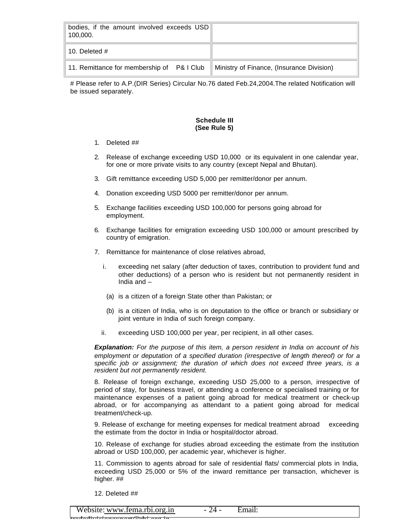| bodies, if the amount involved exceeds USD<br>100,000. |                                           |
|--------------------------------------------------------|-------------------------------------------|
| 10. Deleted $#$                                        |                                           |
| 11. Remittance for membership of P& I Club             | Ministry of Finance, (Insurance Division) |

# Please refer to A.P.(DIR Series) Circular No.76 dated Feb.24,2004.The related Notification will be issued separately.

## **Schedule III (See Rule 5)**

#### 1. Deleted ##

- 2. Release of exchange exceeding USD 10,000 or its equivalent in one calendar year, for one or more private visits to any country (except Nepal and Bhutan).
- 3. Gift remittance exceeding USD 5,000 per remitter/donor per annum.
- 4. Donation exceeding USD 5000 per remitter/donor per annum.
- 5. Exchange facilities exceeding USD 100,000 for persons going abroad for employment.
- 6. Exchange facilities for emigration exceeding USD 100,000 or amount prescribed by country of emigration.
- 7. Remittance for maintenance of close relatives abroad,
	- i. exceeding net salary (after deduction of taxes, contribution to provident fund and other deductions) of a person who is resident but not permanently resident in India and –
		- (a) is a citizen of a foreign State other than Pakistan; or
		- (b) is a citizen of India, who is on deputation to the office or branch or subsidiary or joint venture in India of such foreign company.
	- ii. exceeding USD 100,000 per year, per recipient, in all other cases.

*Explanation: For the purpose of this item, a person resident in India on account of his employment or deputation of a specified duration (irrespective of length thereof) or for a specific job or assignment; the duration of which does not exceed three years, is a resident but not permanently resident.*

8. Release of foreign exchange, exceeding USD 25,000 to a person, irrespective of period of stay, for business travel, or attending a conference or specialised training or for maintenance expenses of a patient going abroad for medical treatment or check-up abroad, or for accompanying as attendant to a patient going abroad for medical treatment/check-up.

9. Release of exchange for meeting expenses for medical treatment abroad exceeding the estimate from the doctor in India or hospital/doctor abroad.

10. Release of exchange for studies abroad exceeding the estimate from the institution abroad or USD 100,000, per academic year, whichever is higher.

11. Commission to agents abroad for sale of residential flats/ commercial plots in India, exceeding USD 25,000 or 5% of the inward remittance per transaction, whichever is higher. ##

12. Deleted ##

| AVALAVAL<br>.111                           | - |  |  |
|--------------------------------------------|---|--|--|
| $+400000111010100010010011001001000100100$ |   |  |  |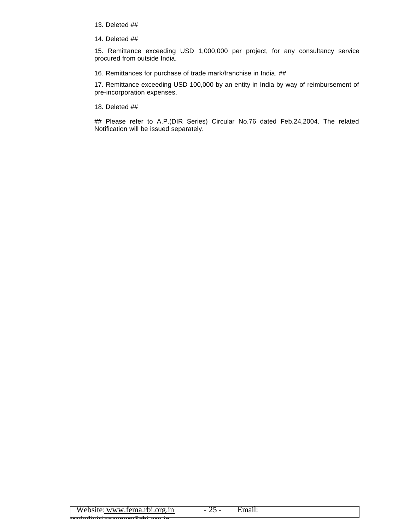- 13. Deleted ##
- 14. Deleted ##

15. Remittance exceeding USD 1,000,000 per project, for any consultancy service procured from outside India.

16. Remittances for purchase of trade mark/franchise in India. ##

17. Remittance exceeding USD 100,000 by an entity in India by way of reimbursement of pre-incorporation expenses.

18. Deleted ##

## Please refer to A.P.(DIR Series) Circular No.76 dated Feb.24,2004. The related Notification will be issued separately.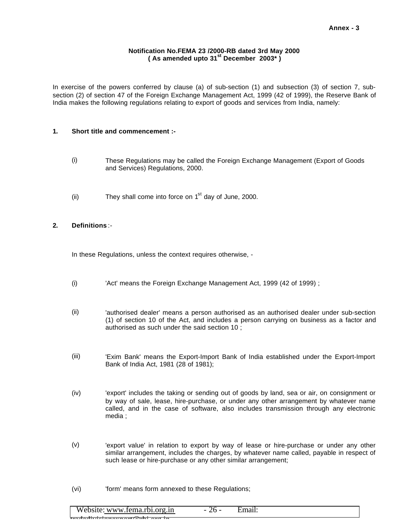#### **Notification No.FEMA 23 /2000-RB dated 3rd May 2000 ( As amended upto 31st December 2003\* )**

In exercise of the powers conferred by clause (a) of sub-section (1) and subsection (3) of section 7, subsection (2) of section 47 of the Foreign Exchange Management Act, 1999 (42 of 1999), the Reserve Bank of India makes the following regulations relating to export of goods and services from India, namely:

#### **1. Short title and commencement :-**

- (i) These Regulations may be called the Foreign Exchange Management (Export of Goods and Services) Regulations, 2000.
- (ii) They shall come into force on  $1<sup>st</sup>$  day of June, 2000.

# **2. Definitions** :-

In these Regulations, unless the context requires otherwise, -

- (i) 'Act' means the Foreign Exchange Management Act, 1999 (42 of 1999);
- (ii) 'authorised dealer' means a person authorised as an authorised dealer under sub-section (1) of section 10 of the Act, and includes a person carrying on business as a factor and authorised as such under the said section 10 ;
- (iii) 'Exim Bank' means the Export-Import Bank of India established under the Export-Import Bank of India Act, 1981 (28 of 1981);
- (iv) 'export' includes the taking or sending out of goods by land, sea or air, on consignment or by way of sale, lease, hire-purchase, or under any other arrangement by whatever name called, and in the case of software, also includes transmission through any electronic media ;
- (v) 'export value' in relation to export by way of lease or hire-purchase or under any other similar arrangement, includes the charges, by whatever name called, payable in respect of such lease or hire-purchase or any other similar arrangement;
- (vi) 'form' means form annexed to these Regulations;

| AN AN AN<br>.                              | - |  |  |
|--------------------------------------------|---|--|--|
| $+400000111010100010010011001001000100100$ |   |  |  |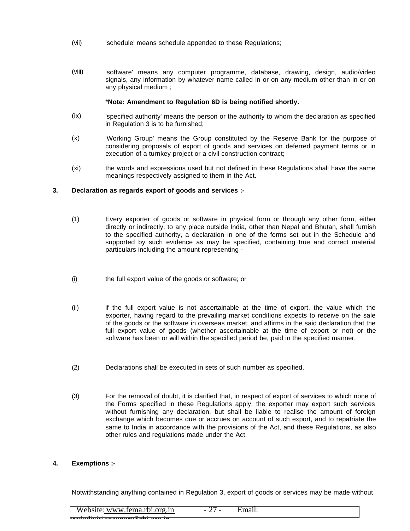- (vii) 'schedule' means schedule appended to these Regulations;
- (viii) 'software' means any computer programme, database, drawing, design, audio/video signals, any information by whatever name called in or on any medium other than in or on any physical medium ;

#### \***Note: Amendment to Regulation 6D is being notified shortly.**

- (ix) specified authority' means the person or the authority to whom the declaration as specified in Regulation 3 is to be furnished;
- (x) 'Working Group' means the Group constituted by the Reserve Bank for the purpose of considering proposals of export of goods and services on deferred payment terms or in execution of a turnkey project or a civil construction contract;
- (xi) the words and expressions used but not defined in these Regulations shall have the same meanings respectively assigned to them in the Act.

#### **3. Declaration as regards export of goods and services :-**

- (1) Every exporter of goods or software in physical form or through any other form, either directly or indirectly, to any place outside India, other than Nepal and Bhutan, shall furnish to the specified authority, a declaration in one of the forms set out in the Schedule and supported by such evidence as may be specified, containing true and correct material particulars including the amount representing -
- (i) the full export value of the goods or software; or
- (ii) if the full export value is not ascertainable at the time of export, the value which the exporter, having regard to the prevailing market conditions expects to receive on the sale of the goods or the software in overseas market, and affirms in the said declaration that the full export value of goods (whether ascertainable at the time of export or not) or the software has been or will within the specified period be, paid in the specified manner.
- (2) Declarations shall be executed in sets of such number as specified.
- (3) For the removal of doubt, it is clarified that, in respect of export of services to which none of the Forms specified in these Regulations apply, the exporter may export such services without furnishing any declaration, but shall be liable to realise the amount of foreign exchange which becomes due or accrues on account of such export, and to repatriate the same to India in accordance with the provisions of the Act, and these Regulations, as also other rules and regulations made under the Act.

#### **4. Exemptions :-**

Notwithstanding anything contained in Regulation 3, export of goods or services may be made without

| $\mathbf{M}$<br>$\mathbf{M}$<br>$\mathbf{v}$<br>.111 | $\overline{\phantom{0}}$<br>$\overline{\phantom{0}}$ |  |
|------------------------------------------------------|------------------------------------------------------|--|
|                                                      |                                                      |  |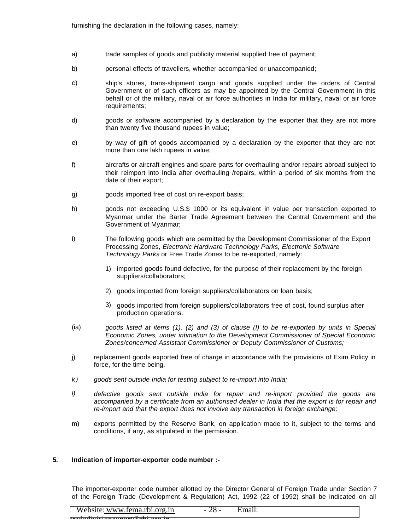- a) trade samples of goods and publicity material supplied free of payment;
- b) personal effects of travellers, whether accompanied or unaccompanied;
- c) ship's stores, trans-shipment cargo and goods supplied under the orders of Central Government or of such officers as may be appointed by the Central Government in this behalf or of the military, naval or air force authorities in India for military, naval or air force requirements;
- d) goods or software accompanied by a declaration by the exporter that they are not more than twenty five thousand rupees in value;
- e) by way of gift of goods accompanied by a declaration by the exporter that they are not more than one lakh rupees in value;
- f) aircrafts or aircraft engines and spare parts for overhauling and/or repairs abroad subject to their reimport into India after overhauling /repairs, within a period of six months from the date of their export;
- g) goods imported free of cost on re-export basis;
- h) goods not exceeding U.S.\$ 1000 or its equivalent in value per transaction exported to Myanmar under the Barter Trade Agreement between the Central Government and the Government of Myanmar;
- i) The following goods which are permitted by the Development Commissioner of the Export Processing Zones, *Electronic Hardware Technology Parks, Electronic Software Technology Parks* or Free Trade Zones to be re-exported, namely:
	- 1) imported goods found defective, for the purpose of their replacement by the foreign suppliers/collaborators;
	- 2) goods imported from foreign suppliers/collaborators on loan basis;
	- 3) goods imported from foreign suppliers/collaborators free of cost, found surplus after production operations.
- (ia) *goods listed at items (1), (2) and (3) of clause (I) to be re-exported by units in Special Economic Zones, under intimation to the Development Commissioner of Special Economic Zones/concerned Assistant Commissioner or Deputy Commissioner of Customs;*
- j) replacement goods exported free of charge in accordance with the provisions of Exim Policy in force, for the time being.
- *k) goods sent outside India for testing subject to re-import into India;*
- *l) defective goods sent outside India for repair and re-import provided the goods are accompanied by a certificate from an authorised dealer in India that the export is for repair and re-import and that the export does not involve any transaction in foreign exchange;*
- m) exports permitted by the Reserve Bank, on application made to it, subject to the terms and conditions, if any, as stipulated in the permission.

#### **5. Indication of importer-exporter code number :-**

The importer-exporter code number allotted by the Director General of Foreign Trade under Section 7 of the Foreign Trade (Development & Regulation) Act, 1992 (22 of 1992) shall be indicated on all

| $\mathbf{M}$<br>.111<br>$\mathbf{M}$<br>w            | $\overline{\phantom{0}}$ |  |  |
|------------------------------------------------------|--------------------------|--|--|
| $tan \theta$ adjavage av av a and $(n)$ under and in |                          |  |  |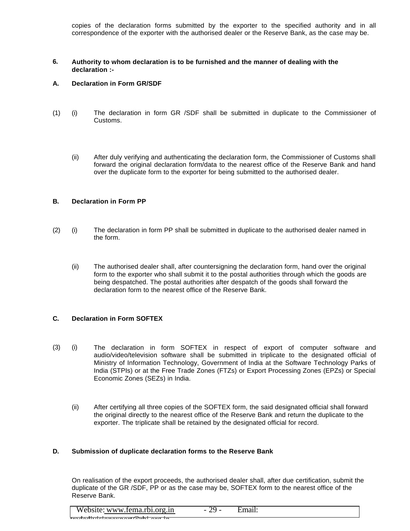copies of the declaration forms submitted by the exporter to the specified authority and in all correspondence of the exporter with the authorised dealer or the Reserve Bank, as the case may be.

#### **6. Authority to whom declaration is to be furnished and the manner of dealing with the declaration :-**

#### **A. Declaration in Form GR/SDF**

- (1) (i) The declaration in form GR /SDF shall be submitted in duplicate to the Commissioner of Customs.
	- (ii) After duly verifying and authenticating the declaration form, the Commissioner of Customs shall forward the original declaration form/data to the nearest office of the Reserve Bank and hand over the duplicate form to the exporter for being submitted to the authorised dealer.

#### **B. Declaration in Form PP**

- (2) (i) The declaration in form PP shall be submitted in duplicate to the authorised dealer named in the form.
	- (ii) The authorised dealer shall, after countersigning the declaration form, hand over the original form to the exporter who shall submit it to the postal authorities through which the goods are being despatched. The postal authorities after despatch of the goods shall forward the declaration form to the nearest office of the Reserve Bank.

#### **C. Declaration in Form SOFTEX**

- (3) (i) The declaration in form SOFTEX in respect of export of computer software and audio/video/television software shall be submitted in triplicate to the designated official of Ministry of Information Technology, Government of India at the Software Technology Parks of India (STPIs) or at the Free Trade Zones (FTZs) or Export Processing Zones (EPZs) or Special Economic Zones (SEZs) in India.
	- (ii) After certifying all three copies of the SOFTEX form, the said designated official shall forward the original directly to the nearest office of the Reserve Bank and return the duplicate to the exporter. The triplicate shall be retained by the designated official for record.

#### **D. Submission of duplicate declaration forms to the Reserve Bank**

On realisation of the export proceeds, the authorised dealer shall, after due certification, submit the duplicate of the GR /SDF, PP or as the case may be, SOFTEX form to the nearest office of the Reserve Bank.

| $\cdot$ 10<br>W<br>$\mathbf{M}$<br>$\mathbf{M}$      | -<br>- |  |
|------------------------------------------------------|--------|--|
|                                                      |        |  |
| $+u_0$ dodivy as a province $u_0$ is $u_0$ and $u_0$ |        |  |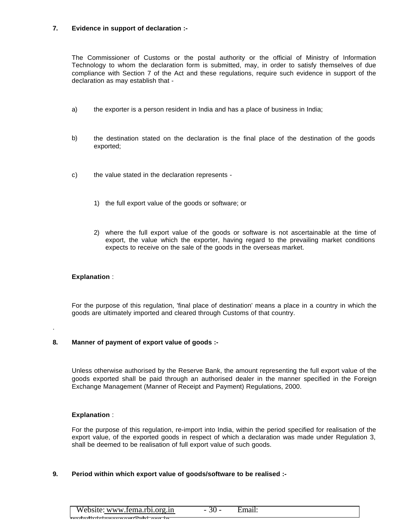## **7. Evidence in support of declaration :-**

The Commissioner of Customs or the postal authority or the official of Ministry of Information Technology to whom the declaration form is submitted, may, in order to satisfy themselves of due compliance with Section 7 of the Act and these regulations, require such evidence in support of the declaration as may establish that -

- a) the exporter is a person resident in India and has a place of business in India;
- b) the destination stated on the declaration is the final place of the destination of the goods exported;
- c) the value stated in the declaration represents
	- 1) the full export value of the goods or software; or
	- 2) where the full export value of the goods or software is not ascertainable at the time of export, the value which the exporter, having regard to the prevailing market conditions expects to receive on the sale of the goods in the overseas market.

#### **Explanation** :

.

For the purpose of this regulation, 'final place of destination' means a place in a country in which the goods are ultimately imported and cleared through Customs of that country.

#### **8. Manner of payment of export value of goods :-**

Unless otherwise authorised by the Reserve Bank, the amount representing the full export value of the goods exported shall be paid through an authorised dealer in the manner specified in the Foreign Exchange Management (Manner of Receipt and Payment) Regulations, 2000.

#### **Explanation** :

For the purpose of this regulation, re-import into India, within the period specified for realisation of the export value, of the exported goods in respect of which a declaration was made under Regulation 3, shall be deemed to be realisation of full export value of such goods.

#### **9. Period within which export value of goods/software to be realised :-**

| r.1n<br>w<br>: 1 I F<br>www<br>ени.<br>.<br>ິ<br><u>UL.</u><br>$\mathbf{v}$                     |  |  |
|-------------------------------------------------------------------------------------------------|--|--|
| $\frac{1}{2}$ and do develop a comparison of $\binom{N}{2}$ and $\frac{1}{2}$ and $\frac{1}{2}$ |  |  |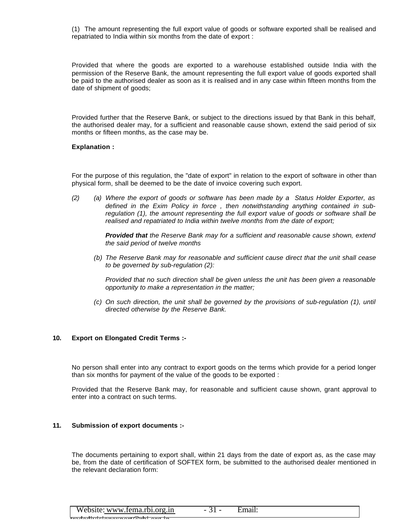(1) The amount representing the full export value of goods or software exported shall be realised and repatriated to India within six months from the date of export :

Provided that where the goods are exported to a warehouse established outside India with the permission of the Reserve Bank, the amount representing the full export value of goods exported shall be paid to the authorised dealer as soon as it is realised and in any case within fifteen months from the date of shipment of goods;

Provided further that the Reserve Bank, or subject to the directions issued by that Bank in this behalf, the authorised dealer may, for a sufficient and reasonable cause shown, extend the said period of six months or fifteen months, as the case may be.

#### **Explanation :**

For the purpose of this regulation, the "date of export" in relation to the export of software in other than physical form, shall be deemed to be the date of invoice covering such export.

*(2) (a) Where the export of goods or software has been made by a Status Holder Exporter, as defined in the Exim Policy in force , then notwithstanding anything contained in subregulation (1), the amount representing the full export value of goods or software shall be realised and repatriated to India within twelve months from the date of export;*

> *Provided that the Reserve Bank may for a sufficient and reasonable cause shown, extend the said period of twelve months*

*(b) The Reserve Bank may for reasonable and sufficient cause direct that the unit shall cease to be governed by sub-regulation (2):*

*Provided that no such direction shall be given unless the unit has been given a reasonable opportunity to make a representation in the matter;*

*(c) On such direction, the unit shall be governed by the provisions of sub-regulation (1), until directed otherwise by the Reserve Bank.*

#### **10. Export on Elongated Credit Terms :-**

No person shall enter into any contract to export goods on the terms which provide for a period longer than six months for payment of the value of the goods to be exported :

Provided that the Reserve Bank may, for reasonable and sufficient cause shown, grant approval to enter into a contract on such terms.

#### **11. Submission of export documents :-**

The documents pertaining to export shall, within 21 days from the date of export as, as the case may be, from the date of certification of SOFTEX form, be submitted to the authorised dealer mentioned in the relevant declaration form:

| --<br>org.in<br>مامد<br>w<br>петпа.<br>WWW                    | - | чап. |  |
|---------------------------------------------------------------|---|------|--|
| $\frac{1}{2}$ and a division on our case out (0) what case in |   |      |  |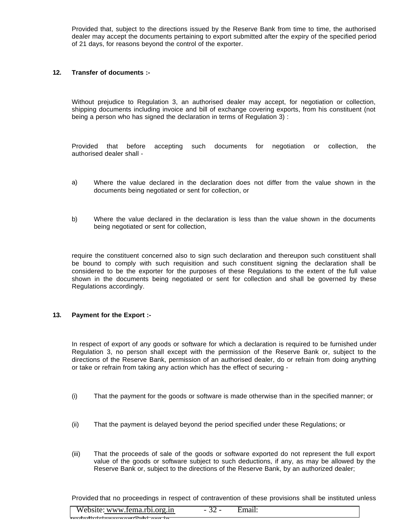Provided that, subject to the directions issued by the Reserve Bank from time to time, the authorised dealer may accept the documents pertaining to export submitted after the expiry of the specified period of 21 days, for reasons beyond the control of the exporter.

#### **12. Transfer of documents :-**

Without prejudice to Regulation 3, an authorised dealer may accept, for negotiation or collection, shipping documents including invoice and bill of exchange covering exports, from his constituent (not being a person who has signed the declaration in terms of Regulation 3) :

Provided that before accepting such documents for negotiation or collection, the authorised dealer shall -

- a) Where the value declared in the declaration does not differ from the value shown in the documents being negotiated or sent for collection, or
- b) Where the value declared in the declaration is less than the value shown in the documents being negotiated or sent for collection,

require the constituent concerned also to sign such declaration and thereupon such constituent shall be bound to comply with such requisition and such constituent signing the declaration shall be considered to be the exporter for the purposes of these Regulations to the extent of the full value shown in the documents being negotiated or sent for collection and shall be governed by these Regulations accordingly.

#### **13. Payment for the Export :-**

In respect of export of any goods or software for which a declaration is required to be furnished under Regulation 3, no person shall except with the permission of the Reserve Bank or, subject to the directions of the Reserve Bank, permission of an authorised dealer, do or refrain from doing anything or take or refrain from taking any action which has the effect of securing -

- (i) That the payment for the goods or software is made otherwise than in the specified manner; or
- (ii) That the payment is delayed beyond the period specified under these Regulations; or
- (iii) That the proceeds of sale of the goods or software exported do not represent the full export value of the goods or software subject to such deductions, if any, as may be allowed by the Reserve Bank or, subject to the directions of the Reserve Bank, by an authorized dealer;

Provided that no proceedings in respect of contravention of these provisions shall be instituted unless

| <br>$\rightarrow$<br>w<br>$'$ M<br>AVAZ<br>.111        | $\overline{\phantom{0}}$<br>- |  |  |
|--------------------------------------------------------|-------------------------------|--|--|
| $t_{\text{HOM}}$ dedividence moving out (a) use one am |                               |  |  |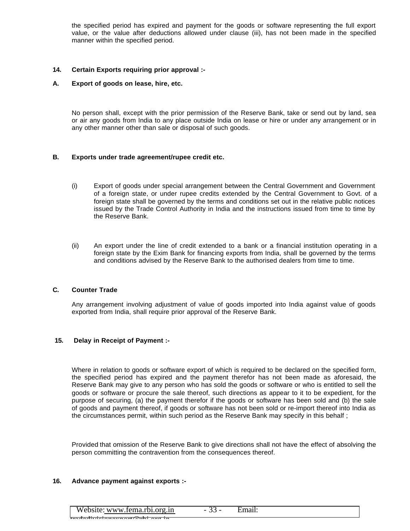the specified period has expired and payment for the goods or software representing the full export value, or the value after deductions allowed under clause (iii), has not been made in the specified manner within the specified period.

#### **14. Certain Exports requiring prior approval :-**

#### **A. Export of goods on lease, hire, etc.**

No person shall, except with the prior permission of the Reserve Bank, take or send out by land, sea or air any goods from India to any place outside India on lease or hire or under any arrangement or in any other manner other than sale or disposal of such goods.

#### **B. Exports under trade agreement/rupee credit etc.**

- (i) Export of goods under special arrangement between the Central Government and Government of a foreign state, or under rupee credits extended by the Central Government to Govt. of a foreign state shall be governed by the terms and conditions set out in the relative public notices issued by the Trade Control Authority in India and the instructions issued from time to time by the Reserve Bank.
- (ii) An export under the line of credit extended to a bank or a financial institution operating in a foreign state by the Exim Bank for financing exports from India, shall be governed by the terms and conditions advised by the Reserve Bank to the authorised dealers from time to time.

#### **C. Counter Trade**

Any arrangement involving adjustment of value of goods imported into India against value of goods exported from India, shall require prior approval of the Reserve Bank.

#### **15. Delay in Receipt of Payment :-**

Where in relation to goods or software export of which is required to be declared on the specified form, the specified period has expired and the payment therefor has not been made as aforesaid, the Reserve Bank may give to any person who has sold the goods or software or who is entitled to sell the goods or software or procure the sale thereof, such directions as appear to it to be expedient, for the purpose of securing, (a) the payment therefor if the goods or software has been sold and (b) the sale of goods and payment thereof, if goods or software has not been sold or re-import thereof into India as the circumstances permit, within such period as the Reserve Bank may specify in this behalf ;

Provided that omission of the Reserve Bank to give directions shall not have the effect of absolving the person committing the contravention from the consequences thereof.

#### **16. Advance payment against exports :-**

| $ -$<br>°2.11<br>. .<br>$\mathbf{W}$<br>тента |  |  |
|-----------------------------------------------|--|--|
| $\frac{1}{2}$                                 |  |  |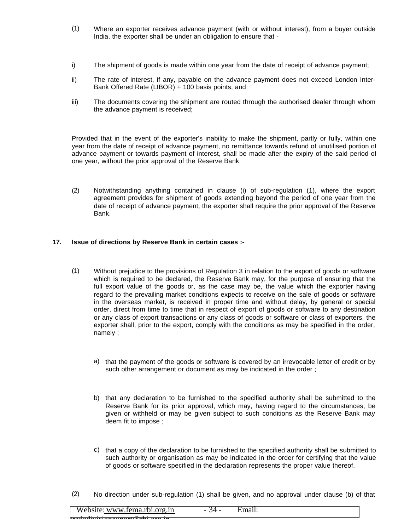- (1) Where an exporter receives advance payment (with or without interest), from a buyer outside India, the exporter shall be under an obligation to ensure that -
- i) The shipment of goods is made within one year from the date of receipt of advance payment;
- ii) The rate of interest, if any, payable on the advance payment does not exceed London Inter-Bank Offered Rate (LIBOR) + 100 basis points, and
- iii) The documents covering the shipment are routed through the authorised dealer through whom the advance payment is received;

Provided that in the event of the exporter's inability to make the shipment, partly or fully, within one year from the date of receipt of advance payment, no remittance towards refund of unutilised portion of advance payment or towards payment of interest, shall be made after the expiry of the said period of one year, without the prior approval of the Reserve Bank.

(2) Notwithstanding anything contained in clause (i) of sub-regulation (1), where the export agreement provides for shipment of goods extending beyond the period of one year from the date of receipt of advance payment, the exporter shall require the prior approval of the Reserve Bank.

#### **17. Issue of directions by Reserve Bank in certain cases :-**

- (1) Without prejudice to the provisions of Regulation 3 in relation to the export of goods or software which is required to be declared, the Reserve Bank may, for the purpose of ensuring that the full export value of the goods or, as the case may be, the value which the exporter having regard to the prevailing market conditions expects to receive on the sale of goods or software in the overseas market, is received in proper time and without delay, by general or special order, direct from time to time that in respect of export of goods or software to any destination or any class of export transactions or any class of goods or software or class of exporters, the exporter shall, prior to the export, comply with the conditions as may be specified in the order, namely ;
	- a) that the payment of the goods or software is covered by an irrevocable letter of credit or by such other arrangement or document as may be indicated in the order ;
	- b) that any declaration to be furnished to the specified authority shall be submitted to the Reserve Bank for its prior approval, which may, having regard to the circumstances, be given or withheld or may be given subject to such conditions as the Reserve Bank may deem fit to impose ;
	- c) that a copy of the declaration to be furnished to the specified authority shall be submitted to such authority or organisation as may be indicated in the order for certifying that the value of goods or software specified in the declaration represents the proper value thereof.
- (2) No direction under sub-regulation (1) shall be given, and no approval under clause (b) of that

| --<br>--<br>AVAZAZAZA<br>.111 | $\overline{\phantom{0}}$ |  |  |
|-------------------------------|--------------------------|--|--|
| $\frac{1}{2}$                 |                          |  |  |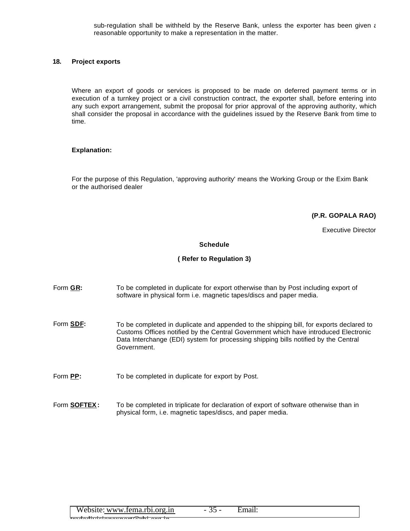sub-regulation shall be withheld by the Reserve Bank, unless the exporter has been given  $\epsilon$ reasonable opportunity to make a representation in the matter.

#### **18. Project exports**

Where an export of goods or services is proposed to be made on deferred payment terms or in execution of a turnkey project or a civil construction contract, the exporter shall, before entering into any such export arrangement, submit the proposal for prior approval of the approving authority, which shall consider the proposal in accordance with the guidelines issued by the Reserve Bank from time to time.

#### **Explanation:**

For the purpose of this Regulation, 'approving authority' means the Working Group or the Exim Bank or the authorised dealer

**(P.R. GOPALA RAO)**

Executive Director

#### **Schedule**

#### **( Refer to Regulation 3)**

| Form GR:         | To be completed in duplicate for export otherwise than by Post including export of<br>software in physical form i.e. magnetic tapes/discs and paper media.                                                                                                                           |  |  |  |  |  |
|------------------|--------------------------------------------------------------------------------------------------------------------------------------------------------------------------------------------------------------------------------------------------------------------------------------|--|--|--|--|--|
| Form <b>SDF:</b> | To be completed in duplicate and appended to the shipping bill, for exports declared to<br>Customs Offices notified by the Central Government which have introduced Electronic<br>Data Interchange (EDI) system for processing shipping bills notified by the Central<br>Government. |  |  |  |  |  |

Form **PP:** To be completed in duplicate for export by Post.

Form **SOFTEX**: To be completed in triplicate for declaration of export of software otherwise than in physical form, i.e. magnetic tapes/discs, and paper media.

| Website: www.fema.rbi.org.in |  |  |
|------------------------------|--|--|
|                              |  |  |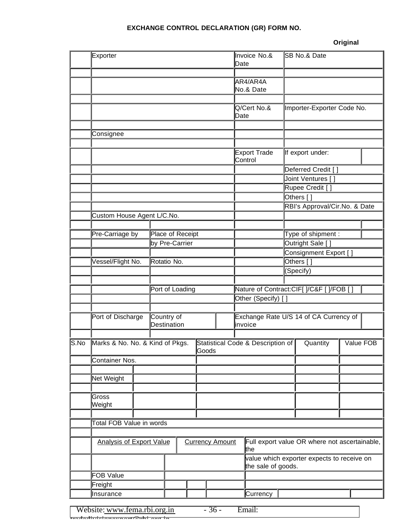# **EXCHANGE CONTROL DECLARATION (GR) FORM NO.**

|      | Exporter                        |                                                           |                           |  |       |  | Date                                                  | Invoice No.&                      |                                        | SB No.& Date                               |           |  |
|------|---------------------------------|-----------------------------------------------------------|---------------------------|--|-------|--|-------------------------------------------------------|-----------------------------------|----------------------------------------|--------------------------------------------|-----------|--|
|      |                                 |                                                           |                           |  |       |  | AR4/AR4A<br>No.& Date                                 |                                   |                                        |                                            |           |  |
|      |                                 |                                                           |                           |  |       |  | Date                                                  | Q/Cert No.&                       |                                        | Importer-Exporter Code No.                 |           |  |
|      | Consignee                       |                                                           |                           |  |       |  |                                                       |                                   |                                        |                                            |           |  |
|      |                                 |                                                           |                           |  |       |  | Control                                               | <b>Export Trade</b>               |                                        | If export under:                           |           |  |
|      |                                 |                                                           |                           |  |       |  |                                                       |                                   |                                        | Deferred Credit []                         |           |  |
|      |                                 |                                                           |                           |  |       |  |                                                       |                                   |                                        | Joint Ventures []                          |           |  |
|      |                                 |                                                           |                           |  |       |  |                                                       |                                   |                                        | Rupee Credit []                            |           |  |
|      |                                 |                                                           |                           |  |       |  |                                                       |                                   |                                        | Others []                                  |           |  |
|      |                                 |                                                           |                           |  |       |  |                                                       |                                   |                                        | RBI's Approval/Cir.No. & Date              |           |  |
|      | Custom House Agent L/C.No.      |                                                           |                           |  |       |  |                                                       |                                   |                                        |                                            |           |  |
|      | Pre-Carriage by                 |                                                           | Place of Receipt          |  |       |  |                                                       |                                   |                                        | Type of shipment :                         |           |  |
|      |                                 |                                                           | by Pre-Carrier            |  |       |  |                                                       |                                   |                                        | Outright Sale []                           |           |  |
|      |                                 |                                                           |                           |  |       |  |                                                       |                                   |                                        | Consignment Export []                      |           |  |
|      | Vessel/Flight No.               |                                                           | Rotatio No.               |  |       |  |                                                       |                                   |                                        | Others []                                  |           |  |
|      |                                 |                                                           |                           |  |       |  |                                                       |                                   | (Specify)                              |                                            |           |  |
|      |                                 |                                                           |                           |  |       |  |                                                       |                                   |                                        |                                            |           |  |
|      |                                 |                                                           | Port of Loading           |  |       |  |                                                       |                                   |                                        | Nature of Contract:CIF[ ]/C&F [ ]/FOB [ ]  |           |  |
|      |                                 |                                                           |                           |  |       |  |                                                       | Other (Specify) [ ]               |                                        |                                            |           |  |
|      | Port of Discharge               |                                                           | Country of<br>Destination |  |       |  | linvoice                                              |                                   | Exchange Rate U/S 14 of CA Currency of |                                            |           |  |
| S.No | Marks & No. No. & Kind of Pkgs. |                                                           |                           |  |       |  |                                                       | Statistical Code & Description of |                                        | Quantity                                   | Value FOB |  |
|      |                                 |                                                           |                           |  | Goods |  |                                                       |                                   |                                        |                                            |           |  |
|      | Container Nos.                  |                                                           |                           |  |       |  |                                                       |                                   |                                        |                                            |           |  |
|      | Net Weight                      |                                                           |                           |  |       |  |                                                       |                                   |                                        |                                            |           |  |
|      |                                 |                                                           |                           |  |       |  |                                                       |                                   |                                        |                                            |           |  |
|      | Gross<br>Weight                 |                                                           |                           |  |       |  |                                                       |                                   |                                        |                                            |           |  |
|      | Total FOB Value in words        |                                                           |                           |  |       |  |                                                       |                                   |                                        |                                            |           |  |
|      |                                 |                                                           |                           |  |       |  |                                                       |                                   |                                        |                                            |           |  |
|      |                                 | <b>Analysis of Export Value</b><br><b>Currency Amount</b> |                           |  |       |  | Full export value OR where not ascertainable,<br>lthe |                                   |                                        |                                            |           |  |
|      |                                 |                                                           |                           |  |       |  |                                                       | the sale of goods.                |                                        | value which exporter expects to receive on |           |  |
|      | <b>FOB Value</b>                |                                                           |                           |  |       |  |                                                       |                                   |                                        |                                            |           |  |
|      | Freight                         |                                                           |                           |  |       |  |                                                       |                                   |                                        |                                            |           |  |
|      | Insurance                       |                                                           |                           |  |       |  |                                                       | Currency                          |                                        |                                            |           |  |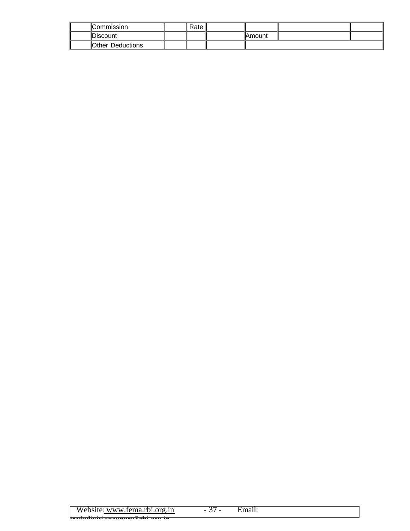| <b>Commission</b>       | Rate |                 |  |
|-------------------------|------|-----------------|--|
| <b>IDiscount</b>        |      | <b>I</b> Amount |  |
| <b>Other Deductions</b> |      |                 |  |

| Website: www.fema.rbi.org.in |  | Email: |
|------------------------------|--|--------|
|------------------------------|--|--------|

tradedivisionexport@rbi.org.in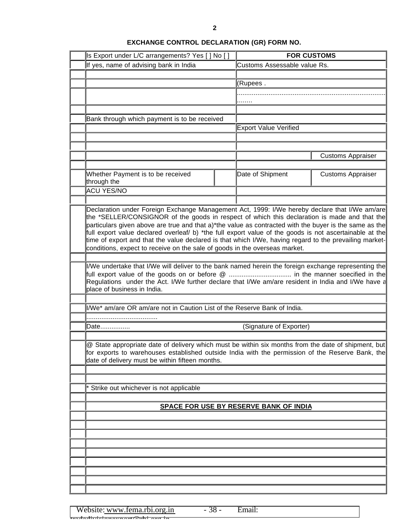# **EXCHANGE CONTROL DECLARATION (GR) FORM NO.**

| Is Export under L/C arrangements? Yes [ ] No [ ]                                                                                                                                                                                                                                                                                                                                                                                                                                                                                                                                                           | <b>FOR CUSTOMS</b>           |                                        |                          |  |  |  |  |  |
|------------------------------------------------------------------------------------------------------------------------------------------------------------------------------------------------------------------------------------------------------------------------------------------------------------------------------------------------------------------------------------------------------------------------------------------------------------------------------------------------------------------------------------------------------------------------------------------------------------|------------------------------|----------------------------------------|--------------------------|--|--|--|--|--|
| If yes, name of advising bank in India                                                                                                                                                                                                                                                                                                                                                                                                                                                                                                                                                                     | Customs Assessable value Rs. |                                        |                          |  |  |  |  |  |
|                                                                                                                                                                                                                                                                                                                                                                                                                                                                                                                                                                                                            |                              |                                        |                          |  |  |  |  |  |
|                                                                                                                                                                                                                                                                                                                                                                                                                                                                                                                                                                                                            |                              | (Rupees.                               |                          |  |  |  |  |  |
|                                                                                                                                                                                                                                                                                                                                                                                                                                                                                                                                                                                                            |                              |                                        |                          |  |  |  |  |  |
|                                                                                                                                                                                                                                                                                                                                                                                                                                                                                                                                                                                                            |                              | .                                      |                          |  |  |  |  |  |
|                                                                                                                                                                                                                                                                                                                                                                                                                                                                                                                                                                                                            |                              |                                        |                          |  |  |  |  |  |
| Bank through which payment is to be received                                                                                                                                                                                                                                                                                                                                                                                                                                                                                                                                                               |                              |                                        |                          |  |  |  |  |  |
|                                                                                                                                                                                                                                                                                                                                                                                                                                                                                                                                                                                                            |                              | <b>Export Value Verified</b>           |                          |  |  |  |  |  |
|                                                                                                                                                                                                                                                                                                                                                                                                                                                                                                                                                                                                            |                              |                                        |                          |  |  |  |  |  |
|                                                                                                                                                                                                                                                                                                                                                                                                                                                                                                                                                                                                            |                              |                                        |                          |  |  |  |  |  |
|                                                                                                                                                                                                                                                                                                                                                                                                                                                                                                                                                                                                            |                              |                                        | <b>Customs Appraiser</b> |  |  |  |  |  |
|                                                                                                                                                                                                                                                                                                                                                                                                                                                                                                                                                                                                            |                              |                                        |                          |  |  |  |  |  |
| Whether Payment is to be received<br>through the                                                                                                                                                                                                                                                                                                                                                                                                                                                                                                                                                           |                              | Date of Shipment                       | <b>Customs Appraiser</b> |  |  |  |  |  |
| <b>ACU YES/NO</b>                                                                                                                                                                                                                                                                                                                                                                                                                                                                                                                                                                                          |                              |                                        |                          |  |  |  |  |  |
|                                                                                                                                                                                                                                                                                                                                                                                                                                                                                                                                                                                                            |                              |                                        |                          |  |  |  |  |  |
| Declaration under Foreign Exchange Management Act, 1999: I/We hereby declare that I/We am/are<br>the *SELLER/CONSIGNOR of the goods in respect of which this declaration is made and that the<br>particulars given above are true and that a)*the value as contracted with the buyer is the same as the<br>full export value declared overleaf/ b) *the full export value of the goods is not ascertainable at the<br>time of export and that the value declared is that which I/We, having regard to the prevailing market-<br>conditions, expect to receive on the sale of goods in the overseas market. |                              |                                        |                          |  |  |  |  |  |
|                                                                                                                                                                                                                                                                                                                                                                                                                                                                                                                                                                                                            |                              |                                        |                          |  |  |  |  |  |
| I/We undertake that I/We will deliver to the bank named herein the foreign exchange representing the<br>Regulations under the Act. I/We further declare that I/We am/are resident in India and I/We have a<br>place of business in India.                                                                                                                                                                                                                                                                                                                                                                  |                              |                                        |                          |  |  |  |  |  |
|                                                                                                                                                                                                                                                                                                                                                                                                                                                                                                                                                                                                            |                              |                                        |                          |  |  |  |  |  |
| I/We* am/are OR am/are not in Caution List of the Reserve Bank of India.                                                                                                                                                                                                                                                                                                                                                                                                                                                                                                                                   |                              |                                        |                          |  |  |  |  |  |
|                                                                                                                                                                                                                                                                                                                                                                                                                                                                                                                                                                                                            |                              |                                        |                          |  |  |  |  |  |
| Date                                                                                                                                                                                                                                                                                                                                                                                                                                                                                                                                                                                                       |                              | (Signature of Exporter)                |                          |  |  |  |  |  |
|                                                                                                                                                                                                                                                                                                                                                                                                                                                                                                                                                                                                            |                              |                                        |                          |  |  |  |  |  |
| @ State appropriate date of delivery which must be within six months from the date of shipment, but<br>for exports to warehouses established outside India with the permission of the Reserve Bank, the<br>date of delivery must be within fifteen months.                                                                                                                                                                                                                                                                                                                                                 |                              |                                        |                          |  |  |  |  |  |
|                                                                                                                                                                                                                                                                                                                                                                                                                                                                                                                                                                                                            |                              |                                        |                          |  |  |  |  |  |
| Strike out whichever is not applicable                                                                                                                                                                                                                                                                                                                                                                                                                                                                                                                                                                     |                              |                                        |                          |  |  |  |  |  |
|                                                                                                                                                                                                                                                                                                                                                                                                                                                                                                                                                                                                            |                              |                                        |                          |  |  |  |  |  |
|                                                                                                                                                                                                                                                                                                                                                                                                                                                                                                                                                                                                            |                              | SPACE FOR USE BY RESERVE BANK OF INDIA |                          |  |  |  |  |  |
|                                                                                                                                                                                                                                                                                                                                                                                                                                                                                                                                                                                                            |                              |                                        |                          |  |  |  |  |  |
|                                                                                                                                                                                                                                                                                                                                                                                                                                                                                                                                                                                                            |                              |                                        |                          |  |  |  |  |  |
|                                                                                                                                                                                                                                                                                                                                                                                                                                                                                                                                                                                                            |                              |                                        |                          |  |  |  |  |  |
|                                                                                                                                                                                                                                                                                                                                                                                                                                                                                                                                                                                                            |                              |                                        |                          |  |  |  |  |  |
|                                                                                                                                                                                                                                                                                                                                                                                                                                                                                                                                                                                                            |                              |                                        |                          |  |  |  |  |  |
|                                                                                                                                                                                                                                                                                                                                                                                                                                                                                                                                                                                                            |                              |                                        |                          |  |  |  |  |  |
|                                                                                                                                                                                                                                                                                                                                                                                                                                                                                                                                                                                                            |                              |                                        |                          |  |  |  |  |  |
|                                                                                                                                                                                                                                                                                                                                                                                                                                                                                                                                                                                                            |                              |                                        |                          |  |  |  |  |  |
|                                                                                                                                                                                                                                                                                                                                                                                                                                                                                                                                                                                                            |                              |                                        |                          |  |  |  |  |  |
|                                                                                                                                                                                                                                                                                                                                                                                                                                                                                                                                                                                                            |                              |                                        |                          |  |  |  |  |  |

Website: www.fema.rbi.org.in - 38 - Email: tradisione comme control de la control de la control de la control de la control de la control de la control d<br>Organisation de la control de la control de la control de la control de la control de la control de la control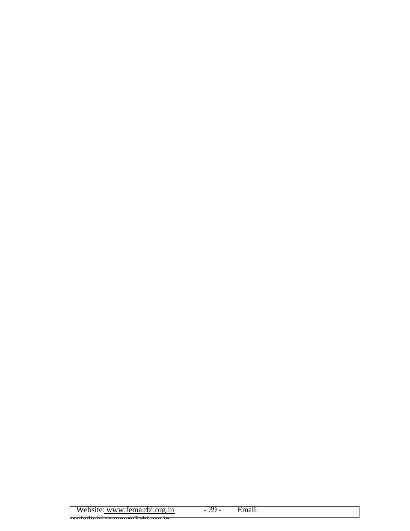| Website: www.fema.rbi.org.in | - 39 | Email: |
|------------------------------|------|--------|
|------------------------------|------|--------|

tradedivisionexport@rbi.org.in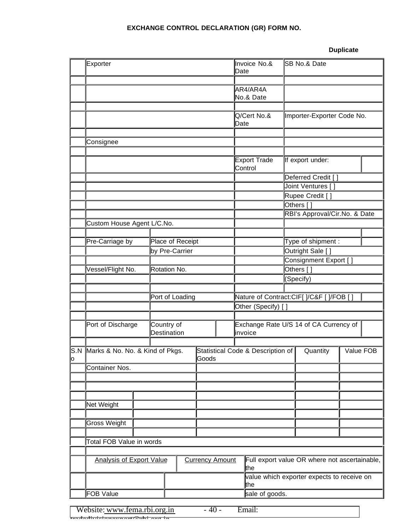# **EXCHANGE CONTROL DECLARATION (GR) FORM NO.**

| <b>Duplicate</b> |  |
|------------------|--|
|------------------|--|

|    | Exporter                            |                           |                  |       |                        | Invoice No.&<br>Date                                  |                |                       | SB No.& Date                               |  |           |
|----|-------------------------------------|---------------------------|------------------|-------|------------------------|-------------------------------------------------------|----------------|-----------------------|--------------------------------------------|--|-----------|
|    |                                     |                           |                  |       |                        | AR4/AR4A<br>No.& Date                                 |                |                       |                                            |  |           |
|    |                                     |                           |                  |       |                        | Q/Cert No.&<br>Date                                   |                |                       | Importer-Exporter Code No.                 |  |           |
|    |                                     |                           |                  |       |                        |                                                       |                |                       |                                            |  |           |
|    | Consignee                           |                           |                  |       |                        |                                                       |                |                       |                                            |  |           |
|    |                                     |                           |                  |       |                        | Export Trade<br>Control                               |                |                       | If export under:                           |  |           |
|    |                                     |                           |                  |       |                        |                                                       |                |                       | Deferred Credit []                         |  |           |
|    |                                     |                           |                  |       |                        |                                                       |                |                       | Joint Ventures []                          |  |           |
|    |                                     |                           |                  |       |                        |                                                       |                |                       | Rupee Credit [ ]<br>Others [ ]             |  |           |
|    |                                     |                           |                  |       |                        |                                                       |                |                       | RBI's Approval/Cir.No. & Date              |  |           |
|    | Custom House Agent L/C.No.          |                           |                  |       |                        |                                                       |                |                       |                                            |  |           |
|    |                                     |                           |                  |       |                        |                                                       |                |                       |                                            |  |           |
|    | Pre-Carriage by                     |                           | Place of Receipt |       |                        |                                                       |                |                       | Type of shipment :                         |  |           |
|    |                                     | by Pre-Carrier            |                  |       |                        |                                                       |                |                       | Outright Sale []                           |  |           |
|    |                                     |                           |                  |       |                        |                                                       |                | Consignment Export [] |                                            |  |           |
|    | Vessel/Flight No.                   | Rotation No.              |                  |       |                        |                                                       |                |                       | Others [                                   |  |           |
|    |                                     |                           |                  |       |                        |                                                       |                | (Specify)             |                                            |  |           |
|    |                                     | Port of Loading           |                  |       |                        |                                                       |                |                       | Nature of Contract:CIF[ ]/C&F [ ]/FOB [ ]  |  |           |
|    |                                     |                           |                  |       |                        | Other (Specify) [ ]                                   |                |                       |                                            |  |           |
|    |                                     |                           |                  |       |                        |                                                       |                |                       |                                            |  |           |
|    | Port of Discharge                   | Country of<br>Destination |                  |       |                        | invoice                                               |                |                       | Exchange Rate U/S 14 of CA Currency of     |  |           |
|    |                                     |                           |                  |       |                        |                                                       |                |                       |                                            |  | Value FOB |
| ုပ | S.N Marks & No. No. & Kind of Pkgs. |                           |                  | Goods |                        | Statistical Code & Description of                     |                |                       | Quantity                                   |  |           |
|    | <b>Container Nos.</b>               |                           |                  |       |                        |                                                       |                |                       |                                            |  |           |
|    |                                     |                           |                  |       |                        |                                                       |                |                       |                                            |  |           |
|    |                                     |                           |                  |       |                        |                                                       |                |                       |                                            |  |           |
|    |                                     |                           |                  |       |                        |                                                       |                |                       |                                            |  |           |
|    | Net Weight                          |                           |                  |       |                        |                                                       |                |                       |                                            |  |           |
|    | <b>Gross Weight</b>                 |                           |                  |       |                        |                                                       |                |                       |                                            |  |           |
|    |                                     |                           |                  |       |                        |                                                       |                |                       |                                            |  |           |
|    | Total FOB Value in words            |                           |                  |       |                        |                                                       |                |                       |                                            |  |           |
|    |                                     |                           |                  |       |                        |                                                       |                |                       |                                            |  |           |
|    | <b>Analysis of Export Value</b>     |                           |                  |       | <b>Currency Amount</b> | Full export value OR where not ascertainable,<br>lthe |                |                       |                                            |  |           |
|    |                                     |                           |                  |       |                        | the                                                   |                |                       | value which exporter expects to receive on |  |           |
|    | FOB Value                           |                           |                  |       |                        |                                                       | sale of goods. |                       |                                            |  |           |

Website: www.fema.rbi.org.in - 40 - Email:

tradedivisione <del>contra contra la contra del</del>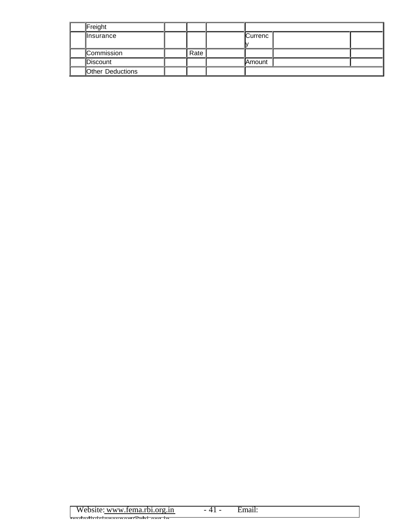| Freight          |      |                |  |
|------------------|------|----------------|--|
| <b>Insurance</b> |      | <b>Currenc</b> |  |
|                  |      |                |  |
| Commission       | Rate |                |  |
| Discount         |      | Amount         |  |
| Other Deductions |      |                |  |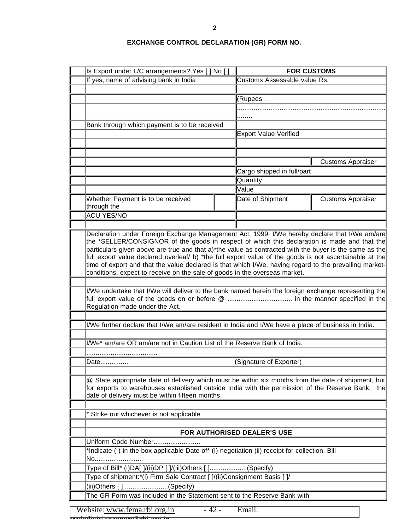| Is Export under L/C arrangements? Yes [ ] No [ ]<br><b>FOR CUSTOMS</b>                                  |  |  |  |  |  |
|---------------------------------------------------------------------------------------------------------|--|--|--|--|--|
| If yes, name of advising bank in India<br>Customs Assessable value Rs.                                  |  |  |  |  |  |
|                                                                                                         |  |  |  |  |  |
| (Rupees.                                                                                                |  |  |  |  |  |
|                                                                                                         |  |  |  |  |  |
|                                                                                                         |  |  |  |  |  |
| Bank through which payment is to be received                                                            |  |  |  |  |  |
| <b>Export Value Verified</b>                                                                            |  |  |  |  |  |
|                                                                                                         |  |  |  |  |  |
|                                                                                                         |  |  |  |  |  |
| <b>Customs Appraiser</b>                                                                                |  |  |  |  |  |
| Cargo shipped in full/part                                                                              |  |  |  |  |  |
| Quantity                                                                                                |  |  |  |  |  |
| Value                                                                                                   |  |  |  |  |  |
| Date of Shipment<br>Whether Payment is to be received<br><b>Customs Appraiser</b>                       |  |  |  |  |  |
| through the                                                                                             |  |  |  |  |  |
| <b>ACU YES/NO</b>                                                                                       |  |  |  |  |  |
|                                                                                                         |  |  |  |  |  |
| Declaration under Foreign Exchange Management Act, 1999: I/We hereby declare that I/We am/are           |  |  |  |  |  |
| the *SELLER/CONSIGNOR of the goods in respect of which this declaration is made and that the            |  |  |  |  |  |
| particulars given above are true and that a)*the value as contracted with the buyer is the same as the  |  |  |  |  |  |
| full export value declared overleaf/ b) *the full export value of the goods is not ascertainable at the |  |  |  |  |  |
| time of export and that the value declared is that which I/We, having regard to the prevailing market-  |  |  |  |  |  |
| conditions, expect to receive on the sale of goods in the overseas market.                              |  |  |  |  |  |
|                                                                                                         |  |  |  |  |  |
| l/We undertake that I/We will deliver to the bank named herein the foreign exchange representing the    |  |  |  |  |  |
|                                                                                                         |  |  |  |  |  |
| Regulation made under the Act.                                                                          |  |  |  |  |  |
|                                                                                                         |  |  |  |  |  |
| I/We further declare that I/We am/are resident in India and I/We have a place of business in India.     |  |  |  |  |  |
|                                                                                                         |  |  |  |  |  |
| I/We* am/are OR am/are not in Caution List of the Reserve Bank of India.                                |  |  |  |  |  |
|                                                                                                         |  |  |  |  |  |
|                                                                                                         |  |  |  |  |  |
| (Signature of Exporter)<br>Date                                                                         |  |  |  |  |  |
|                                                                                                         |  |  |  |  |  |
| @ State appropriate date of delivery which must be within six months from the date of shipment, but     |  |  |  |  |  |
| for exports to warehouses established outside India with the permission of the Reserve Bank, the        |  |  |  |  |  |
| date of delivery must be within fifteen months.                                                         |  |  |  |  |  |
|                                                                                                         |  |  |  |  |  |
| Strike out whichever is not applicable                                                                  |  |  |  |  |  |
|                                                                                                         |  |  |  |  |  |
| FOR AUTHORISED DEALER'S USE                                                                             |  |  |  |  |  |
| Uniform Code Number                                                                                     |  |  |  |  |  |
| *Indicate () in the box applicable Date of* (I) negotiation (ii) receipt for collection. Bill           |  |  |  |  |  |
| No                                                                                                      |  |  |  |  |  |
| Type of Bill* (i)DA[ ]/(ii)DP [ ]/(iii)Others [ ](Specify)                                              |  |  |  |  |  |
| Type of shipment:*(i) Firm Sale Contract [ ]/(ii)Consignment Basis [ ]/                                 |  |  |  |  |  |
| (iii)Others [ ] (Specify)                                                                               |  |  |  |  |  |
| The GR Form was included in the Statement sent to the Reserve Bank with                                 |  |  |  |  |  |
|                                                                                                         |  |  |  |  |  |

# **EXCHANGE CONTROL DECLARATION (GR) FORM NO.**

Website: www.fema.rbi.org.in - 42 - Email:  $\frac{1}{2}$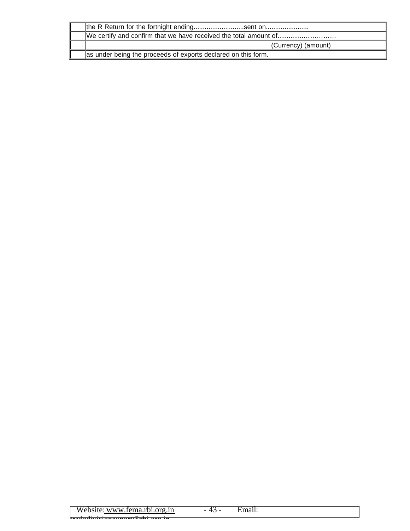| (Currency) (amount)                                           |
|---------------------------------------------------------------|
| as under being the proceeds of exports declared on this form. |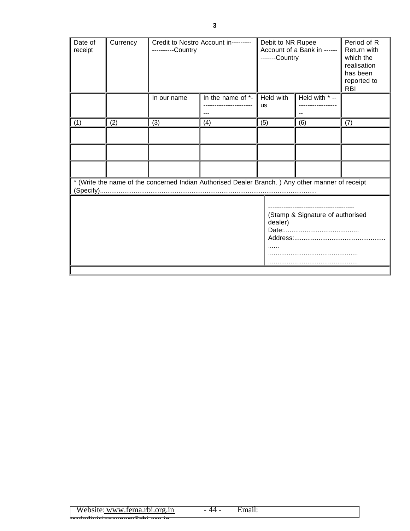| Date of<br>receipt                                                          | Currency | Credit to Nostro Account in---------<br>----------Country |                                                                                                  | Debit to NR Rupee<br>Account of a Bank in ------<br>-------Country |           |              | Period of R<br>Return with<br>which the<br>realisation<br>has been<br>reported to<br><b>RBI</b> |
|-----------------------------------------------------------------------------|----------|-----------------------------------------------------------|--------------------------------------------------------------------------------------------------|--------------------------------------------------------------------|-----------|--------------|-------------------------------------------------------------------------------------------------|
|                                                                             |          | In our name                                               | In the name of *-                                                                                |                                                                    | Held with | Held with *- |                                                                                                 |
|                                                                             |          |                                                           |                                                                                                  | <b>us</b>                                                          |           | $-$          |                                                                                                 |
| (1)                                                                         | (2)      | (3)                                                       | (4)                                                                                              | (5)                                                                |           | (6)          | (7)                                                                                             |
|                                                                             |          |                                                           |                                                                                                  |                                                                    |           |              |                                                                                                 |
|                                                                             |          |                                                           |                                                                                                  |                                                                    |           |              |                                                                                                 |
|                                                                             |          |                                                           |                                                                                                  |                                                                    |           |              |                                                                                                 |
|                                                                             |          |                                                           | * (Write the name of the concerned Indian Authorised Dealer Branch.) Any other manner of receipt |                                                                    |           |              |                                                                                                 |
| ----------------------------<br>(Stamp & Signature of authorised<br>dealer) |          |                                                           |                                                                                                  |                                                                    |           |              |                                                                                                 |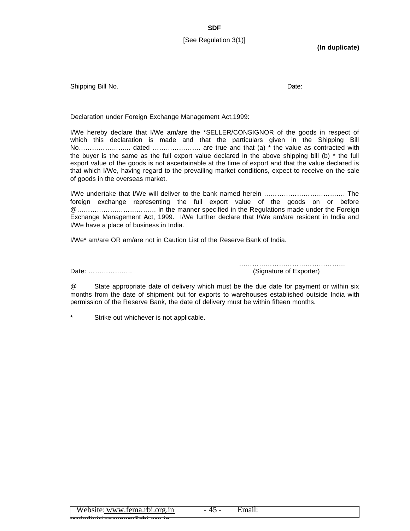**SDF** [See Regulation 3(1)]

**(In duplicate)**

Shipping Bill No. **Date: Date: Date: Date: Date: Date: Date: Date: Date: Date: Date: Date: Date: Date: Date: Date: Date: Date: Date: Date: Date: Date: Date: Date: Date: Dat** 

Declaration under Foreign Exchange Management Act,1999:

I/We hereby declare that I/We am/are the \*SELLER/CONSIGNOR of the goods in respect of which this declaration is made and that the particulars given in the Shipping Bill No…………………... dated …………………. are true and that (a) \* the value as contracted with the buyer is the same as the full export value declared in the above shipping bill (b) \* the full export value of the goods is not ascertainable at the time of export and that the value declared is that which I/We, having regard to the prevailing market conditions, expect to receive on the sale of goods in the overseas market.

I/We undertake that I/We will deliver to the bank named herein ………………………………. The foreign exchange representing the full export value of the goods on or before @……………………………… in the manner specified in the Regulations made under the Foreign Exchange Management Act, 1999. I/We further declare that I/We am/are resident in India and I/We have a place of business in India.

I/We\* am/are OR am/are not in Caution List of the Reserve Bank of India.

………………………………………… Date: ……………….. (Signature of Exporter)

@ State appropriate date of delivery which must be the due date for payment or within six months from the date of shipment but for exports to warehouses established outside India with permission of the Reserve Bank, the date of delivery must be within fifteen months.

Strike out whichever is not applicable.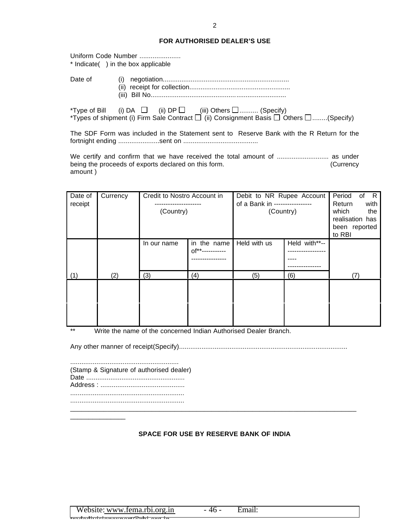#### **FOR AUTHORISED DEALER'S USE**

Uniform Code Number ..................... \* Indicate( ) in the box applicable

Date of (i) negotiation.................................................................... (ii) receipt for collection...................................................... (iii) Bill No.........................................................................

\*Type of Bill (i) DA  $\Box$  (ii) DP  $\Box$  (iii) Others  $\Box$ .......... (Specify) \*Types of shipment (i) Firm Sale Contract  $\Box$  (ii) Consignment Basis  $\Box$  Others  $\Box$ ........(Specify)

The SDF Form was included in the Statement sent to Reserve Bank with the R Return for the fortnight ending ......................sent on ........................................

We certify and confirm that we have received the total amount of ................................ as under being the proceeds of exports declared on this form. (Currency amount )

| Date of<br>receipt | Currency | Credit to Nostro Account in<br>(Country) |                                   | Debit to NR Rupee Account<br>of a Bank in -----------------<br>(Country) | Period<br>- R<br>of<br>Return<br>with<br>which<br>the<br>realisation has<br>been reported<br>to RBI |     |  |
|--------------------|----------|------------------------------------------|-----------------------------------|--------------------------------------------------------------------------|-----------------------------------------------------------------------------------------------------|-----|--|
|                    |          | In our name                              | in the name<br>$of$ **----------- | Held with us                                                             | Held with**--                                                                                       |     |  |
| (1)                | (2)      | (3)                                      | (4)                               | (5)                                                                      | (6)                                                                                                 | (7) |  |
|                    |          |                                          |                                   |                                                                          |                                                                                                     |     |  |

\*\* Write the name of the concerned Indian Authorised Dealer Branch.

Any other manner of receipt(Specify)..........................................................................................

.......................................................... (Stamp & Signature of authorised dealer) Date ..................................................... Address : ............................................. ............................................................. ............................................................. \_\_\_\_\_\_\_\_\_\_\_\_\_\_\_\_\_\_\_\_\_\_\_\_\_\_\_\_\_\_\_\_\_\_\_\_\_\_\_\_\_\_\_\_\_\_\_\_\_\_\_\_\_\_\_\_\_\_\_\_\_\_\_\_\_\_\_\_\_\_\_\_\_\_\_\_\_

\_\_\_\_\_\_\_\_\_\_\_\_\_\_\_

# **SPACE FOR USE BY RESERVE BANK OF INDIA**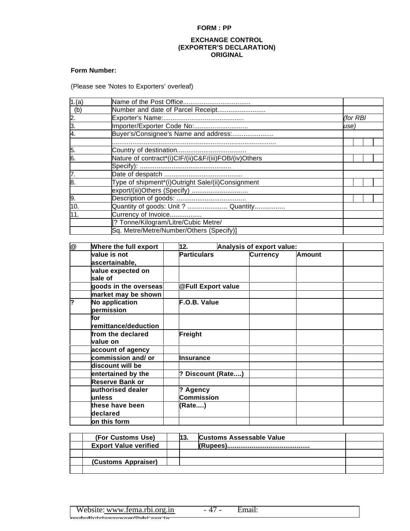# **FORM : PP**

#### **EXCHANGE CONTROL (EXPORTER'S DECLARATION) ORIGINAL**

# **Form Number:**

(Please see 'Notes to Exporters' overleaf)

| 1.(a)          |                                                       |           |  |  |  |
|----------------|-------------------------------------------------------|-----------|--|--|--|
| (b)            | Number and date of Parcel Receipt                     |           |  |  |  |
| $\overline{2}$ |                                                       | lífor RBI |  |  |  |
| 3              | Importer/Exporter Code No:                            | use)      |  |  |  |
| Α.             | Buyer's/Consignee's Name and address:                 |           |  |  |  |
|                |                                                       |           |  |  |  |
| 5.             |                                                       |           |  |  |  |
| 6              | Nature of contract*(i)CIF/(ii)C&F/(iii)FOB/(iv)Others |           |  |  |  |
|                |                                                       |           |  |  |  |
| $\vert 7.$     |                                                       |           |  |  |  |
| 8.             | Type of shipment*(i)Outright Sale/(ii)Consignment     |           |  |  |  |
|                | export/(iii)Others (Specify)                          |           |  |  |  |
| 9.             |                                                       |           |  |  |  |
| 10.            | Quantity of goods: Unit ?  Quantity                   |           |  |  |  |
| 11.            | Currency of Invoice                                   |           |  |  |  |
|                | [? Tonne/Kilogram/Litre/Cubic Metre/                  |           |  |  |  |
|                | Sq. Metre/Metre/Number/Others (Specify)]              |           |  |  |  |

| $\circledcirc$ | Where the full export          | 12.<br>Analysis of export value: |                 |               |  |
|----------------|--------------------------------|----------------------------------|-----------------|---------------|--|
|                | value is not<br>ascertainable, | <b>Particulars</b>               | <b>Currency</b> | <b>Amount</b> |  |
|                | value expected on<br>sale of   |                                  |                 |               |  |
|                | goods in the overseas          | @Full Export value               |                 |               |  |
|                | market may be shown            |                                  |                 |               |  |
| 7              | No application<br>permission   | F.O.B. Value                     |                 |               |  |
|                | for<br>remittance/deduction    |                                  |                 |               |  |
|                | from the declared<br>lvalue on | Freight                          |                 |               |  |
|                | account of agency              |                                  |                 |               |  |
|                | commission and/ or             | Insurance                        |                 |               |  |
|                | discount will be               |                                  |                 |               |  |
|                | entertained by the             | ? Discount (Rate)                |                 |               |  |
|                | <b>Reserve Bank or</b>         |                                  |                 |               |  |
|                | authorised dealer              | ? Agency                         |                 |               |  |
|                | <b>lunless</b>                 | <b>Commission</b>                |                 |               |  |
|                | these have been<br>ldeclared   | (Rate)                           |                 |               |  |
|                | on this form                   |                                  |                 |               |  |

| (For Customs Use)            | <b>13.</b> | <b>Customs Assessable Value</b> |  |
|------------------------------|------------|---------------------------------|--|
| <b>Export Value verified</b> |            |                                 |  |
|                              |            |                                 |  |
| (Customs Appraiser)          |            |                                 |  |
|                              |            |                                 |  |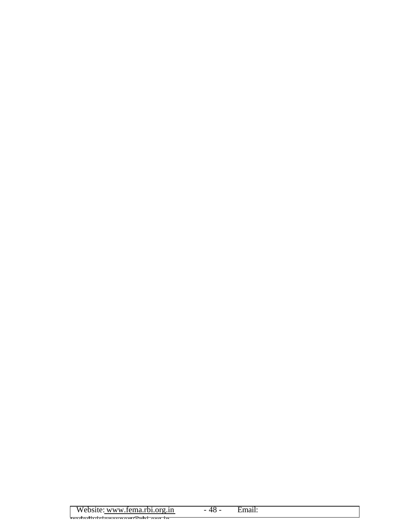| Website: www.fema.rbi.org.in | - 48 - | Email: |
|------------------------------|--------|--------|
|------------------------------|--------|--------|

tradedivisionexport@rbi.org.in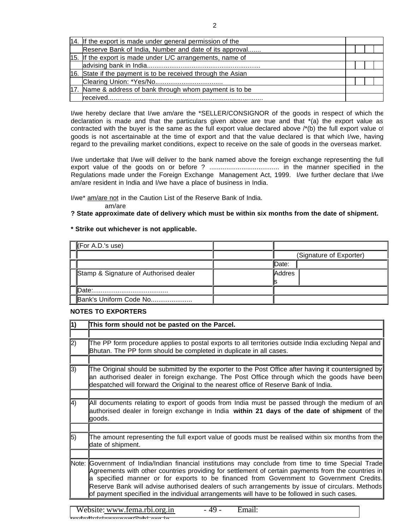| 14. If the export is made under general permission of the    |  |  |
|--------------------------------------------------------------|--|--|
| Reserve Bank of India, Number and date of its approval       |  |  |
| 15. If the export is made under L/C arrangements, name of    |  |  |
|                                                              |  |  |
| 16. State if the payment is to be received through the Asian |  |  |
|                                                              |  |  |
| 17. Name & address of bank through whom payment is to be     |  |  |
|                                                              |  |  |

I/we hereby declare that I/we am/are the \*SELLER/CONSIGNOR of the goods in respect of which the declaration is made and that the particulars given above are true and that \*(a) the export value as contracted with the buyer is the same as the full export value declared above /\*(b) the full export value of goods is not ascertainable at the time of export and that the value declared is that which I/we, having regard to the prevailing market conditions, expect to receive on the sale of goods in the overseas market.

I/we undertake that I/we will deliver to the bank named above the foreign exchange representing the full export value of the goods on or before ? ..................................... in the manner specified in the Regulations made under the Foreign Exchange Management Act, 1999. I/we further declare that I/we am/are resident in India and I/we have a place of business in India.

I/we\* am/are not in the Caution List of the Reserve Bank of India.

am/are

# **? State approximate date of delivery which must be within six months from the date of shipment.**

# **\* Strike out whichever is not applicable.**

| $ $ (For A.D.'s use)                   |                 |                         |
|----------------------------------------|-----------------|-------------------------|
|                                        |                 | (Signature of Exporter) |
|                                        | IDate:          |                         |
| Stamp & Signature of Authorised dealer | <b>I</b> Addres |                         |
|                                        |                 |                         |
| $\mathsf{Date}$ :                      |                 |                         |
| Bank's Uniform Code No                 |                 |                         |

### **NOTES TO EXPORTERS**

| 11)         | This form should not be pasted on the Parcel.                                                                                                                                                                                                                                                                                                                                                                                                                                                     |
|-------------|---------------------------------------------------------------------------------------------------------------------------------------------------------------------------------------------------------------------------------------------------------------------------------------------------------------------------------------------------------------------------------------------------------------------------------------------------------------------------------------------------|
|             |                                                                                                                                                                                                                                                                                                                                                                                                                                                                                                   |
| 2)          | The PP form procedure applies to postal exports to all territories outside India excluding Nepal and<br>Bhutan. The PP form should be completed in duplicate in all cases.                                                                                                                                                                                                                                                                                                                        |
|             |                                                                                                                                                                                                                                                                                                                                                                                                                                                                                                   |
| $ 3\rangle$ | The Original should be submitted by the exporter to the Post Office after having it countersigned by<br>an authorised dealer in foreign exchange. The Post Office through which the goods have been<br>despatched will forward the Original to the nearest office of Reserve Bank of India.                                                                                                                                                                                                       |
|             |                                                                                                                                                                                                                                                                                                                                                                                                                                                                                                   |
| 4)          | All documents relating to export of goods from India must be passed through the medium of an<br>authorised dealer in foreign exchange in India within 21 days of the date of shipment of the<br>goods.                                                                                                                                                                                                                                                                                            |
|             |                                                                                                                                                                                                                                                                                                                                                                                                                                                                                                   |
| $ 5\rangle$ | The amount representing the full export value of goods must be realised within six months from the<br>date of shipment.                                                                                                                                                                                                                                                                                                                                                                           |
|             |                                                                                                                                                                                                                                                                                                                                                                                                                                                                                                   |
| Note:       | Government of India/Indian financial institutions may conclude from time to time Special Trade<br>Agreements with other countries providing for settlement of certain payments from the countries in<br>a specified manner or for exports to be financed from Government to Government Credits.<br>Reserve Bank will advise authorised dealers of such arrangements by issue of circulars. Methods<br>of payment specified in the individual arrangements will have to be followed in such cases. |

Website: www.fema.rbi.org.in - 49 - Email:

tradedivisionexport@rbi.org.in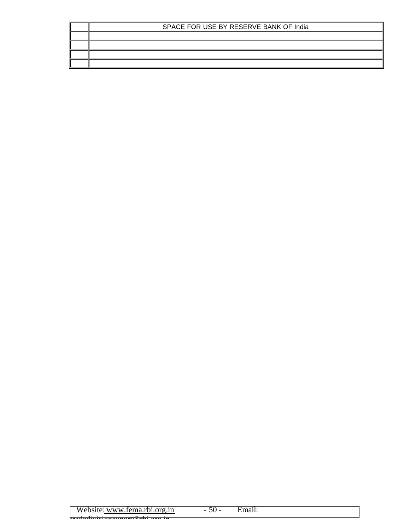| SPACE FOR USE BY RESERVE BANK OF India |
|----------------------------------------|
|                                        |
|                                        |
|                                        |
|                                        |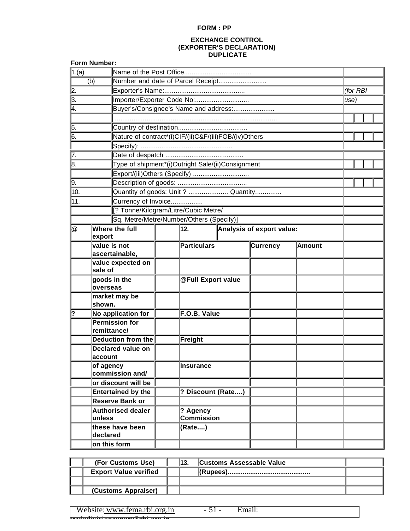# **FORM : PP**

#### **EXCHANGE CONTROL (EXPORTER'S DECLARATION) DUPLICATE**

|               | Form Number:                                          |                                                   |  |                                       |  |                           |               |          |      |  |  |
|---------------|-------------------------------------------------------|---------------------------------------------------|--|---------------------------------------|--|---------------------------|---------------|----------|------|--|--|
| $\vert$ 1.(a) |                                                       |                                                   |  |                                       |  |                           |               |          |      |  |  |
|               | (b)                                                   | Number and date of Parcel Receipt                 |  |                                       |  |                           |               |          |      |  |  |
| 2.            |                                                       |                                                   |  |                                       |  |                           |               | (for RBI |      |  |  |
| 3.            |                                                       | Importer/Exporter Code No:                        |  |                                       |  |                           |               |          | use) |  |  |
| 4.            |                                                       |                                                   |  | Buyer's/Consignee's Name and address: |  |                           |               |          |      |  |  |
|               |                                                       |                                                   |  |                                       |  |                           |               |          |      |  |  |
| 5.            |                                                       |                                                   |  |                                       |  |                           |               |          |      |  |  |
| 16.           | Nature of contract*(i)CIF/(ii)C&F/(iii)FOB/(iv)Others |                                                   |  |                                       |  |                           |               |          |      |  |  |
|               |                                                       |                                                   |  |                                       |  |                           |               |          |      |  |  |
| 17.           |                                                       |                                                   |  |                                       |  |                           |               |          |      |  |  |
| 8.            |                                                       | Type of shipment*(i)Outright Sale/(ii)Consignment |  |                                       |  |                           |               |          |      |  |  |
|               |                                                       | Export/(iii)Others (Specify)                      |  |                                       |  |                           |               |          |      |  |  |
| 9.            |                                                       |                                                   |  |                                       |  |                           |               |          |      |  |  |
| 10.           |                                                       | Quantity of goods: Unit ?  Quantity               |  |                                       |  |                           |               |          |      |  |  |
| 11.           |                                                       | Currency of Invoice                               |  |                                       |  |                           |               |          |      |  |  |
|               |                                                       | [? Tonne/Kilogram/Litre/Cubic Metre/              |  |                                       |  |                           |               |          |      |  |  |
|               |                                                       | Sq. Metre/Metre/Number/Others (Specify)]          |  |                                       |  |                           |               |          |      |  |  |
| @             |                                                       | <b>Where the full</b>                             |  | 12.                                   |  | Analysis of export value: |               |          |      |  |  |
|               | export                                                |                                                   |  |                                       |  |                           |               |          |      |  |  |
|               | value is not                                          | ascertainable,                                    |  | <b>Particulars</b>                    |  | <b>Currency</b>           | <b>Amount</b> |          |      |  |  |
|               |                                                       | value expected on                                 |  |                                       |  |                           |               |          |      |  |  |
|               | sale of                                               |                                                   |  |                                       |  |                           |               |          |      |  |  |
|               |                                                       | goods in the                                      |  | @Full Export value                    |  |                           |               |          |      |  |  |
|               | overseas                                              |                                                   |  |                                       |  |                           |               |          |      |  |  |
|               |                                                       | market may be                                     |  |                                       |  |                           |               |          |      |  |  |
|               | shown.                                                |                                                   |  |                                       |  |                           |               |          |      |  |  |
| ?             |                                                       | No application for                                |  | F.O.B. Value                          |  |                           |               |          |      |  |  |
|               |                                                       | Permission for                                    |  |                                       |  |                           |               |          |      |  |  |
|               | remittance/                                           | Deduction from the                                |  | Freight                               |  |                           |               |          |      |  |  |
|               |                                                       | Declared value on                                 |  |                                       |  |                           |               |          |      |  |  |
|               | account                                               |                                                   |  |                                       |  |                           |               |          |      |  |  |
|               | of agency                                             |                                                   |  | Insurance                             |  |                           |               |          |      |  |  |
|               | commission and/                                       |                                                   |  |                                       |  |                           |               |          |      |  |  |
|               | or discount will be                                   |                                                   |  |                                       |  |                           |               |          |      |  |  |
|               | Entertained by the                                    |                                                   |  | ? Discount (Rate)                     |  |                           |               |          |      |  |  |
|               | <b>Reserve Bank or</b>                                |                                                   |  |                                       |  |                           |               |          |      |  |  |
|               | <b>Authorised dealer</b>                              |                                                   |  | ? Agency                              |  |                           |               |          |      |  |  |
|               | unless                                                |                                                   |  | <b>Commission</b>                     |  |                           |               |          |      |  |  |
|               |                                                       | these have been                                   |  | (Rate)                                |  |                           |               |          |      |  |  |
|               | declared                                              |                                                   |  |                                       |  |                           |               |          |      |  |  |
| on this form  |                                                       |                                                   |  |                                       |  |                           |               |          |      |  |  |

| (For Customs Use)            |  | <b>Customs Assessable Value</b> |  |
|------------------------------|--|---------------------------------|--|
| <b>Export Value verified</b> |  |                                 |  |
|                              |  |                                 |  |
| (Customs Appraiser)          |  |                                 |  |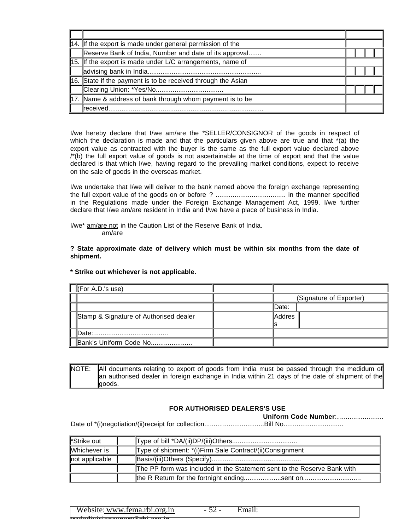| 14. If the export is made under general permission of the    |  |  |
|--------------------------------------------------------------|--|--|
| Reserve Bank of India, Number and date of its approval       |  |  |
| 15. If the export is made under L/C arrangements, name of    |  |  |
|                                                              |  |  |
| 16. State if the payment is to be received through the Asian |  |  |
|                                                              |  |  |
| 17. Name & address of bank through whom payment is to be     |  |  |
|                                                              |  |  |

I/we hereby declare that I/we am/are the \*SELLER/CONSIGNOR of the goods in respect of which the declaration is made and that the particulars given above are true and that  $*(a)$  the export value as contracted with the buyer is the same as the full export value declared above  $/$ \*(b) the full export value of goods is not ascertainable at the time of export and that the value declared is that which I/we, having regard to the prevailing market conditions, expect to receive on the sale of goods in the overseas market.

I/we undertake that I/we will deliver to the bank named above the foreign exchange representing the full export value of the goods on or before ? ..................................... in the manner specified in the Regulations made under the Foreign Exchange Management Act, 1999. I/we further declare that I/we am/are resident in India and I/we have a place of business in India.

I/we\* am/are not in the Caution List of the Reserve Bank of India. am/are

**? State approximate date of delivery which must be within six months from the date of shipment.**

| (CFor A.D.'s use)                      |               |                         |
|----------------------------------------|---------------|-------------------------|
|                                        |               | (Signature of Exporter) |
|                                        | Date:         |                         |
| Stamp & Signature of Authorised dealer | <b>Addres</b> |                         |
|                                        |               |                         |
| $\mathsf{Date}$ :                      |               |                         |
| Bank's Uniform Code No                 |               |                         |

**\* Strike out whichever is not applicable.**

NOTE: All documents relating to export of goods from India must be passed through the medidum of an authorised dealer in foreign exchange in India within 21 days of the date of shipment of the goods.

#### **FOR AUTHORISED DEALERS'S USE**

**Uniform Code Number**:.........................

Date of \*(i)negotiation/(ii)receipt for collection................................Bill No................................

| Strike out     |                                                                         |
|----------------|-------------------------------------------------------------------------|
| Whichever is   | Type of shipment: *(i)Firm Sale Contract/(ii)Consignment                |
| not applicable |                                                                         |
|                | The PP form was included in the Statement sent to the Reserve Bank with |
|                |                                                                         |

| org.in<br>---<br>w<br>AVAZAV<br>erna. | - | $\sim$ $\sim$ $\sim$ $\sim$ $\sim$ $\sim$ $\sim$ |  |
|---------------------------------------|---|--------------------------------------------------|--|
| $\frac{1}{2}$                         |   |                                                  |  |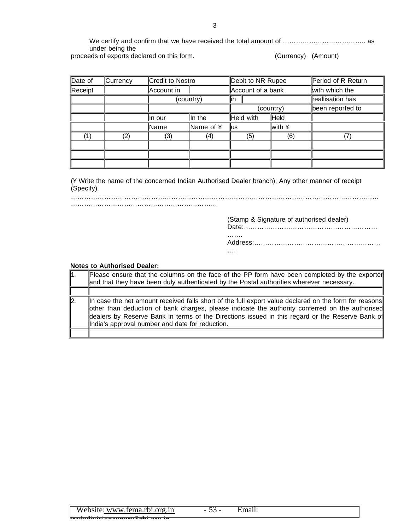We certify and confirm that we have received the total amount of ……………………………….. as under being the

proceeds of exports declared on this form. (Currency) (Amount)

| Date of | Currency | Credit to Nostro |                  | Debit to NR Rupee |           |                   | Period of R Return |  |                  |  |                  |
|---------|----------|------------------|------------------|-------------------|-----------|-------------------|--------------------|--|------------------|--|------------------|
| Receipt |          | Account in       |                  |                   |           | Account of a bank |                    |  | with which the   |  |                  |
|         |          | (country)        |                  | lin               |           |                   |                    |  |                  |  | reallisation has |
|         |          |                  |                  | (country)         |           |                   |                    |  | been reported to |  |                  |
|         |          | lln our          | $\ln$ the        |                   | Held with | Held              |                    |  |                  |  |                  |
|         |          | <b>N</b> ame     | Name of $\angle$ | <b>us</b>         |           | with $\angle$     |                    |  |                  |  |                  |
| (1)     | (2)      | (3)              | (4)              |                   | (5)       | (6)               | (7)                |  |                  |  |                  |
|         |          |                  |                  |                   |           |                   |                    |  |                  |  |                  |
|         |          |                  |                  |                   |           |                   |                    |  |                  |  |                  |
|         |          |                  |                  |                   |           |                   |                    |  |                  |  |                  |

(¥ Write the name of the concerned Indian Authorised Dealer branch). Any other manner of receipt (Specify)

………………………………………………………………………………………………………………………… …………………………………………………………

> (Stamp & Signature of authorised dealer) Date:…………………………………………………… …… Address:…………………………………………………

….

## **Notes to Authorised Dealer:**

| l1. | Please ensure that the columns on the face of the PP form have been completed by the exporter<br>and that they have been duly authenticated by the Postal authorities wherever necessary.                                                                                                                                                                       |
|-----|-----------------------------------------------------------------------------------------------------------------------------------------------------------------------------------------------------------------------------------------------------------------------------------------------------------------------------------------------------------------|
|     |                                                                                                                                                                                                                                                                                                                                                                 |
| 12. | In case the net amount received falls short of the full export value declared on the form for reasons <br>other than deduction of bank charges, please indicate the authority conferred on the authorised<br>dealers by Reserve Bank in terms of the Directions issued in this regard or the Reserve Bank of<br>India's approval number and date for reduction. |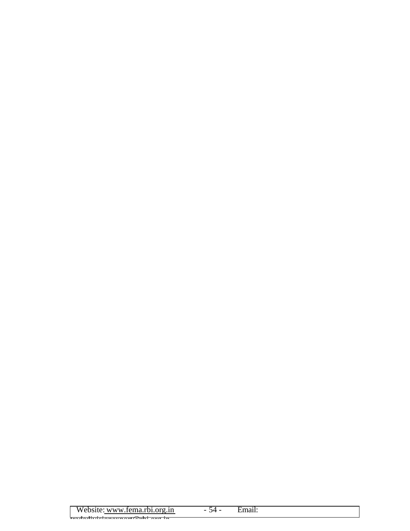| Website: www.fema.rbi.org.in |  | Email: |
|------------------------------|--|--------|
|------------------------------|--|--------|

tradedivisionexport@rbi.org.in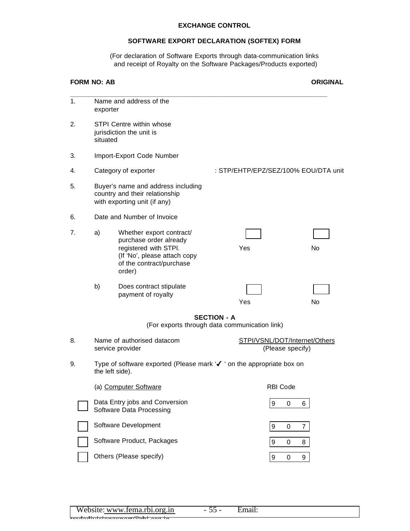#### **EXCHANGE CONTROL**

# **SOFTWARE EXPORT DECLARATION (SOFTEX) FORM**

(For declaration of Software Exports through data-communication links and receipt of Royalty on the Software Packages/Products exported)

# **FORM NO: AB ORIGINAL**

| 1. | exporter | Name and address of the                                                                                                                           |                                                                     |                  |    |
|----|----------|---------------------------------------------------------------------------------------------------------------------------------------------------|---------------------------------------------------------------------|------------------|----|
| 2. | situated | STPI Centre within whose<br>jurisdiction the unit is                                                                                              |                                                                     |                  |    |
| 3. |          | Import-Export Code Number                                                                                                                         |                                                                     |                  |    |
| 4. |          | Category of exporter                                                                                                                              | : STP/EHTP/EPZ/SEZ/100% EOU/DTA unit                                |                  |    |
| 5. |          | Buyer's name and address including<br>country and their relationship<br>with exporting unit (if any)                                              |                                                                     |                  |    |
| 6. |          | Date and Number of Invoice                                                                                                                        |                                                                     |                  |    |
| 7. | a)       | Whether export contract/<br>purchase order already<br>registered with STPI.<br>(If 'No', please attach copy<br>of the contract/purchase<br>order) | Yes                                                                 |                  | No |
|    | b)       | Does contract stipulate<br>payment of royalty                                                                                                     | Yes                                                                 |                  | No |
|    |          |                                                                                                                                                   | <b>SECTION - A</b><br>(For exports through data communication link) |                  |    |
| 8. |          | Name of authorised datacom<br>service provider                                                                                                    | STPI/VSNL/DOT/Internet/Others                                       | (Please specify) |    |
| 9. |          | Type of software exported (Please mark '√ ' on the appropriate box on<br>the left side).                                                          |                                                                     |                  |    |
|    |          | (a) Computer Software                                                                                                                             |                                                                     | <b>RBI Code</b>  |    |
|    |          | Data Entry jobs and Conversion<br>Software Data Processing                                                                                        | 9                                                                   | 0                | 6  |
|    |          | Software Development                                                                                                                              | 9                                                                   | 0                | 7  |
|    |          | Software Product, Packages                                                                                                                        | 9                                                                   | 0                | 8  |
|    |          | Others (Please specify)                                                                                                                           | 9                                                                   | 0                | 9  |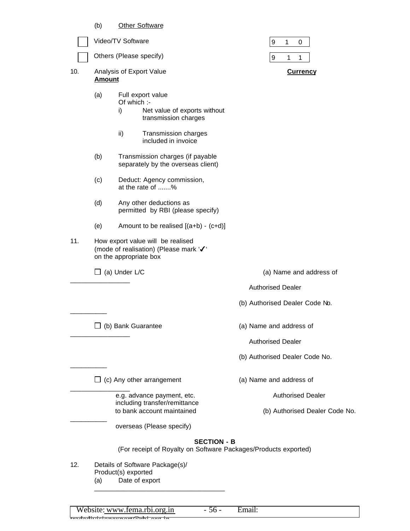|     | (b)           | <b>Other Software</b>                                                                                                                                |                                |
|-----|---------------|------------------------------------------------------------------------------------------------------------------------------------------------------|--------------------------------|
|     |               | Video/TV Software                                                                                                                                    | $\mathbf{1}$<br>9<br>0         |
|     |               | Others (Please specify)                                                                                                                              | 9<br>1<br>1                    |
| 10. | <b>Amount</b> | Analysis of Export Value                                                                                                                             | <b>Currency</b>                |
|     | (a)           | Full export value<br>Of which :-<br>i)<br>Net value of exports without<br>transmission charges<br>ii)<br>Transmission charges<br>included in invoice |                                |
|     | (b)           | Transmission charges (if payable<br>separately by the overseas client)                                                                               |                                |
|     | (c)           | Deduct: Agency commission,<br>at the rate of %                                                                                                       |                                |
|     | (d)           | Any other deductions as<br>permitted by RBI (please specify)                                                                                         |                                |
|     | (e)           | Amount to be realised $[(a+b) - (c+d)]$                                                                                                              |                                |
| 11. |               | How export value will be realised<br>(mode of realisation) (Please mark '√'<br>on the appropriate box                                                |                                |
|     |               | (a) Under L/C                                                                                                                                        | (a) Name and address of        |
|     |               |                                                                                                                                                      | <b>Authorised Dealer</b>       |
|     |               |                                                                                                                                                      | (b) Authorised Dealer Code No. |
|     |               | (b) Bank Guarantee                                                                                                                                   | (a) Name and address of        |
|     |               |                                                                                                                                                      | <b>Authorised Dealer</b>       |
|     |               |                                                                                                                                                      | (b) Authorised Dealer Code No. |
|     |               | (c) Any other arrangement                                                                                                                            | (a) Name and address of        |
|     |               | e.g. advance payment, etc.<br>including transfer/remittance                                                                                          | <b>Authorised Dealer</b>       |
|     |               | to bank account maintained                                                                                                                           | (b) Authorised Dealer Code No. |
|     |               | overseas (Please specify)                                                                                                                            |                                |
|     |               | <b>SECTION - B</b><br>(For receipt of Royalty on Software Packages/Products exported)                                                                |                                |
| 12. |               | Details of Software Package(s)/<br>Product(s) exported                                                                                               |                                |
|     | (a)           | Date of export                                                                                                                                       |                                |

| Website: www.fema.rbi.org.in |  |
|------------------------------|--|
|                              |  |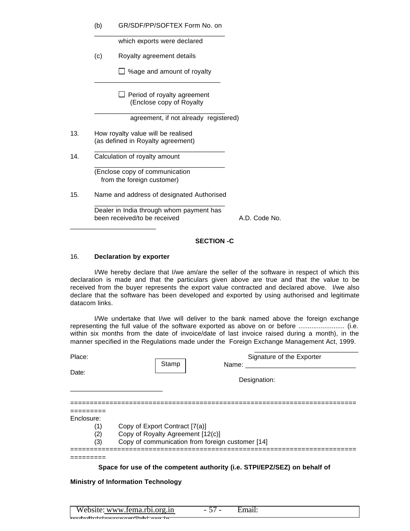|     | (b) | GR/SDF/PP/SOFTEX Form No. on                                             |               |
|-----|-----|--------------------------------------------------------------------------|---------------|
|     |     | which exports were declared                                              |               |
|     | (c) | Royalty agreement details                                                |               |
|     |     | %age and amount of royalty                                               |               |
|     |     | Period of royalty agreement<br>(Enclose copy of Royalty                  |               |
|     |     | agreement, if not already registered)                                    |               |
| 13. |     | How royalty value will be realised<br>(as defined in Royalty agreement)  |               |
| 14. |     | Calculation of royalty amount                                            |               |
|     |     | (Enclose copy of communication<br>from the foreign customer)             |               |
| 15. |     | Name and address of designated Authorised                                |               |
|     |     | Dealer in India through whom payment has<br>been received/to be received | A.D. Code No. |
|     |     |                                                                          |               |

# **SECTION -C**

#### 16. **Declaration by exporter**

I/We hereby declare that I/we am/are the seller of the software in respect of which this declaration is made and that the particulars given above are true and that the value to be received from the buyer represents the export value contracted and declared above. I/we also declare that the software has been developed and exported by using authorised and legitimate datacom links.

I/We undertake that I/we will deliver to the bank named above the foreign exchange representing the full value of the software exported as above on or before ................................... within six months from the date of invoice/date of last invoice raised during a month), in the manner specified in the Regulations made under the Foreign Exchange Management Act, 1999.

 $\frac{1}{2}$  ,  $\frac{1}{2}$  ,  $\frac{1}{2}$  ,  $\frac{1}{2}$  ,  $\frac{1}{2}$  ,  $\frac{1}{2}$  ,  $\frac{1}{2}$  ,  $\frac{1}{2}$  ,  $\frac{1}{2}$  ,  $\frac{1}{2}$  ,  $\frac{1}{2}$  ,  $\frac{1}{2}$  ,  $\frac{1}{2}$  ,  $\frac{1}{2}$  ,  $\frac{1}{2}$  ,  $\frac{1}{2}$  ,  $\frac{1}{2}$  ,  $\frac{1}{2}$  ,  $\frac{1$ 

| Place:     | Signature of the Exporter                                                 |
|------------|---------------------------------------------------------------------------|
|            | Stamp<br>Name:                                                            |
| Date:      |                                                                           |
|            | Designation:                                                              |
|            |                                                                           |
|            |                                                                           |
|            |                                                                           |
|            |                                                                           |
| Enclosure: |                                                                           |
| (1)        | Copy of Export Contract [7(a)]                                            |
| (2)        | Copy of Royalty Agreement [12(c)]                                         |
| (3)        | Copy of communication from foreign customer [14]                          |
|            |                                                                           |
|            | Space for use of the competent authority (i.e. STPI/EPZ/SEZ) on behalf of |
|            |                                                                           |

#### **Ministry of Information Technology**

| --<br>$\alpha$ and $\alpha$<br>$   -$<br>---<br>w<br>www<br>- 1611<br>'.111 |  |  |
|-----------------------------------------------------------------------------|--|--|
|                                                                             |  |  |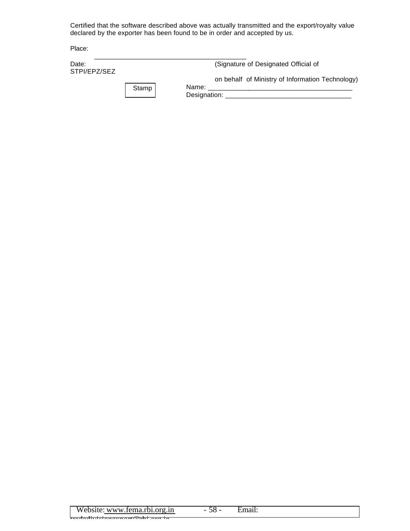Certified that the software described above was actually transmitted and the export/royalty value declared by the exporter has been found to be in order and accepted by us.

Place:

| Date:<br>STPI/EPZ/SEZ |       | (Signature of Designated Official of             |
|-----------------------|-------|--------------------------------------------------|
|                       |       | on behalf of Ministry of Information Technology) |
|                       | Stamp | Name:<br>Designation:                            |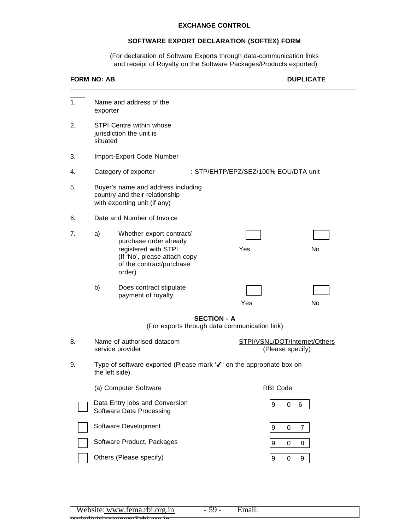#### **EXCHANGE CONTROL**

# **SOFTWARE EXPORT DECLARATION (SOFTEX) FORM**

(For declaration of Software Exports through data-communication links and receipt of Royalty on the Software Packages/Products exported)

# **FORM NO: AB DUPLICATE**

| 1. | exporter                                                                               | Name and address of the                                                                                                                           |                    |                                               |                                                   |  |  |  |
|----|----------------------------------------------------------------------------------------|---------------------------------------------------------------------------------------------------------------------------------------------------|--------------------|-----------------------------------------------|---------------------------------------------------|--|--|--|
| 2. |                                                                                        | STPI Centre within whose<br>jurisdiction the unit is<br>situated                                                                                  |                    |                                               |                                                   |  |  |  |
| 3. |                                                                                        | Import-Export Code Number                                                                                                                         |                    |                                               |                                                   |  |  |  |
| 4. |                                                                                        | Category of exporter                                                                                                                              |                    | : STP/EHTP/EPZ/SEZ/100% EOU/DTA unit          |                                                   |  |  |  |
| 5. |                                                                                        | Buyer's name and address including<br>country and their relationship<br>with exporting unit (if any)                                              |                    |                                               |                                                   |  |  |  |
| 6. |                                                                                        | Date and Number of Invoice                                                                                                                        |                    |                                               |                                                   |  |  |  |
| 7. | a)                                                                                     | Whether export contract/<br>purchase order already<br>registered with STPI.<br>(If 'No', please attach copy<br>of the contract/purchase<br>order) |                    | Yes                                           | No                                                |  |  |  |
|    | b)                                                                                     | Does contract stipulate<br>payment of royalty                                                                                                     |                    | Yes                                           | <b>No</b>                                         |  |  |  |
|    |                                                                                        |                                                                                                                                                   | <b>SECTION - A</b> | (For exports through data communication link) |                                                   |  |  |  |
| 8. |                                                                                        | Name of authorised datacom<br>service provider                                                                                                    |                    |                                               | STPI/VSNL/DOT/Internet/Others<br>(Please specify) |  |  |  |
| 9. | Type of software exported (Please mark '√ on the appropriate box on<br>the left side). |                                                                                                                                                   |                    |                                               |                                                   |  |  |  |
|    |                                                                                        | (a) Computer Software                                                                                                                             |                    | <b>RBI Code</b>                               |                                                   |  |  |  |
|    |                                                                                        | Data Entry jobs and Conversion<br>Software Data Processing                                                                                        |                    | 9                                             | 0<br>6                                            |  |  |  |
|    |                                                                                        | Software Development                                                                                                                              |                    | 9                                             | 0<br>7                                            |  |  |  |
|    |                                                                                        | Software Product, Packages                                                                                                                        |                    | 9                                             | 0<br>8                                            |  |  |  |
|    |                                                                                        | Others (Please specify)                                                                                                                           |                    | 9                                             | 9<br>0                                            |  |  |  |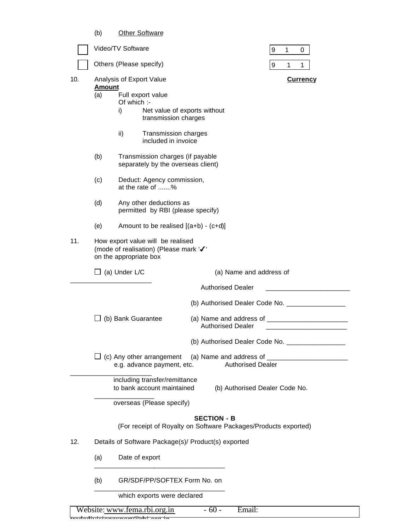|     | (b)                  | Other Software                                                                                                                                                                   |                                                     |                                                  |
|-----|----------------------|----------------------------------------------------------------------------------------------------------------------------------------------------------------------------------|-----------------------------------------------------|--------------------------------------------------|
|     |                      | Video/TV Software                                                                                                                                                                |                                                     | 9<br>1<br>0                                      |
|     |                      | Others (Please specify)                                                                                                                                                          |                                                     | 9<br>1<br>1                                      |
| 10. | <b>Amount</b><br>(a) | Analysis of Export Value<br>Full export value<br>Of which :-<br>i)<br>Net value of exports without<br>transmission charges<br>ii)<br>Transmission charges<br>included in invoice |                                                     | <b>Currency</b>                                  |
|     | (b)                  | Transmission charges (if payable<br>separately by the overseas client)                                                                                                           |                                                     |                                                  |
|     | (c)                  | Deduct: Agency commission,<br>at the rate of %                                                                                                                                   |                                                     |                                                  |
|     | (d)                  | Any other deductions as<br>permitted by RBI (please specify)                                                                                                                     |                                                     |                                                  |
|     | (e)                  | Amount to be realised $[(a+b) - (c+d)]$                                                                                                                                          |                                                     |                                                  |
| 11. |                      | How export value will be realised<br>(mode of realisation) (Please mark '√'<br>on the appropriate box                                                                            |                                                     |                                                  |
|     |                      | $\Box$ (a) Under L/C                                                                                                                                                             |                                                     | (a) Name and address of                          |
|     |                      |                                                                                                                                                                                  | <b>Authorised Dealer</b>                            |                                                  |
|     |                      |                                                                                                                                                                                  |                                                     | (b) Authorised Dealer Code No. _________________ |
|     |                      | (b) Bank Guarantee                                                                                                                                                               | (a) Name and address of<br><b>Authorised Dealer</b> |                                                  |
|     |                      |                                                                                                                                                                                  |                                                     | (b) Authorised Dealer Code No. _________________ |
|     |                      | $\Box$ (c) Any other arrangement<br>e.g. advance payment, etc.                                                                                                                   |                                                     | <b>Authorised Dealer</b>                         |
|     |                      | including transfer/remittance<br>to bank account maintained                                                                                                                      |                                                     | (b) Authorised Dealer Code No.                   |
|     |                      | overseas (Please specify)                                                                                                                                                        |                                                     |                                                  |
|     |                      | (For receipt of Royalty on Software Packages/Products exported)                                                                                                                  | <b>SECTION - B</b>                                  |                                                  |
| 12. |                      | Details of Software Package(s)/ Product(s) exported                                                                                                                              |                                                     |                                                  |
|     | (a)                  | Date of export                                                                                                                                                                   |                                                     |                                                  |
|     | (b)                  | GR/SDF/PP/SOFTEX Form No. on                                                                                                                                                     |                                                     |                                                  |
|     |                      | which exports were declared                                                                                                                                                      |                                                     |                                                  |
|     |                      | Website: www.fema.rbi.org.in                                                                                                                                                     | $-60-$<br>Email:                                    |                                                  |

 $\frac{1}{\tan \theta}$  division over out  $\theta$  in  $\frac{1}{\tan \theta}$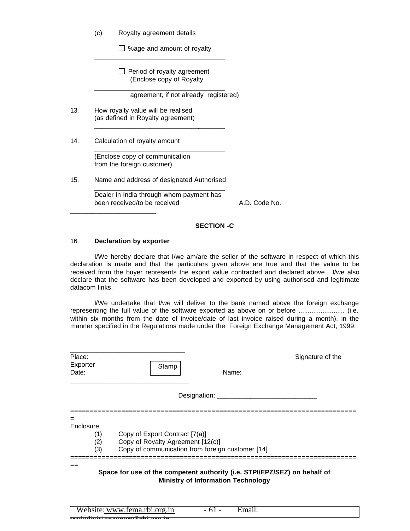|     | (c) | Royalty agreement details                                                |               |
|-----|-----|--------------------------------------------------------------------------|---------------|
|     |     | $\Box$ %age and amount of royalty                                        |               |
|     |     | Period of royalty agreement<br>(Enclose copy of Royalty                  |               |
|     |     | agreement, if not already registered)                                    |               |
| 13. |     | How royalty value will be realised<br>(as defined in Royalty agreement)  |               |
| 14. |     | Calculation of royalty amount                                            |               |
|     |     | (Enclose copy of communication<br>from the foreign customer)             |               |
| 15. |     | Name and address of designated Authorised                                |               |
|     |     | Dealer in India through whom payment has<br>been received/to be received | A.D. Code No. |
|     |     |                                                                          |               |

# **SECTION -C**

#### 16. **Declaration by exporter**

I/We hereby declare that I/we am/are the seller of the software in respect of which this declaration is made and that the particulars given above are true and that the value to be received from the buyer represents the export value contracted and declared above. I/we also declare that the software has been developed and exported by using authorised and legitimate datacom links.

I/We undertake that I/we will deliver to the bank named above the foreign exchange representing the full value of the software exported as above on or before ................................... within six months from the date of invoice/date of last invoice raised during a month), in the manner specified in the Regulations made under the Foreign Exchange Management Act, 1999.

| Place:<br>Exporter<br>Date:     | Stamp<br>Name:                                                                                                          | Signature of the |
|---------------------------------|-------------------------------------------------------------------------------------------------------------------------|------------------|
|                                 | Designation: ________                                                                                                   |                  |
| Enclosure:<br>(1)<br>(2)<br>(3) | Copy of Export Contract [7(a)]<br>Copy of Royalty Agreement [12(c)]<br>Copy of communication from foreign customer [14] |                  |
|                                 | Space for use of the competent authority (i.e. STPI/EPZ/SEZ) on behalf of<br><b>Ministry of Information Technology</b>  |                  |

| ---<br>$ -$<br>$\rightarrow$<br>$\mathbf{M}$<br>$\mathbf{M}$ | - |  |
|--------------------------------------------------------------|---|--|
|                                                              |   |  |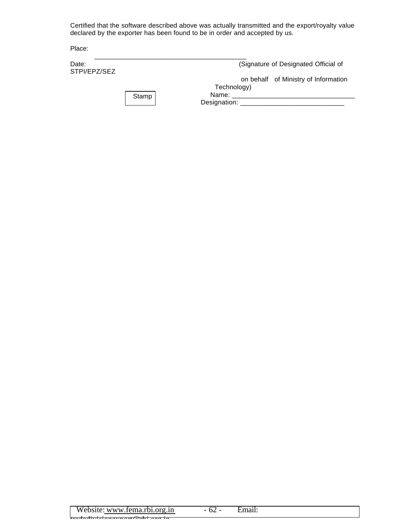Certified that the software described above was actually transmitted and the export/royalty value declared by the exporter has been found to be in order and accepted by us.

Place:

| Date:<br>STPI/EPZ/SEZ |       | (Signature of Designated Official of                                                                                                                                                                                                                                                  |
|-----------------------|-------|---------------------------------------------------------------------------------------------------------------------------------------------------------------------------------------------------------------------------------------------------------------------------------------|
|                       | Stamp | on behalf of Ministry of Information<br>Technology)<br>Name: when the contract of the contract of the contract of the contract of the contract of the contract of the contract of the contract of the contract of the contract of the contract of the contract of the contract of the |
|                       |       | Designation: _______                                                                                                                                                                                                                                                                  |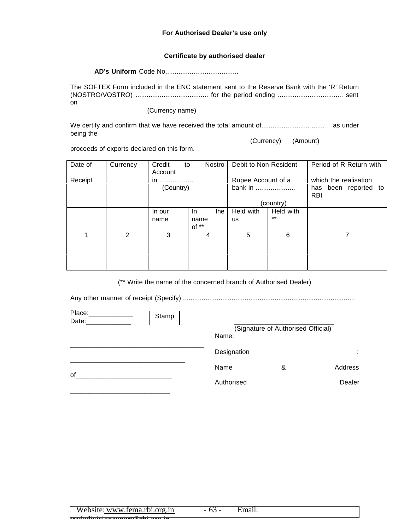# **For Authorised Dealer's use only**

## **Certificate by authorised dealer**

## **AD's Uniform** Code No.......................................

The SOFTEX Form included in the ENC statement sent to the Reserve Bank with the 'R' Return (NOSTRO/VOSTRO) ....................................... for the period ending ................................... sent on

(Currency name)

We certify and confirm that we have received the total amount of.......................... ....... as under being the (Currency) (Amount)

proceeds of exports declared on this form.

\_\_\_\_\_\_\_\_\_\_\_\_\_\_\_\_\_\_\_\_\_\_\_\_\_\_\_

| Date of | Currency | Credit<br>to<br>Account | <b>Nostro</b>                 | Debit to Non-Resident |           | Period of R-Return with                                        |
|---------|----------|-------------------------|-------------------------------|-----------------------|-----------|----------------------------------------------------------------|
| Receipt |          | in<br><br>(Country)     | Rupee Account of a<br>bank in |                       |           | which the realisation<br>been reported to<br>has<br><b>RBI</b> |
|         |          |                         |                               |                       | (country) |                                                                |
|         |          | In our                  | the<br>In.                    | Held with             | Held with |                                                                |
|         |          | name                    | name                          | <b>us</b>             | $***$     |                                                                |
|         |          |                         | $of **$                       |                       |           |                                                                |
|         | 2        | 3                       | 4                             | 5                     | 6         |                                                                |
|         |          |                         |                               |                       |           |                                                                |
|         |          |                         |                               |                       |           |                                                                |

(\*\* Write the name of the concerned branch of Authorised Dealer)

Any other manner of receipt (Specify) ............................................................................................

| Place:<br>Date: | Stamp |             |                                    |         |
|-----------------|-------|-------------|------------------------------------|---------|
|                 |       | Name:       | (Signature of Authorised Official) |         |
|                 |       | Designation |                                    | ÷       |
| of              |       | Name        | &                                  | Address |
|                 |       | Authorised  |                                    | Dealer  |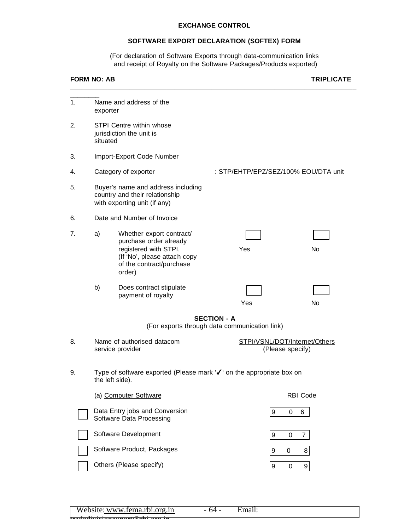# **EXCHANGE CONTROL**

# **SOFTWARE EXPORT DECLARATION (SOFTEX) FORM**

(For declaration of Software Exports through data-communication links and receipt of Royalty on the Software Packages/Products exported)

**\_\_\_\_\_\_\_\_\_\_\_\_\_\_\_\_\_\_\_\_\_\_\_\_\_\_\_\_\_\_\_\_\_\_\_\_\_\_\_\_\_\_\_\_\_\_\_\_\_\_\_\_\_\_\_\_\_\_\_\_\_\_\_\_\_\_\_\_\_\_\_\_\_\_\_\_\_**

# **FORM NO: AB TRIPLICATE**

| 1. | exporter | Name and address of the                                                                                                                           |                                      |                       |                 |  |
|----|----------|---------------------------------------------------------------------------------------------------------------------------------------------------|--------------------------------------|-----------------------|-----------------|--|
| 2. | situated | STPI Centre within whose<br>jurisdiction the unit is                                                                                              |                                      |                       |                 |  |
| 3. |          | Import-Export Code Number                                                                                                                         |                                      |                       |                 |  |
| 4. |          | Category of exporter                                                                                                                              | : STP/EHTP/EPZ/SEZ/100% EOU/DTA unit |                       |                 |  |
| 5. |          | Buyer's name and address including<br>country and their relationship<br>with exporting unit (if any)                                              |                                      |                       |                 |  |
| 6. |          | Date and Number of Invoice                                                                                                                        |                                      |                       |                 |  |
| 7. | a)       | Whether export contract/<br>purchase order already<br>registered with STPI.<br>(If 'No', please attach copy<br>of the contract/purchase<br>order) | Yes                                  |                       | No              |  |
|    | b)       | Does contract stipulate<br>payment of royalty                                                                                                     | Yes                                  |                       | <b>No</b>       |  |
|    |          |                                                                                                                                                   | <b>SECTION - A</b>                   |                       |                 |  |
|    |          | (For exports through data communication link)                                                                                                     |                                      |                       |                 |  |
| 8. |          | Name of authorised datacom<br>service provider                                                                                                    | STPI/VSNL/DOT/Internet/Others        | (Please specify)      |                 |  |
| 9. |          | Type of software exported (Please mark '√ on the appropriate box on<br>the left side).                                                            |                                      |                       |                 |  |
|    |          | (a) Computer Software                                                                                                                             |                                      |                       | <b>RBI Code</b> |  |
|    |          | Data Entry jobs and Conversion<br>Software Data Processing                                                                                        |                                      | 9<br>$\boldsymbol{0}$ | 6               |  |
|    |          | Software Development                                                                                                                              |                                      | 9<br>0                | 7               |  |
|    |          | Software Product, Packages                                                                                                                        |                                      | 9<br>0                | 8               |  |
|    |          | Others (Please specify)                                                                                                                           |                                      | 9<br>0                | 9               |  |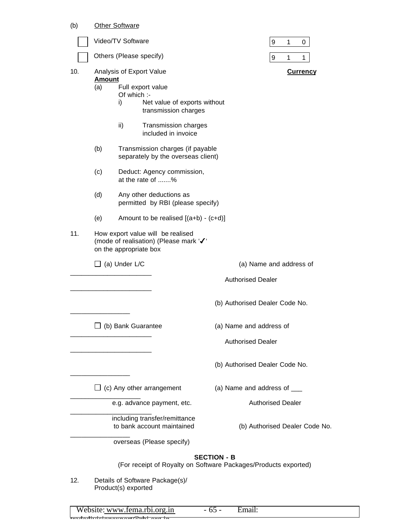| (b) |               | <b>Other Software</b>                                                                                 |                                |                                |
|-----|---------------|-------------------------------------------------------------------------------------------------------|--------------------------------|--------------------------------|
|     |               | Video/TV Software                                                                                     |                                | 9<br>1<br>0                    |
|     |               | Others (Please specify)                                                                               |                                | $\boldsymbol{9}$<br>1<br>1     |
| 10. | <b>Amount</b> | Analysis of Export Value                                                                              |                                | <b>Currency</b>                |
|     | (a)           | Full export value<br>Of which :-<br>i)<br>Net value of exports without<br>transmission charges        |                                |                                |
|     |               | ii)<br>Transmission charges<br>included in invoice                                                    |                                |                                |
|     | (b)           | Transmission charges (if payable<br>separately by the overseas client)                                |                                |                                |
|     | (c)           | Deduct: Agency commission,<br>at the rate of %                                                        |                                |                                |
|     | (d)           | Any other deductions as<br>permitted by RBI (please specify)                                          |                                |                                |
|     | (e)           | Amount to be realised $[(a+b) - (c+d)]$                                                               |                                |                                |
| 11. |               | How export value will be realised<br>(mode of realisation) (Please mark '√'<br>on the appropriate box |                                |                                |
|     |               | $\Box$ (a) Under L/C                                                                                  |                                | (a) Name and address of        |
|     |               |                                                                                                       | <b>Authorised Dealer</b>       |                                |
|     |               |                                                                                                       | (b) Authorised Dealer Code No. |                                |
|     |               | b) Bank Guarantee                                                                                     | (a) Name and address of        |                                |
|     |               |                                                                                                       | <b>Authorised Dealer</b>       |                                |
|     |               |                                                                                                       | (b) Authorised Dealer Code No. |                                |
|     |               | $\Box$ (c) Any other arrangement                                                                      | (a) Name and address of ____   |                                |
|     |               | e.g. advance payment, etc.                                                                            |                                | <b>Authorised Dealer</b>       |
|     |               | including transfer/remittance<br>to bank account maintained                                           |                                | (b) Authorised Dealer Code No. |
|     |               | overseas (Please specify)                                                                             |                                |                                |
|     |               | (For receipt of Royalty on Software Packages/Products exported)                                       | <b>SECTION - B</b>             |                                |
| 12. |               | Details of Software Package(s)/<br>Product(s) exported                                                |                                |                                |

| - - - -<br>M M<br>AV. | -<br>ັັ |  |
|-----------------------|---------|--|
| $\frac{1}{2}$<br>$+$  |         |  |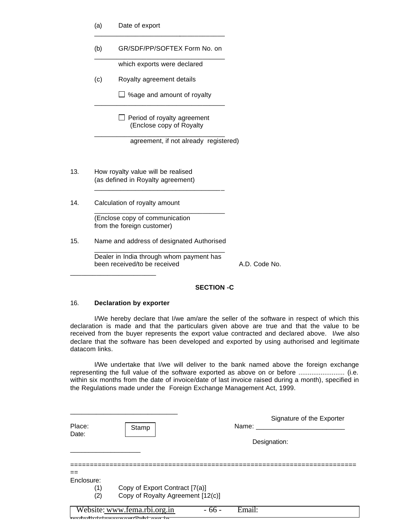|     | (a) | Date of export                                                          |  |  |  |  |  |  |
|-----|-----|-------------------------------------------------------------------------|--|--|--|--|--|--|
|     | (b) | GR/SDF/PP/SOFTEX Form No. on                                            |  |  |  |  |  |  |
|     |     | which exports were declared                                             |  |  |  |  |  |  |
|     | (c) | Royalty agreement details                                               |  |  |  |  |  |  |
|     |     | %age and amount of royalty                                              |  |  |  |  |  |  |
|     |     | Period of royalty agreement<br>(Enclose copy of Royalty                 |  |  |  |  |  |  |
|     |     | agreement, if not already registered)                                   |  |  |  |  |  |  |
| 13. |     | How royalty value will be realised<br>(as defined in Royalty agreement) |  |  |  |  |  |  |
| 14. |     | Calculation of royalty amount                                           |  |  |  |  |  |  |
|     |     | (Enclose copy of communication<br>from the foreign customer)            |  |  |  |  |  |  |
| 15. |     | Name and address of designated Authorised                               |  |  |  |  |  |  |
|     |     | Dealer in India through whom payment has                                |  |  |  |  |  |  |

been received/to be received A.D. Code No.

# **SECTION -C**

#### 16. **Declaration by exporter**

\_\_\_\_\_\_\_\_\_\_\_\_\_\_\_\_\_\_\_\_\_\_\_

 $t = 1$  tradedivision control  $\mathbb{R}$  . In the set

I/We hereby declare that I/we am/are the seller of the software in respect of which this declaration is made and that the particulars given above are true and that the value to be received from the buyer represents the export value contracted and declared above. I/we also declare that the software has been developed and exported by using authorised and legitimate datacom links.

I/We undertake that I/we will deliver to the bank named above the foreign exchange representing the full value of the software exported as above on or before ................................... within six months from the date of invoice/date of last invoice raised during a month), specified in the Regulations made under the Foreign Exchange Management Act, 1999.

| Place:<br>Date: | Stamp                                  | Signature of the Exporter<br>Name:<br>Designation: |
|-----------------|----------------------------------------|----------------------------------------------------|
|                 |                                        |                                                    |
| Enclosure:      |                                        |                                                    |
| (1)             | Copy of Export Contract [7(a)]         |                                                    |
| (2)             | Copy of Royalty Agreement [12(c)]      |                                                    |
|                 | Website: www.fema.rbi.org.in<br>- 66 - | Email:                                             |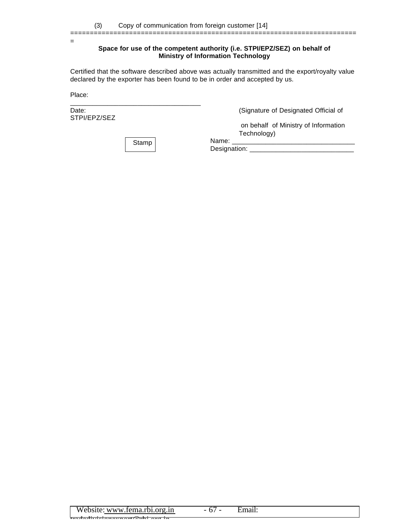## **Space for use of the competent authority (i.e. STPI/EPZ/SEZ) on behalf of Ministry of Information Technology**

=========================================================================

Certified that the software described above was actually transmitted and the export/royalty value declared by the exporter has been found to be in order and accepted by us.

Place:

=

| Date:<br>STPI/EPZ/SEZ | (Signature of Designated Official of |
|-----------------------|--------------------------------------|
|                       | on behalf of Ministry of Information |
|                       | Technology)                          |

Stamp

Name:

Designation: \_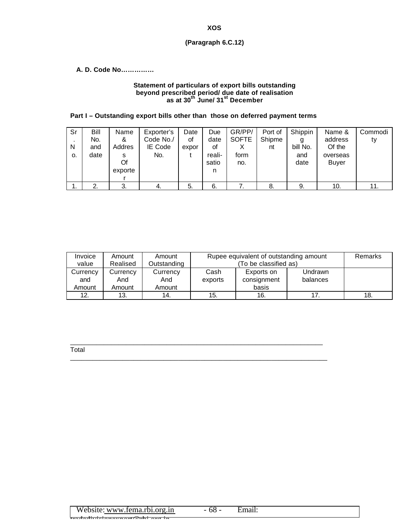# **(Paragraph 6.C.12)**

 **A. D. Code No……………**

#### **Statement of particulars of export bills outstanding beyond prescribed period/ due date of realisation as at 30th June/ 31st December**

# **Part I – Outstanding export bills other than those on deferred payment terms**

| Sr  | Bill | Name    | Exporter's | Date  | Due    | GR/PP/       | Port of | Shippin  | Name &       | Commodi |
|-----|------|---------|------------|-------|--------|--------------|---------|----------|--------------|---------|
|     | No.  | &       | Code No./  | οf    | date   | <b>SOFTE</b> | Shipme  |          | address      | tv      |
| N   | and  | Addres  | IE Code    | expor | οf     |              | nt      | bill No. | Of the       |         |
| 0.  | date | s       | No.        |       | reali- | form         |         | and      | overseas     |         |
|     |      | Of      |            |       | satio  | no.          |         | date     | <b>Buver</b> |         |
|     |      | exporte |            |       | n      |              |         |          |              |         |
|     |      |         |            |       |        |              |         |          |              |         |
| . . |      |         |            | 5.    | 6.     |              | 8.      | 9.       | 10.          | 11.     |

| Invoice  | Amount   | Amount      |         | Rupee equivalent of outstanding amount |          |     |  |
|----------|----------|-------------|---------|----------------------------------------|----------|-----|--|
| value    | Realised | Outstanding |         |                                        |          |     |  |
| Currency | Currency | Currency    | Cash    | Exports on                             | Undrawn  |     |  |
| and      | And      | And         | exports | consignment                            | balances |     |  |
| Amount   | Amount   | Amount      |         | basis                                  |          |     |  |
| 12.      | 13.      | 14.         | 15.     | 16.                                    |          | 18. |  |

\_\_\_\_\_\_\_\_\_\_\_\_\_\_\_\_\_\_\_\_\_\_\_\_\_\_\_\_\_\_\_\_\_\_\_\_\_\_\_\_\_\_\_\_\_\_\_\_\_\_\_\_\_\_\_\_\_\_\_\_\_\_\_\_\_\_\_\_

\_\_\_\_\_\_\_\_\_\_\_\_\_\_\_\_\_\_\_\_\_\_\_\_\_\_\_\_\_\_\_\_\_\_\_\_\_\_\_\_\_\_\_\_\_\_\_\_\_\_\_\_\_\_\_\_\_\_\_\_\_\_\_\_\_\_\_\_\_

Total

#### **XOS**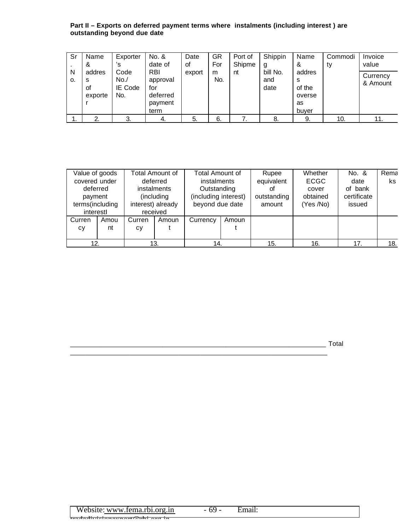## **Part II – Exports on deferred payment terms where instalments (including interest ) are outstanding beyond due date**

| Sr      | Name<br>&          | Exporter<br>'s | No. &<br>date of           | Date<br>of | GR<br>For | Port of<br>Shipme | Shippin<br>g    | Name<br>&              | Commodi<br>ty | Invoice<br>value     |
|---------|--------------------|----------------|----------------------------|------------|-----------|-------------------|-----------------|------------------------|---------------|----------------------|
| N<br>О. | addres<br><b>S</b> | Code<br>No.    | <b>RBI</b><br>approval     | export     | m<br>No.  | nt                | bill No.<br>and | addres<br>s            |               | Currency<br>& Amount |
|         | οf<br>exporte      | IE Code<br>No. | for<br>deferred<br>payment |            |           |                   | date            | of the<br>overse<br>as |               |                      |
|         |                    |                | term                       |            |           |                   |                 | buyer                  |               |                      |
| ι.      | 2.                 | 3.             | 4.                         | 5.         | 6.        | 7.                | 8.              | 9.                     | 10.           | 11.                  |

| Value of goods  |      |        | Total Amount of   | Total Amount of      |       | Rupee       | Whether     | No. &       | Rema |
|-----------------|------|--------|-------------------|----------------------|-------|-------------|-------------|-------------|------|
| covered under   |      |        | deferred          | instalments          |       | equivalent  | <b>ECGC</b> | date        | ks   |
| deferred        |      |        | instalments       | Outstanding          |       | Οt          | cover       | of bank     |      |
| payment         |      |        | (including        | (including interest) |       | outstanding | obtained    | certificate |      |
| terms(including |      |        | interest) already | beyond due date      |       | amount      | (Yes /No)   | issued      |      |
| interestl       |      |        | received          |                      |       |             |             |             |      |
| Curren          | Amou | Curren | Amoun             | Currency             | Amoun |             |             |             |      |
| cy              | nt   | сy     |                   |                      |       |             |             |             |      |
|                 |      |        |                   |                      |       |             |             |             |      |
| 12.<br>13.      |      | 14.    |                   | 15.                  | 16.   | 17.         | 18.         |             |      |

\_\_\_\_\_\_\_\_\_\_\_\_\_\_\_\_\_\_\_\_\_\_\_\_\_\_\_\_\_\_\_\_\_\_\_\_\_\_\_\_\_\_\_\_\_\_\_\_\_\_\_\_\_\_\_\_\_\_\_\_\_\_\_\_\_\_\_\_\_

\_\_\_\_\_\_\_\_\_\_\_\_\_\_\_\_\_\_\_\_\_\_\_\_\_\_\_\_\_\_\_\_\_\_\_\_\_\_\_\_\_\_\_\_\_\_\_\_\_\_\_\_\_\_\_\_\_\_\_\_\_\_\_\_\_\_\_\_\_ Total

| Website: www.fema.rbi.org.in           |  |
|----------------------------------------|--|
| $d$ 4334040403340044 $(d)$ 40404040400 |  |